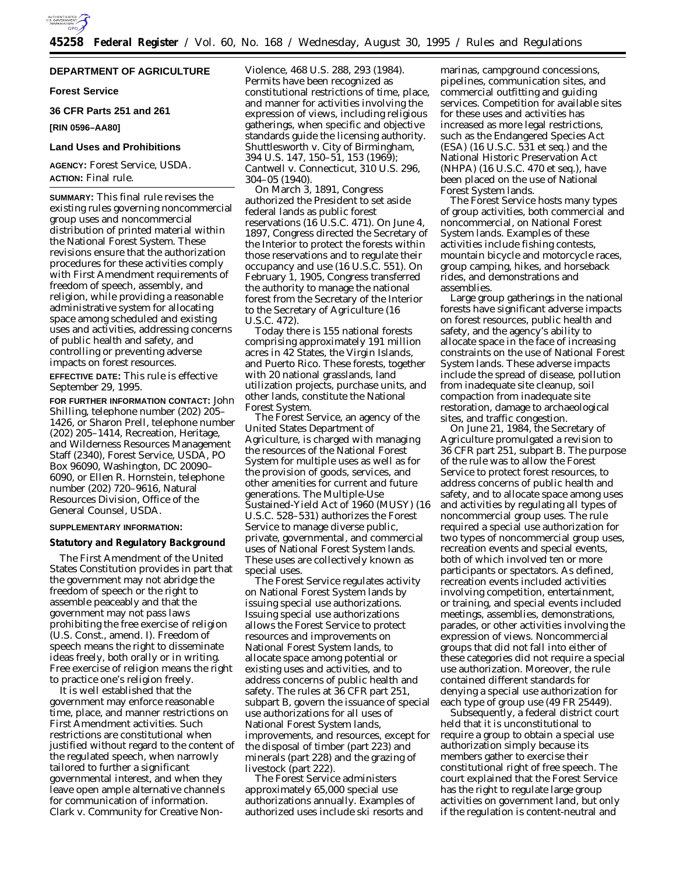

# **DEPARTMENT OF AGRICULTURE**

### **Forest Service**

**36 CFR Parts 251 and 261**

# **[RIN 0596–AA80]**

### **Land Uses and Prohibitions**

**AGENCY:** Forest Service, USDA. **ACTION:** Final rule.

**SUMMARY:** This final rule revises the existing rules governing noncommercial group uses and noncommercial distribution of printed material within the National Forest System. These revisions ensure that the authorization procedures for these activities comply with First Amendment requirements of freedom of speech, assembly, and religion, while providing a reasonable administrative system for allocating space among scheduled and existing uses and activities, addressing concerns of public health and safety, and controlling or preventing adverse impacts on forest resources.

**EFFECTIVE DATE:** This rule is effective September 29, 1995.

**FOR FURTHER INFORMATION CONTACT:** John Shilling, telephone number (202) 205– 1426, or Sharon Prell, telephone number (202) 205–1414, Recreation, Heritage, and Wilderness Resources Management Staff (2340), Forest Service, USDA, PO Box 96090, Washington, DC 20090– 6090, or Ellen R. Hornstein, telephone number (202) 720–9616, Natural Resources Division, Office of the General Counsel, USDA.

# **SUPPLEMENTARY INFORMATION:**

#### **Statutory and Regulatory Background**

The First Amendment of the United States Constitution provides in part that the government may not abridge the freedom of speech or the right to assemble peaceably and that the government may not pass laws prohibiting the free exercise of religion (U.S. Const., amend. I). Freedom of speech means the right to disseminate ideas freely, both orally or in writing. Free exercise of religion means the right to practice one's religion freely.

It is well established that the government may enforce reasonable time, place, and manner restrictions on First Amendment activities. Such restrictions are constitutional when justified without regard to the content of the regulated speech, when narrowly tailored to further a significant governmental interest, and when they leave open ample alternative channels for communication of information. *Clark* v. *Community for Creative Non-* *Violence,* 468 U.S. 288, 293 (1984). Permits have been recognized as constitutional restrictions of time, place, and manner for activities involving the expression of views, including religious gatherings, when specific and objective standards guide the licensing authority. *Shuttlesworth* v. *City of Birmingham,* 394 U.S. 147, 150–51, 153 (1969); *Cantwell* v. *Connecticut,* 310 U.S. 296, 304–05 (1940).

On March 3, 1891, Congress authorized the President to set aside federal lands as public forest reservations (16 U.S.C. 471). On June 4, 1897, Congress directed the Secretary of the Interior to protect the forests within those reservations and to regulate their occupancy and use (16 U.S.C. 551). On February 1, 1905, Congress transferred the authority to manage the national forest from the Secretary of the Interior to the Secretary of Agriculture (16 U.S.C. 472).

Today there is 155 national forests comprising approximately 191 million acres in 42 States, the Virgin Islands, and Puerto Rico. These forests, together with 20 national grasslands, land utilization projects, purchase units, and other lands, constitute the National Forest System.

The Forest Service, an agency of the United States Department of Agriculture, is charged with managing the resources of the National Forest System for multiple uses as well as for the provision of goods, services, and other amenities for current and future generations. The Multiple-Use Sustained-Yield Act of 1960 (MUSY) (16 U.S.C. 528–531) authorizes the Forest Service to manage diverse public, private, governmental, and commercial uses of National Forest System lands. These uses are collectively known as special uses.

The Forest Service regulates activity on National Forest System lands by issuing special use authorizations. Issuing special use authorizations allows the Forest Service to protect resources and improvements on National Forest System lands, to allocate space among potential or existing uses and activities, and to address concerns of public health and safety. The rules at 36 CFR part 251, subpart B, govern the issuance of special use authorizations for all uses of National Forest System lands, improvements, and resources, except for the disposal of timber (part 223) and minerals (part 228) and the grazing of livestock (part 222).

The Forest Service administers approximately 65,000 special use authorizations annually. Examples of authorized uses include ski resorts and

marinas, campground concessions, pipelines, communication sites, and commercial outfitting and guiding services. Competition for available sites for these uses and activities has increased as more legal restrictions, such as the Endangered Species Act (ESA) (16 U.S.C. 531 *et seq.*) and the National Historic Preservation Act (NHPA) (16 U.S.C. 470 *et seq.*), have been placed on the use of National Forest System lands.

The Forest Service hosts many types of group activities, both commercial and noncommercial, on National Forest System lands. Examples of these activities include fishing contests, mountain bicycle and motorcycle races, group camping, hikes, and horseback rides, and demonstrations and assemblies.

Large group gatherings in the national forests have significant adverse impacts on forest resources, public health and safety, and the agency's ability to allocate space in the face of increasing constraints on the use of National Forest System lands. These adverse impacts include the spread of disease, pollution from inadequate site cleanup, soil compaction from inadequate site restoration, damage to archaeological sites, and traffic congestion.

On June 21, 1984, the Secretary of Agriculture promulgated a revision to 36 CFR part 251, subpart B. The purpose of the rule was to allow the Forest Service to protect forest resources, to address concerns of public health and safety, and to allocate space among uses and activities by regulating all types of noncommercial group uses. The rule required a special use authorization for two types of noncommercial group uses, recreation events and special events, both of which involved ten or more participants or spectators. As defined, recreation events included activities involving competition, entertainment, or training, and special events included meetings, assemblies, demonstrations, parades, or other activities involving the expression of views. Noncommercial groups that did not fall into either of these categories did not require a special use authorization. Moreover, the rule contained different standards for denying a special use authorization for each type of group use (49 FR 25449).

Subsequently, a federal district court held that it is unconstitutional to require a group to obtain a special use authorization simply because its members gather to exercise their constitutional right of free speech. The court explained that the Forest Service has the right to regulate large group activities on government land, but only if the regulation is content-neutral and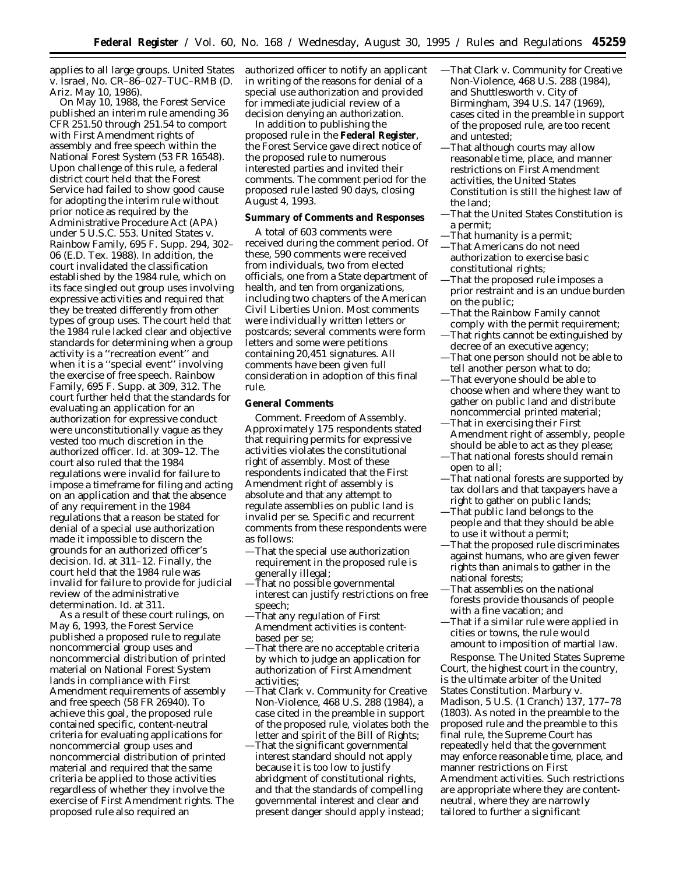applies to all large groups. *United States* v. *Israel,* No. CR–86–027–TUC–RMB (D. Ariz. May 10, 1986).

On May 10, 1988, the Forest Service published an interim rule amending 36 CFR 251.50 through 251.54 to comport with First Amendment rights of assembly and free speech within the National Forest System (53 FR 16548). Upon challenge of this rule, a federal district court held that the Forest Service had failed to show good cause for adopting the interim rule without prior notice as required by the Administrative Procedure Act (APA) under 5 U.S.C. 553. *United States* v. *Rainbow Family,* 695 F. Supp. 294, 302– 06 (E.D. Tex. 1988). In addition, the court invalidated the classification established by the 1984 rule, which on its face singled out group uses involving expressive activities and required that they be treated differently from other types of group uses. The court held that the 1984 rule lacked clear and objective standards for determining when a group activity is a ''recreation event'' and when it is a ''special event'' involving the exercise of free speech. *Rainbow Family,* 695 F. Supp. at 309, 312. The court further held that the standards for evaluating an application for an authorization for expressive conduct were unconstitutionally vague as they vested too much discretion in the authorized officer. *Id.* at 309–12. The court also ruled that the 1984 regulations were invalid for failure to impose a timeframe for filing and acting on an application and that the absence of any requirement in the 1984 regulations that a reason be stated for denial of a special use authorization made it impossible to discern the grounds for an authorized officer's decision. *Id.* at 311–12. Finally, the court held that the 1984 rule was invalid for failure to provide for judicial review of the administrative determination. *Id.* at 311.

As a result of these court rulings, on May 6, 1993, the Forest Service published a proposed rule to regulate noncommercial group uses and noncommercial distribution of printed material on National Forest System lands in compliance with First Amendment requirements of assembly and free speech (58 FR 26940). To achieve this goal, the proposed rule contained specific, content-neutral criteria for evaluating applications for noncommercial group uses and noncommercial distribution of printed material and required that the same criteria be applied to those activities regardless of whether they involve the exercise of First Amendment rights. The proposed rule also required an

authorized officer to notify an applicant in writing of the reasons for denial of a special use authorization and provided for immediate judicial review of a decision denying an authorization.

In addition to publishing the proposed rule in the **Federal Register**, the Forest Service gave direct notice of the proposed rule to numerous interested parties and invited their comments. The comment period for the proposed rule lasted 90 days, closing August 4, 1993.

### **Summary of Comments and Responses**

A total of 603 comments were received during the comment period. Of these, 590 comments were received from individuals, two from elected officials, one from a State department of health, and ten from organizations, including two chapters of the American Civil Liberties Union. Most comments were individually written letters or postcards; several comments were form letters and some were petitions containing 20,451 signatures. All comments have been given full consideration in adoption of this final rule.

# **General Comments**

*Comment.* Freedom of Assembly. Approximately 175 respondents stated that requiring permits for expressive activities violates the constitutional right of assembly. Most of these respondents indicated that the First Amendment right of assembly is absolute and that any attempt to regulate assemblies on public land is invalid *per se.* Specific and recurrent comments from these respondents were as follows:

- —That the special use authorization requirement in the proposed rule is generally illegal;
- —That no possible governmental interest can justify restrictions on free speech;
- —That any regulation of First Amendment activities is contentbased *per se;*
- —That there are no acceptable criteria by which to judge an application for authorization of First Amendment activities;
- —That *Clark* v. *Community for Creative Non-Violence,* 468 U.S. 288 (1984), a case cited in the preamble in support of the proposed rule, violates both the letter and spirit of the Bill of Rights;
- —That the significant governmental interest standard should not apply because it is too low to justify abridgment of constitutional rights, and that the standards of compelling governmental interest and clear and present danger should apply instead;
- —That *Clark* v. *Community for Creative Non-Violence,* 468 U.S. 288 (1984), and *Shuttlesworth* v. *City of Birmingham,* 394 U.S. 147 (1969), cases cited in the preamble in support of the proposed rule, are too recent and untested;
- —That although courts may allow reasonable time, place, and manner restrictions on First Amendment activities, the United States Constitution is still the highest law of the land;
- —That the United States Constitution is a permit;
- —That humanity is a permit; —That Americans do not need authorization to exercise basic
- constitutional rights; —That the proposed rule imposes a prior restraint and is an undue burden
- on the public; —That the Rainbow Family cannot
- comply with the permit requirement; —That rights cannot be extinguished by decree of an executive agency;
- —That one person should not be able to tell another person what to do;
- —That everyone should be able to choose when and where they want to gather on public land and distribute noncommercial printed material;
- —That in exercising their First Amendment right of assembly, people should be able to act as they please;
- —That national forests should remain open to all;
- —That national forests are supported by tax dollars and that taxpayers have a right to gather on public lands;
- —That public land belongs to the people and that they should be able to use it without a permit;
- —That the proposed rule discriminates against humans, who are given fewer rights than animals to gather in the national forests;
- —That assemblies on the national forests provide thousands of people with a fine vacation; and
- —That if a similar rule were applied in cities or towns, the rule would amount to imposition of martial law.

*Response.* The United States Supreme Court, the highest court in the country, is the ultimate arbiter of the United States Constitution. *Marbury* v. *Madison,* 5 U.S. (1 Cranch) 137, 177–78 (1803). As noted in the preamble to the proposed rule and the preamble to this final rule, the Supreme Court has repeatedly held that the government may enforce reasonable time, place, and manner restrictions on First Amendment activities. Such restrictions are appropriate where they are contentneutral, where they are narrowly tailored to further a significant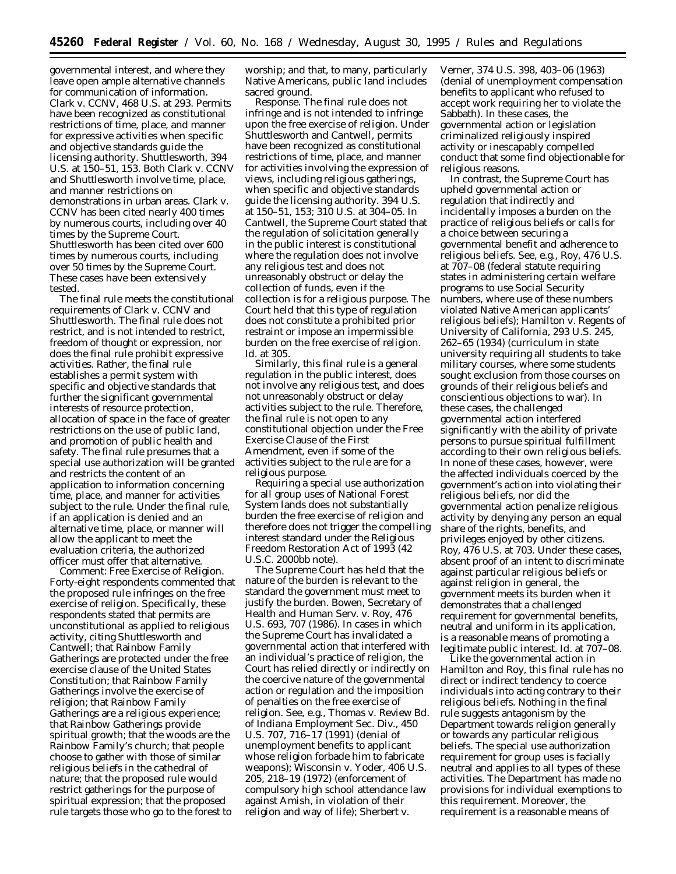governmental interest, and where they leave open ample alternative channels for communication of information. *Clark* v. *CCNV,* 468 U.S. at 293. Permits have been recognized as constitutional restrictions of time, place, and manner for expressive activities when specific and objective standards guide the licensing authority. *Shuttlesworth*, 394 U.S. at 150–51, 153. Both *Clark* v. *CCNV* and *Shuttlesworth* involve time, place, and manner restrictions on demonstrations in urban areas. *Clark* v. *CCNV* has been cited nearly 400 times by numerous courts, including over 40 times by the Supreme Court. *Shuttlesworth* has been cited over 600 times by numerous courts, including over 50 times by the Supreme Court. These cases have been extensively tested.

The final rule meets the constitutional requirements of *Clark* v. *CCNV* and *Shuttlesworth*. The final rule does not restrict, and is not intended to restrict, freedom of thought or expression, nor does the final rule prohibit expressive activities. Rather, the final rule establishes a permit system with specific and objective standards that further the significant governmental interests of resource protection, allocation of space in the face of greater restrictions on the use of public land, and promotion of public health and safety. The final rule presumes that a special use authorization will be granted and restricts the content of an application to information concerning time, place, and manner for activities subject to the rule. Under the final rule, if an application is denied and an alternative time, place, or manner will allow the applicant to meet the evaluation criteria, the authorized officer must offer that alternative.

*Comment: Free Exercise of Religion*. Forty-eight respondents commented that the proposed rule infringes on the free exercise of religion. Specifically, these respondents stated that permits are unconstitutional as applied to religious activity, citing *Shuttlesworth* and *Cantwell*; that Rainbow Family Gatherings are protected under the free exercise clause of the United States Constitution; that Rainbow Family Gatherings involve the exercise of religion; that Rainbow Family Gatherings are a religious experience; that Rainbow Gatherings provide spiritual growth; that the woods are the Rainbow Family's church; that people choose to gather with those of similar religious beliefs in the cathedral of nature; that the proposed rule would restrict gatherings for the purpose of spiritual expression; that the proposed rule targets those who go to the forest to

worship; and that, to many, particularly Native Americans, public land includes sacred ground.

*Response*. The final rule does not infringe and is not intended to infringe upon the free exercise of religion. Under *Shuttlesworth* and *Cantwell*, permits have been recognized as constitutional restrictions of time, place, and manner for activities involving the expression of views, including religious gatherings, when specific and objective standards guide the licensing authority. 394 U.S. at 150–51, 153; 310 U.S. at 304–05. In *Cantwell*, the Supreme Court stated that the regulation of solicitation generally in the public interest is constitutional where the regulation does not involve any religious test and does not unreasonably obstruct or delay the collection of funds, even if the collection is for a religious purpose. The Court held that this type of regulation does not constitute a prohibited prior restraint or impose an impermissible burden on the free exercise of religion. *Id*. at 305.

Similarly, this final rule is a general regulation in the public interest, does not involve any religious test, and does not unreasonably obstruct or delay activities subject to the rule. Therefore, the final rule is not open to any constitutional objection under the Free Exercise Clause of the First Amendment, even if some of the activities subject to the rule are for a religious purpose.

Requiring a special use authorization for all group uses of National Forest System lands does not substantially burden the free exercise of religion and therefore does not trigger the compelling interest standard under the Religious Freedom Restoration Act of 1993 (42 U.S.C. 2000bb note).

The Supreme Court has held that the nature of the burden is relevant to the standard the government must meet to justify the burden. *Bowen, Secretary of Health and Human Serv.* v. *Roy*, 476 U.S. 693, 707 (1986). In cases in which the Supreme Court has invalidated a governmental action that interfered with an individual's practice of religion, the Court has relied directly or indirectly on the coercive nature of the governmental action or regulation and the imposition of penalties on the free exercise of religion. *See, e.g., Thomas* v. *Review Bd. of Indiana Employment Sec. Div.*, 450 U.S. 707, 716–17 (1991) (denial of unemployment benefits to applicant whose religion forbade him to fabricate weapons); *Wisconsin* v. *Yoder*, 406 U.S. 205, 218–19 (1972) (enforcement of compulsory high school attendance law against Amish, in violation of their religion and way of life); *Sherbert* v.

*Verner*, 374 U.S. 398, 403–06 (1963) (denial of unemployment compensation benefits to applicant who refused to accept work requiring her to violate the Sabbath). In these cases, the governmental action or legislation criminalized religiously inspired activity or inescapably compelled conduct that some find objectionable for religious reasons.

In contrast, the Supreme Court has upheld governmental action or regulation that indirectly and incidentally imposes a burden on the practice of religious beliefs or calls for a choice between securing a governmental benefit and adherence to religious beliefs. *See, e.g., Roy,* 476 U.S. at 707–08 (federal statute requiring states in administering certain welfare programs to use Social Security numbers, where use of these numbers violated Native American applicants' religious beliefs); *Hamilton* v. *Regents of University of California,* 293 U.S. 245, 262–65 (1934) (curriculum in state university requiring all students to take military courses, where some students sought exclusion from those courses on grounds of their religious beliefs and conscientious objections to war). In these cases, the challenged governmental action interfered significantly with the ability of private persons to pursue spiritual fulfillment according to their own religious beliefs. In none of these cases, however, were the affected individuals coerced by the government's action into violating their religious beliefs, nor did the governmental action penalize religious activity by denying any person an equal share of the rights, benefits, and privileges enjoyed by other citizens. *Roy*, 476 U.S. at 703. Under these cases, absent proof of an intent to discriminate against particular religious beliefs or against religion in general, the government meets its burden when it demonstrates that a challenged requirement for governmental benefits, neutral and uniform in its application, is a reasonable means of promoting a legitimate public interest. *Id.* at 707–08.

Like the governmental action in *Hamilton* and *Roy*, this final rule has no direct or indirect tendency to coerce individuals into acting contrary to their religious beliefs. Nothing in the final rule suggests antagonism by the Department towards religion generally or towards any particular religious beliefs. The special use authorization requirement for group uses is facially neutral and applies to all types of these activities. The Department has made no provisions for individual exemptions to this requirement. Moreover, the requirement is a reasonable means of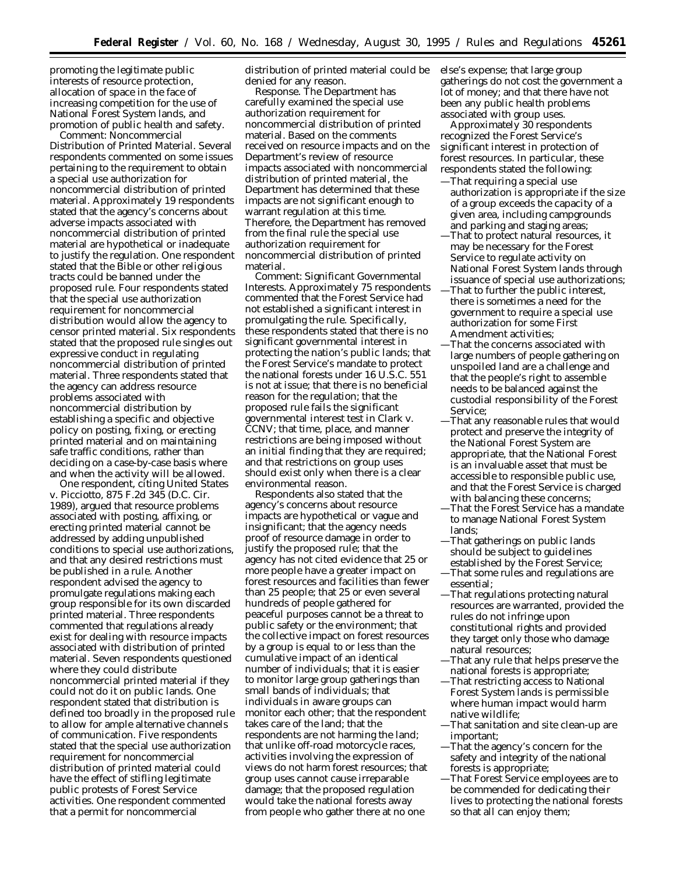promoting the legitimate public interests of resource protection, allocation of space in the face of increasing competition for the use of National Forest System lands, and promotion of public health and safety.

*Comment: Noncommercial Distribution of Printed Material.* Several respondents commented on some issues pertaining to the requirement to obtain a special use authorization for noncommercial distribution of printed material. Approximately 19 respondents stated that the agency's concerns about adverse impacts associated with noncommercial distribution of printed material are hypothetical or inadequate to justify the regulation. One respondent stated that the Bible or other religious tracts could be banned under the proposed rule. Four respondents stated that the special use authorization requirement for noncommercial distribution would allow the agency to censor printed material. Six respondents stated that the proposed rule singles out expressive conduct in regulating noncommercial distribution of printed material. Three respondents stated that the agency can address resource problems associated with noncommercial distribution by establishing a specific and objective policy on posting, fixing, or erecting printed material and on maintaining safe traffic conditions, rather than deciding on a case-by-case basis where and when the activity will be allowed.

One respondent, citing *United States* v. *Picciotto,* 875 F.2d 345 (D.C. Cir. 1989), argued that resource problems associated with posting, affixing, or erecting printed material cannot be addressed by adding unpublished conditions to special use authorizations, and that any desired restrictions must be published in a rule. Another respondent advised the agency to promulgate regulations making each group responsible for its own discarded printed material. Three respondents commented that regulations already exist for dealing with resource impacts associated with distribution of printed material. Seven respondents questioned where they could distribute noncommercial printed material if they could not do it on public lands. One respondent stated that distribution is defined too broadly in the proposed rule to allow for ample alternative channels of communication. Five respondents stated that the special use authorization requirement for noncommercial distribution of printed material could have the effect of stifling legitimate public protests of Forest Service activities. One respondent commented that a permit for noncommercial

distribution of printed material could be denied for any reason.

*Response.* The Department has carefully examined the special use authorization requirement for noncommercial distribution of printed material. Based on the comments received on resource impacts and on the Department's review of resource impacts associated with noncommercial distribution of printed material, the Department has determined that these impacts are not significant enough to warrant regulation at this time. Therefore, the Department has removed from the final rule the special use authorization requirement for noncommercial distribution of printed material.

*Comment: Significant Governmental Interests.* Approximately 75 respondents commented that the Forest Service had not established a significant interest in promulgating the rule. Specifically, these respondents stated that there is no significant governmental interest in protecting the nation's public lands; that the Forest Service's mandate to protect the national forests under 16 U.S.C. 551 is not at issue; that there is no beneficial reason for the regulation; that the proposed rule fails the significant governmental interest test in *Clark* v. *CCNV*; that time, place, and manner restrictions are being imposed without an initial finding that they are required; and that restrictions on group uses should exist only when there is a clear environmental reason.

Respondents also stated that the agency's concerns about resource impacts are hypothetical or vague and insignificant; that the agency needs proof of resource damage in order to justify the proposed rule; that the agency has not cited evidence that 25 or more people have a greater impact on forest resources and facilities than fewer than 25 people; that 25 or even several hundreds of people gathered for peaceful purposes cannot be a threat to public safety or the environment; that the collective impact on forest resources by a group is equal to or less than the cumulative impact of an identical number of individuals; that it is easier to monitor large group gatherings than small bands of individuals; that individuals in aware groups can monitor each other; that the respondent takes care of the land; that the respondents are not harming the land; that unlike off-road motorcycle races, activities involving the expression of views do not harm forest resources; that group uses cannot cause irreparable damage; that the proposed regulation would take the national forests away from people who gather there at no one

else's expense; that large group gatherings do not cost the government a lot of money; and that there have not been any public health problems associated with group uses.

Approximately 30 respondents recognized the Forest Service's significant interest in protection of forest resources. In particular, these respondents stated the following:

- —That requiring a special use authorization is appropriate if the size of a group exceeds the capacity of a given area, including campgrounds and parking and staging areas;
- —That to protect natural resources, it may be necessary for the Forest Service to regulate activity on National Forest System lands through issuance of special use authorizations;
- —That to further the public interest, there is sometimes a need for the government to require a special use authorization for some First Amendment activities;
- —That the concerns associated with large numbers of people gathering on unspoiled land are a challenge and that the people's right to assemble needs to be balanced against the custodial responsibility of the Forest Service;
- —That any reasonable rules that would protect and preserve the integrity of the National Forest System are appropriate, that the National Forest is an invaluable asset that must be accessible to responsible public use, and that the Forest Service is charged with balancing these concerns;
- —That the Forest Service has a mandate to manage National Forest System lands;
- —That gatherings on public lands should be subject to guidelines established by the Forest Service;
- —That some rules and regulations are essential;
- —That regulations protecting natural resources are warranted, provided the rules do not infringe upon constitutional rights and provided they target only those who damage natural resources;
- —That any rule that helps preserve the national forests is appropriate;
- —That restricting access to National Forest System lands is permissible where human impact would harm native wildlife;
- —That sanitation and site clean-up are important;
- —That the agency's concern for the safety and integrity of the national forests is appropriate;
- —That Forest Service employees are to be commended for dedicating their lives to protecting the national forests so that all can enjoy them;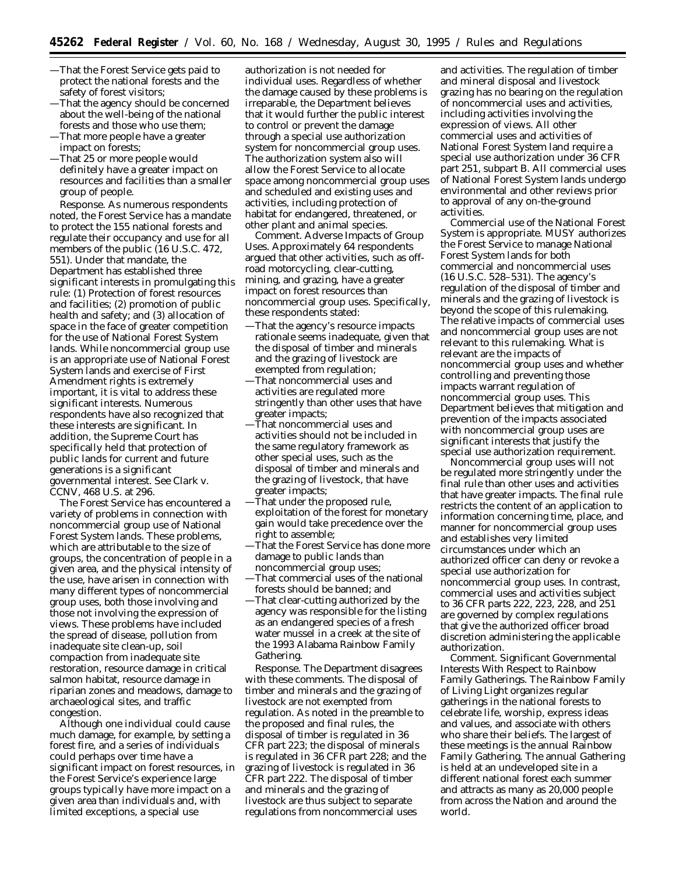- —That the Forest Service gets paid to protect the national forests and the safety of forest visitors;
- —That the agency should be concerned about the well-being of the national forests and those who use them;
- —That more people have a greater impact on forests;
- —That 25 or more people would definitely have a greater impact on resources and facilities than a smaller group of people.

*Response.* As numerous respondents noted, the Forest Service has a mandate to protect the 155 national forests and regulate their occupancy and use for all members of the public (16 U.S.C. 472, 551). Under that mandate, the Department has established three significant interests in promulgating this rule: (1) Protection of forest resources and facilities; (2) promotion of public health and safety; and (3) allocation of space in the face of greater competition for the use of National Forest System lands. While noncommercial group use is an appropriate use of National Forest System lands and exercise of First Amendment rights is extremely important, it is vital to address these significant interests. Numerous respondents have also recognized that these interests are significant. In addition, the Supreme Court has specifically held that protection of public lands for current and future generations is a significant governmental interest. *See Clark* v. *CCNV,* 468 U.S. at 296.

The Forest Service has encountered a variety of problems in connection with noncommercial group use of National Forest System lands. These problems, which are attributable to the size of groups, the concentration of people in a given area, and the physical intensity of the use, have arisen in connection with many different types of noncommercial group uses, both those involving and those not involving the expression of views. These problems have included the spread of disease, pollution from inadequate site clean-up, soil compaction from inadequate site restoration, resource damage in critical salmon habitat, resource damage in riparian zones and meadows, damage to archaeological sites, and traffic congestion.

Although one individual could cause much damage, for example, by setting a forest fire, and a series of individuals could perhaps over time have a significant impact on forest resources, in the Forest Service's experience large groups typically have more impact on a given area than individuals and, with limited exceptions, a special use

authorization is not needed for individual uses. Regardless of whether the damage caused by these problems is irreparable, the Department believes that it would further the public interest to control or prevent the damage through a special use authorization system for noncommercial group uses. The authorization system also will allow the Forest Service to allocate space among noncommercial group uses and scheduled and existing uses and activities, including protection of habitat for endangered, threatened, or other plant and animal species.

*Comment.* Adverse Impacts of Group Uses. Approximately 64 respondents argued that other activities, such as offroad motorcycling, clear-cutting, mining, and grazing, have a greater impact on forest resources than noncommercial group uses. Specifically, these respondents stated:

- —That the agency's resource impacts rationale seems inadequate, given that the disposal of timber and minerals and the grazing of livestock are exempted from regulation;
- —That noncommercial uses and activities are regulated more stringently than other uses that have greater impacts;
- —That noncommercial uses and activities should not be included in the same regulatory framework as other special uses, such as the disposal of timber and minerals and the grazing of livestock, that have greater impacts;
- —That under the proposed rule, exploitation of the forest for monetary gain would take precedence over the right to assemble;
- —That the Forest Service has done more damage to public lands than noncommercial group uses;
- —That commercial uses of the national forests should be banned; and
- —That clear-cutting authorized by the agency was responsible for the listing as an endangered species of a fresh water mussel in a creek at the site of the 1993 Alabama Rainbow Family Gathering.

*Response.* The Department disagrees with these comments. The disposal of timber and minerals and the grazing of livestock are not exempted from regulation. As noted in the preamble to the proposed and final rules, the disposal of timber is regulated in 36 CFR part 223; the disposal of minerals is regulated in 36 CFR part 228; and the grazing of livestock is regulated in 36 CFR part 222. The disposal of timber and minerals and the grazing of livestock are thus subject to separate regulations from noncommercial uses

and activities. The regulation of timber and mineral disposal and livestock grazing has no bearing on the regulation of noncommercial uses and activities, including activities involving the expression of views. All other commercial uses and activities of National Forest System land require a special use authorization under 36 CFR part 251, subpart B. All commercial uses of National Forest System lands undergo environmental and other reviews prior to approval of any on-the-ground activities.

Commercial use of the National Forest System is appropriate. MUSY authorizes the Forest Service to manage National Forest System lands for both commercial and noncommercial uses (16 U.S.C. 528–531). The agency's regulation of the disposal of timber and minerals and the grazing of livestock is beyond the scope of this rulemaking. The relative impacts of commercial uses and noncommercial group uses are not relevant to this rulemaking. What is relevant are the impacts of noncommercial group uses and whether controlling and preventing those impacts warrant regulation of noncommercial group uses. This Department believes that mitigation and prevention of the impacts associated with noncommercial group uses are significant interests that justify the special use authorization requirement.

Noncommercial group uses will not be regulated more stringently under the final rule than other uses and activities that have greater impacts. The final rule restricts the content of an application to information concerning time, place, and manner for noncommercial group uses and establishes very limited circumstances under which an authorized officer can deny or revoke a special use authorization for noncommercial group uses. In contrast, commercial uses and activities subject to 36 CFR parts 222, 223, 228, and 251 are governed by complex regulations that give the authorized officer broad discretion administering the applicable authorization.

*Comment. Significant Governmental Interests With Respect to Rainbow Family Gatherings.* The Rainbow Family of Living Light organizes regular gatherings in the national forests to celebrate life, worship, express ideas and values, and associate with others who share their beliefs. The largest of these meetings is the annual Rainbow Family Gathering. The annual Gathering is held at an undeveloped site in a different national forest each summer and attracts as many as 20,000 people from across the Nation and around the world.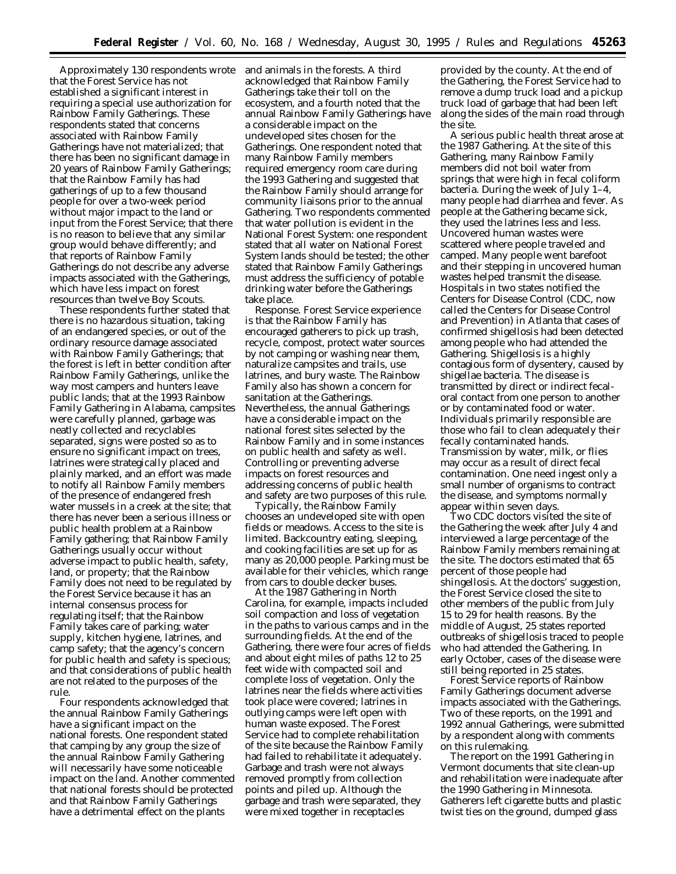Approximately 130 respondents wrote that the Forest Service has not established a significant interest in requiring a special use authorization for Rainbow Family Gatherings. These respondents stated that concerns associated with Rainbow Family Gatherings have not materialized; that there has been no significant damage in 20 years of Rainbow Family Gatherings; that the Rainbow Family has had gatherings of up to a few thousand people for over a two-week period without major impact to the land or input from the Forest Service; that there is no reason to believe that any similar group would behave differently; and that reports of Rainbow Family Gatherings do not describe any adverse impacts associated with the Gatherings, which have less impact on forest resources than twelve Boy Scouts.

These respondents further stated that there is no hazardous situation, taking of an endangered species, or out of the ordinary resource damage associated with Rainbow Family Gatherings; that the forest is left in better condition after Rainbow Family Gatherings, unlike the way most campers and hunters leave public lands; that at the 1993 Rainbow Family Gathering in Alabama, campsites were carefully planned, garbage was neatly collected and recyclables separated, signs were posted so as to ensure no significant impact on trees, latrines were strategically placed and plainly marked, and an effort was made to notify all Rainbow Family members of the presence of endangered fresh water mussels in a creek at the site; that there has never been a serious illness or public health problem at a Rainbow Family gathering; that Rainbow Family Gatherings usually occur without adverse impact to public health, safety, land, or property; that the Rainbow Family does not need to be regulated by the Forest Service because it has an internal consensus process for regulating itself; that the Rainbow Family takes care of parking; water supply, kitchen hygiene, latrines, and camp safety; that the agency's concern for public health and safety is specious; and that considerations of public health are not related to the purposes of the rule.

Four respondents acknowledged that the annual Rainbow Family Gatherings have a significant impact on the national forests. One respondent stated that camping by any group the size of the annual Rainbow Family Gathering will necessarily have some noticeable impact on the land. Another commented that national forests should be protected and that Rainbow Family Gatherings have a detrimental effect on the plants

and animals in the forests. A third acknowledged that Rainbow Family Gatherings take their toll on the ecosystem, and a fourth noted that the annual Rainbow Family Gatherings have a considerable impact on the undeveloped sites chosen for the Gatherings. One respondent noted that many Rainbow Family members required emergency room care during the 1993 Gathering and suggested that the Rainbow Family should arrange for community liaisons prior to the annual Gathering. Two respondents commented that water pollution is evident in the National Forest System: one respondent stated that all water on National Forest System lands should be tested; the other stated that Rainbow Family Gatherings must address the sufficiency of potable drinking water before the Gatherings take place.

*Response.* Forest Service experience is that the Rainbow Family has encouraged gatherers to pick up trash, recycle, compost, protect water sources by not camping or washing near them, naturalize campsites and trails, use latrines, and bury waste. The Rainbow Family also has shown a concern for sanitation at the Gatherings. Nevertheless, the annual Gatherings have a considerable impact on the national forest sites selected by the Rainbow Family and in some instances on public health and safety as well. Controlling or preventing adverse impacts on forest resources and addressing concerns of public health and safety are two purposes of this rule.

Typically, the Rainbow Family chooses an undeveloped site with open fields or meadows. Access to the site is limited. Backcountry eating, sleeping, and cooking facilities are set up for as many as 20,000 people. Parking must be available for their vehicles, which range from cars to double decker buses.

At the 1987 Gathering in North Carolina, for example, impacts included soil compaction and loss of vegetation in the paths to various camps and in the surrounding fields. At the end of the Gathering, there were four acres of fields and about eight miles of paths 12 to 25 feet wide with compacted soil and complete loss of vegetation. Only the latrines near the fields where activities took place were covered; latrines in outlying camps were left open with human waste exposed. The Forest Service had to complete rehabilitation of the site because the Rainbow Family had failed to rehabilitate it adequately. Garbage and trash were not always removed promptly from collection points and piled up. Although the garbage and trash were separated, they were mixed together in receptacles

provided by the county. At the end of the Gathering, the Forest Service had to remove a dump truck load and a pickup truck load of garbage that had been left along the sides of the main road through the site.

A serious public health threat arose at the 1987 Gathering. At the site of this Gathering, many Rainbow Family members did not boil water from springs that were high in fecal coliform bacteria. During the week of July 1–4, many people had diarrhea and fever. As people at the Gathering became sick, they used the latrines less and less. Uncovered human wastes were scattered where people traveled and camped. Many people went barefoot and their stepping in uncovered human wastes helped transmit the disease. Hospitals in two states notified the Centers for Disease Control (CDC, now called the Centers for Disease Control and Prevention) in Atlanta that cases of confirmed shigellosis had been detected among people who had attended the Gathering. Shigellosis is a highly contagious form of dysentery, caused by shigellae bacteria. The disease is transmitted by direct or indirect fecaloral contact from one person to another or by contaminated food or water. Individuals primarily responsible are those who fail to clean adequately their fecally contaminated hands. Transmission by water, milk, or flies may occur as a result of direct fecal contamination. One need ingest only a small number of organisms to contract the disease, and symptoms normally appear within seven days.

Two CDC doctors visited the site of the Gathering the week after July 4 and interviewed a large percentage of the Rainbow Family members remaining at the site. The doctors estimated that 65 percent of those people had shingellosis. At the doctors' suggestion, the Forest Service closed the site to other members of the public from July 15 to 29 for health reasons. By the middle of August, 25 states reported outbreaks of shigellosis traced to people who had attended the Gathering. In early October, cases of the disease were still being reported in 25 states.

Forest Service reports of Rainbow Family Gatherings document adverse impacts associated with the Gatherings. Two of these reports, on the 1991 and 1992 annual Gatherings, were submitted by a respondent along with comments on this rulemaking.

The report on the 1991 Gathering in Vermont documents that site clean-up and rehabilitation were inadequate after the 1990 Gathering in Minnesota. Gatherers left cigarette butts and plastic twist ties on the ground, dumped glass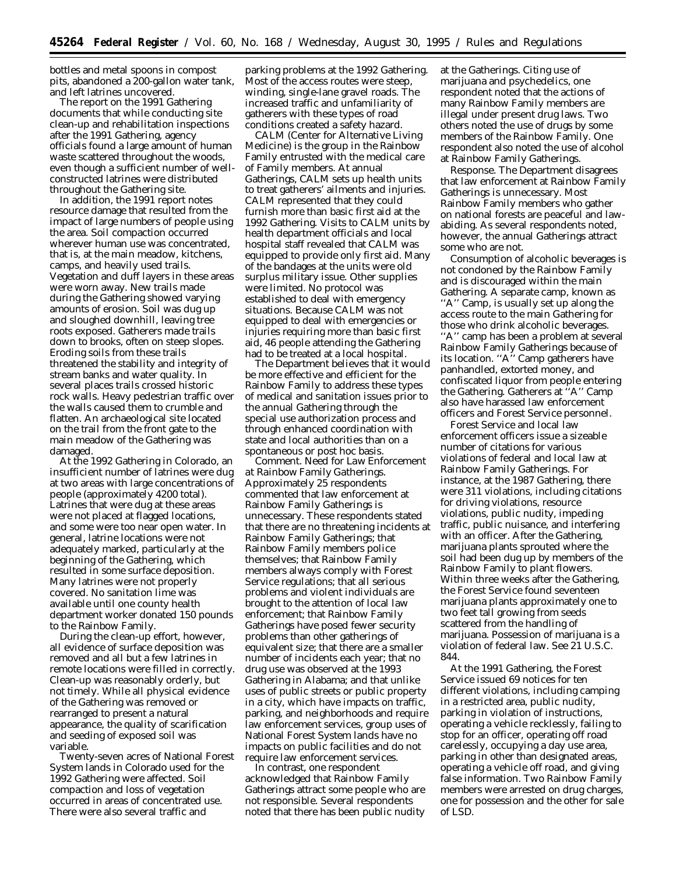bottles and metal spoons in compost pits, abandoned a 200-gallon water tank, and left latrines uncovered.

The report on the 1991 Gathering documents that while conducting site clean-up and rehabilitation inspections after the 1991 Gathering, agency officials found a large amount of human waste scattered throughout the woods, even though a sufficient number of wellconstructed latrines were distributed throughout the Gathering site.

In addition, the 1991 report notes resource damage that resulted from the impact of large numbers of people using the area. Soil compaction occurred wherever human use was concentrated, that is, at the main meadow, kitchens, camps, and heavily used trails. Vegetation and duff layers in these areas were worn away. New trails made during the Gathering showed varying amounts of erosion. Soil was dug up and sloughed downhill, leaving tree roots exposed. Gatherers made trails down to brooks, often on steep slopes. Eroding soils from these trails threatened the stability and integrity of stream banks and water quality. In several places trails crossed historic rock walls. Heavy pedestrian traffic over the walls caused them to crumble and flatten. An archaeological site located on the trail from the front gate to the main meadow of the Gathering was damaged.

At the 1992 Gathering in Colorado, an insufficient number of latrines were dug at two areas with large concentrations of people (approximately 4200 total). Latrines that were dug at these areas were not placed at flagged locations, and some were too near open water. In general, latrine locations were not adequately marked, particularly at the beginning of the Gathering, which resulted in some surface deposition. Many latrines were not properly covered. No sanitation lime was available until one county health department worker donated 150 pounds to the Rainbow Family.

During the clean-up effort, however, all evidence of surface deposition was removed and all but a few latrines in remote locations were filled in correctly. Clean-up was reasonably orderly, but not timely. While all physical evidence of the Gathering was removed or rearranged to present a natural appearance, the quality of scarification and seeding of exposed soil was variable.

Twenty-seven acres of National Forest System lands in Colorado used for the 1992 Gathering were affected. Soil compaction and loss of vegetation occurred in areas of concentrated use. There were also several traffic and

parking problems at the 1992 Gathering. Most of the access routes were steep, winding, single-lane gravel roads. The increased traffic and unfamiliarity of gatherers with these types of road conditions created a safety hazard.

CALM (Center for Alternative Living Medicine) is the group in the Rainbow Family entrusted with the medical care of Family members. At annual Gatherings, CALM sets up health units to treat gatherers' ailments and injuries. CALM represented that they could furnish more than basic first aid at the 1992 Gathering. Visits to CALM units by health department officials and local hospital staff revealed that CALM was equipped to provide only first aid. Many of the bandages at the units were old surplus military issue. Other supplies were limited. No protocol was established to deal with emergency situations. Because CALM was not equipped to deal with emergencies or injuries requiring more than basic first aid, 46 people attending the Gathering had to be treated at a local hospital.

The Department believes that it would be more effective and efficient for the Rainbow Family to address these types of medical and sanitation issues prior to the annual Gathering through the special use authorization process and through enhanced coordination with state and local authorities than on a spontaneous or *post hoc* basis.

*Comment. Need for Law Enforcement at Rainbow Family Gatherings.* Approximately 25 respondents commented that law enforcement at Rainbow Family Gatherings is unnecessary. These respondents stated that there are no threatening incidents at Rainbow Family Gatherings; that Rainbow Family members police themselves; that Rainbow Family members always comply with Forest Service regulations; that all serious problems and violent individuals are brought to the attention of local law enforcement; that Rainbow Family Gatherings have posed fewer security problems than other gatherings of equivalent size; that there are a smaller number of incidents each year; that no drug use was observed at the 1993 Gathering in Alabama; and that unlike uses of public streets or public property in a city, which have impacts on traffic, parking, and neighborhoods and require law enforcement services, group uses of National Forest System lands have no impacts on public facilities and do not require law enforcement services.

In contrast, one respondent acknowledged that Rainbow Family Gatherings attract some people who are not responsible. Several respondents noted that there has been public nudity at the Gatherings. Citing use of marijuana and psychedelics, one respondent noted that the actions of many Rainbow Family members are illegal under present drug laws. Two others noted the use of drugs by some members of the Rainbow Family. One respondent also noted the use of alcohol at Rainbow Family Gatherings.

*Response.* The Department disagrees that law enforcement at Rainbow Family Gatherings is unnecessary. Most Rainbow Family members who gather on national forests are peaceful and lawabiding. As several respondents noted, however, the annual Gatherings attract some who are not.

Consumption of alcoholic beverages is not condoned by the Rainbow Family and is discouraged within the main Gathering. A separate camp, known as ''A'' Camp, is usually set up along the access route to the main Gathering for those who drink alcoholic beverages. ''A'' camp has been a problem at several Rainbow Family Gatherings because of its location. ''A'' Camp gatherers have panhandled, extorted money, and confiscated liquor from people entering the Gathering. Gatherers at ''A'' Camp also have harassed law enforcement officers and Forest Service personnel.

Forest Service and local law enforcement officers issue a sizeable number of citations for various violations of federal and local law at Rainbow Family Gatherings. For instance, at the 1987 Gathering, there were 311 violations, including citations for driving violations, resource violations, public nudity, impeding traffic, public nuisance, and interfering with an officer. After the Gathering, marijuana plants sprouted where the soil had been dug up by members of the Rainbow Family to plant flowers. Within three weeks after the Gathering, the Forest Service found seventeen marijuana plants approximately one to two feet tall growing from seeds scattered from the handling of marijuana. Possession of marijuana is a violation of federal law. *See* 21 U.S.C. 844.

At the 1991 Gathering, the Forest Service issued 69 notices for ten different violations, including camping in a restricted area, public nudity, parking in violation of instructions, operating a vehicle recklessly, failing to stop for an officer, operating off road carelessly, occupying a day use area, parking in other than designated areas, operating a vehicle off road, and giving false information. Two Rainbow Family members were arrested on drug charges, one for possession and the other for sale of LSD.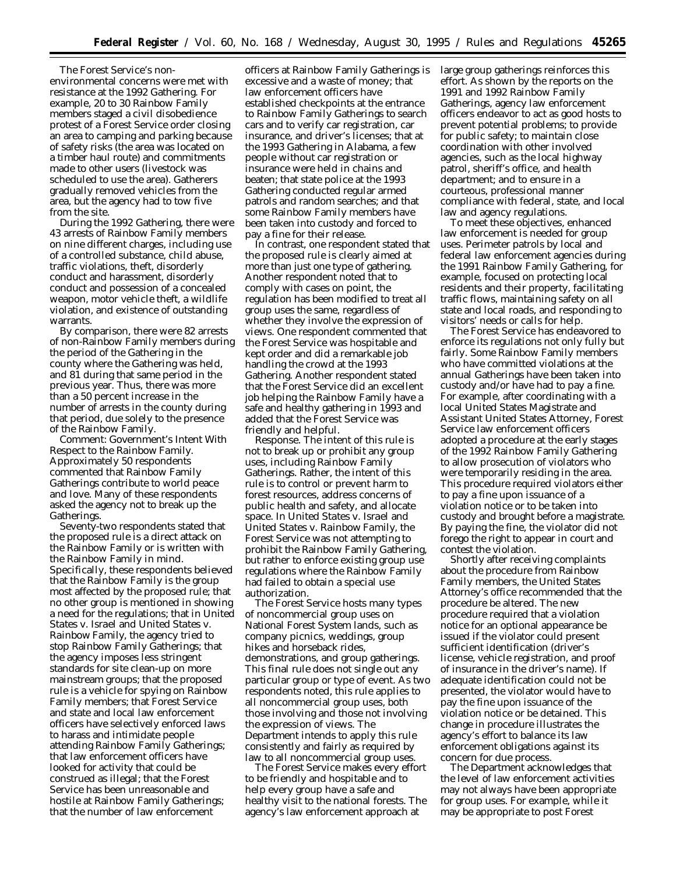The Forest Service's nonenvironmental concerns were met with resistance at the 1992 Gathering. For example, 20 to 30 Rainbow Family members staged a civil disobedience protest of a Forest Service order closing an area to camping and parking because of safety risks (the area was located on a timber haul route) and commitments made to other users (livestock was scheduled to use the area). Gatherers gradually removed vehicles from the area, but the agency had to tow five from the site.

During the 1992 Gathering, there were 43 arrests of Rainbow Family members on nine different charges, including use of a controlled substance, child abuse, traffic violations, theft, disorderly conduct and harassment, disorderly conduct and possession of a concealed weapon, motor vehicle theft, a wildlife violation, and existence of outstanding warrants.

By comparison, there were 82 arrests of non-Rainbow Family members during the period of the Gathering in the county where the Gathering was held, and 81 during that same period in the previous year. Thus, there was more than a 50 percent increase in the number of arrests in the county during that period, due solely to the presence of the Rainbow Family.

*Comment: Government's Intent With Respect to the Rainbow Family.* Approximately 50 respondents commented that Rainbow Family Gatherings contribute to world peace and love. Many of these respondents asked the agency not to break up the Gatherings.

Seventy-two respondents stated that the proposed rule is a direct attack on the Rainbow Family or is written with the Rainbow Family in mind. Specifically, these respondents believed that the Rainbow Family is the group most affected by the proposed rule; that no other group is mentioned in showing a need for the regulations; that in *United States* v. *Israel* and *United States* v. *Rainbow Family*, the agency tried to stop Rainbow Family Gatherings; that the agency imposes less stringent standards for site clean-up on more mainstream groups; that the proposed rule is a vehicle for spying on Rainbow Family members; that Forest Service and state and local law enforcement officers have selectively enforced laws to harass and intimidate people attending Rainbow Family Gatherings; that law enforcement officers have looked for activity that could be construed as illegal; that the Forest Service has been unreasonable and hostile at Rainbow Family Gatherings; that the number of law enforcement

officers at Rainbow Family Gatherings is excessive and a waste of money; that law enforcement officers have established checkpoints at the entrance to Rainbow Family Gatherings to search cars and to verify car registration, car insurance, and driver's licenses; that at the 1993 Gathering in Alabama, a few people without car registration or insurance were held in chains and beaten; that state police at the 1993 Gathering conducted regular armed patrols and random searches; and that some Rainbow Family members have been taken into custody and forced to pay a fine for their release.

In contrast, one respondent stated that the proposed rule is clearly aimed at more than just one type of gathering. Another respondent noted that to comply with cases on point, the regulation has been modified to treat all group uses the same, regardless of whether they involve the expression of views. One respondent commented that the Forest Service was hospitable and kept order and did a remarkable job handling the crowd at the 1993 Gathering. Another respondent stated that the Forest Service did an excellent job helping the Rainbow Family have a safe and healthy gathering in 1993 and added that the Forest Service was friendly and helpful.

*Response.* The intent of this rule is not to break up or prohibit any group uses, including Rainbow Family Gatherings. Rather, the intent of this rule is to control or prevent harm to forest resources, address concerns of public health and safety, and allocate space. In *United States* v. *Israel* and *United States* v. *Rainbow Family*, the Forest Service was not attempting to prohibit the Rainbow Family Gathering, but rather to enforce existing group use regulations where the Rainbow Family had failed to obtain a special use authorization.

The Forest Service hosts many types of noncommercial group uses on National Forest System lands, such as company picnics, weddings, group hikes and horseback rides, demonstrations, and group gatherings. This final rule does not single out any particular group or type of event. As two respondents noted, this rule applies to all noncommercial group uses, both those involving and those not involving the expression of views. The Department intends to apply this rule consistently and fairly as required by law to all noncommercial group uses.

The Forest Service makes every effort to be friendly and hospitable and to help every group have a safe and healthy visit to the national forests. The agency's law enforcement approach at

large group gatherings reinforces this effort. As shown by the reports on the 1991 and 1992 Rainbow Family Gatherings, agency law enforcement officers endeavor to act as good hosts to prevent potential problems; to provide for public safety; to maintain close coordination with other involved agencies, such as the local highway patrol, sheriff's office, and health department; and to ensure in a courteous, professional manner compliance with federal, state, and local law and agency regulations.

To meet these objectives, enhanced law enforcement is needed for group uses. Perimeter patrols by local and federal law enforcement agencies during the 1991 Rainbow Family Gathering, for example, focused on protecting local residents and their property, facilitating traffic flows, maintaining safety on all state and local roads, and responding to visitors' needs or calls for help.

The Forest Service has endeavored to enforce its regulations not only fully but fairly. Some Rainbow Family members who have committed violations at the annual Gatherings have been taken into custody and/or have had to pay a fine. For example, after coordinating with a local United States Magistrate and Assistant United States Attorney, Forest Service law enforcement officers adopted a procedure at the early stages of the 1992 Rainbow Family Gathering to allow prosecution of violators who were temporarily residing in the area. This procedure required violators either to pay a fine upon issuance of a violation notice or to be taken into custody and brought before a magistrate. By paying the fine, the violator did not forego the right to appear in court and contest the violation.

Shortly after receiving complaints about the procedure from Rainbow Family members, the United States Attorney's office recommended that the procedure be altered. The new procedure required that a violation notice for an optional appearance be issued if the violator could present sufficient identification (driver's license, vehicle registration, and proof of insurance in the driver's name). If adequate identification could not be presented, the violator would have to pay the fine upon issuance of the violation notice or be detained. This change in procedure illustrates the agency's effort to balance its law enforcement obligations against its concern for due process.

The Department acknowledges that the level of law enforcement activities may not always have been appropriate for group uses. For example, while it may be appropriate to post Forest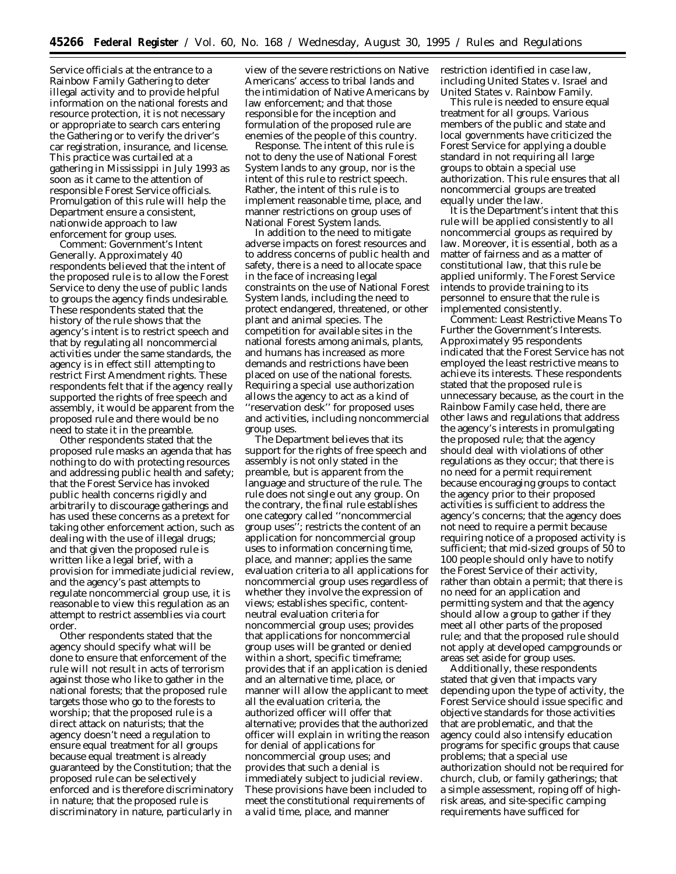Service officials at the entrance to a Rainbow Family Gathering to deter illegal activity and to provide helpful information on the national forests and resource protection, it is not necessary or appropriate to search cars entering the Gathering or to verify the driver's car registration, insurance, and license. This practice was curtailed at a gathering in Mississippi in July 1993 as soon as it came to the attention of responsible Forest Service officials. Promulgation of this rule will help the Department ensure a consistent, nationwide approach to law enforcement for group uses.

*Comment: Government's Intent Generally.* Approximately 40 respondents believed that the intent of the proposed rule is to allow the Forest Service to deny the use of public lands to groups the agency finds undesirable. These respondents stated that the history of the rule shows that the agency's intent is to restrict speech and that by regulating all noncommercial activities under the same standards, the agency is in effect still attempting to restrict First Amendment rights. These respondents felt that if the agency really supported the rights of free speech and assembly, it would be apparent from the proposed rule and there would be no need to state it in the preamble.

Other respondents stated that the proposed rule masks an agenda that has nothing to do with protecting resources and addressing public health and safety; that the Forest Service has invoked public health concerns rigidly and arbitrarily to discourage gatherings and has used these concerns as a pretext for taking other enforcement action, such as dealing with the use of illegal drugs; and that given the proposed rule is written like a legal brief, with a provision for immediate judicial review, and the agency's past attempts to regulate noncommercial group use, it is reasonable to view this regulation as an attempt to restrict assemblies via court order.

Other respondents stated that the agency should specify what will be done to ensure that enforcement of the rule will not result in acts of terrorism against those who like to gather in the national forests; that the proposed rule targets those who go to the forests to worship; that the proposed rule is a direct attack on naturists; that the agency doesn't need a regulation to ensure equal treatment for all groups because equal treatment is already guaranteed by the Constitution; that the proposed rule can be selectively enforced and is therefore discriminatory in nature; that the proposed rule is discriminatory in nature, particularly in

view of the severe restrictions on Native Americans' access to tribal lands and the intimidation of Native Americans by law enforcement; and that those responsible for the inception and formulation of the proposed rule are enemies of the people of this country.

*Response.* The intent of this rule is not to deny the use of National Forest System lands to any group, nor is the intent of this rule to restrict speech. Rather, the intent of this rule is to implement reasonable time, place, and manner restrictions on group uses of National Forest System lands.

In addition to the need to mitigate adverse impacts on forest resources and to address concerns of public health and safety, there is a need to allocate space in the face of increasing legal constraints on the use of National Forest System lands, including the need to protect endangered, threatened, or other plant and animal species. The competition for available sites in the national forests among animals, plants, and humans has increased as more demands and restrictions have been placed on use of the national forests. Requiring a special use authorization allows the agency to act as a kind of ''reservation desk'' for proposed uses and activities, including noncommercial group uses.

The Department believes that its support for the rights of free speech and assembly is not only stated in the preamble, but is apparent from the language and structure of the rule. The rule does not single out any group. On the contrary, the final rule establishes one category called ''noncommercial group uses''; restricts the content of an application for noncommercial group uses to information concerning time, place, and manner; applies the same evaluation criteria to all applications for noncommercial group uses regardless of whether they involve the expression of views; establishes specific, contentneutral evaluation criteria for noncommercial group uses; provides that applications for noncommercial group uses will be granted or denied within a short, specific timeframe; provides that if an application is denied and an alternative time, place, or manner will allow the applicant to meet all the evaluation criteria, the authorized officer will offer that alternative; provides that the authorized officer will explain in writing the reason for denial of applications for noncommercial group uses; and provides that such a denial is immediately subject to judicial review. These provisions have been included to meet the constitutional requirements of a valid time, place, and manner

restriction identified in case law, including *United States* v. *Israel* and *United States* v. *Rainbow Family.*

This rule is needed to ensure equal treatment for all groups. Various members of the public and state and local governments have criticized the Forest Service for applying a double standard in not requiring all large groups to obtain a special use authorization. This rule ensures that all noncommercial groups are treated equally under the law.

It is the Department's intent that this rule will be applied consistently to all noncommercial groups as required by law. Moreover, it is essential, both as a matter of fairness and as a matter of constitutional law, that this rule be applied uniformly. The Forest Service intends to provide training to its personnel to ensure that the rule is implemented consistently.

*Comment: Least Restrictive Means To Further the Government's Interests.* Approximately 95 respondents indicated that the Forest Service has not employed the least restrictive means to achieve its interests. These respondents stated that the proposed rule is unnecessary because, as the court in the *Rainbow Family* case held, there are other laws and regulations that address the agency's interests in promulgating the proposed rule; that the agency should deal with violations of other regulations as they occur; that there is no need for a permit requirement because encouraging groups to contact the agency prior to their proposed activities is sufficient to address the agency's concerns; that the agency does not need to require a permit because requiring notice of a proposed activity is sufficient; that mid-sized groups of 50 to 100 people should only have to notify the Forest Service of their activity, rather than obtain a permit; that there is no need for an application and permitting system and that the agency should allow a group to gather if they meet all other parts of the proposed rule; and that the proposed rule should not apply at developed campgrounds or areas set aside for group uses.

Additionally, these respondents stated that given that impacts vary depending upon the type of activity, the Forest Service should issue specific and objective standards for those activities that are problematic, and that the agency could also intensify education programs for specific groups that cause problems; that a special use authorization should not be required for church, club, or family gatherings; that a simple assessment, roping off of highrisk areas, and site-specific camping requirements have sufficed for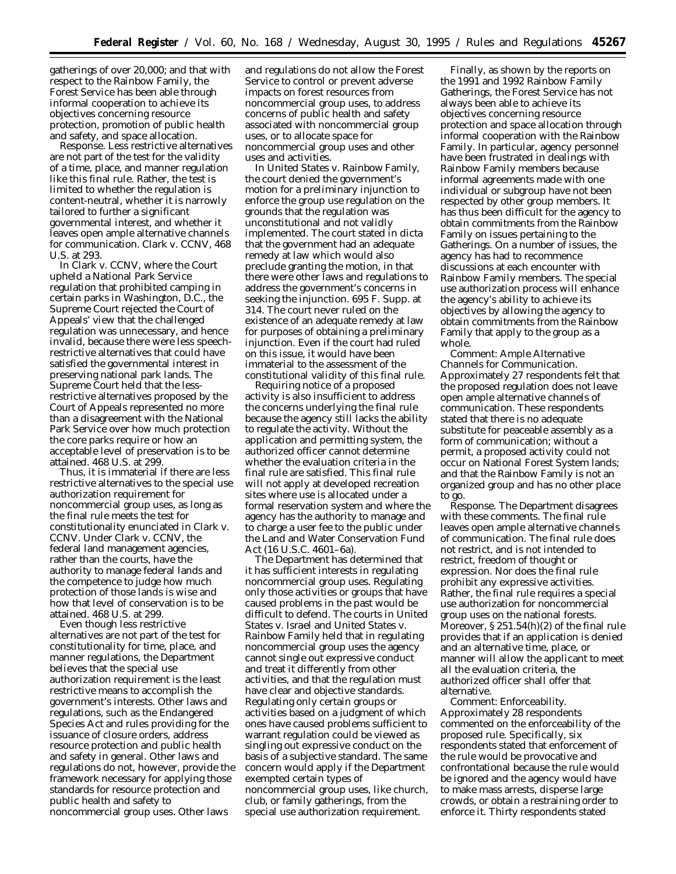gatherings of over 20,000; and that with respect to the Rainbow Family, the Forest Service has been able through informal cooperation to achieve its objectives concerning resource protection, promotion of public health and safety, and space allocation.

*Response.* Less restrictive alternatives are not part of the test for the validity of a time, place, and manner regulation like this final rule. Rather, the test is limited to whether the regulation is content-neutral, whether it is narrowly tailored to further a significant governmental interest, and whether it leaves open ample alternative channels for communication. *Clark* v. *CCNV,* 468 U.S. at 293.

In *Clark* v. *CCNV,* where the Court upheld a National Park Service regulation that prohibited camping in certain parks in Washington, D.C., the Supreme Court rejected the Court of Appeals' view that the challenged regulation was unnecessary, and hence invalid, because there were less speechrestrictive alternatives that could have satisfied the governmental interest in preserving national park lands. The Supreme Court held that the lessrestrictive alternatives proposed by the Court of Appeals represented no more than a disagreement with the National Park Service over how much protection the core parks require or how an acceptable level of preservation is to be attained. 468 U.S. at 299.

Thus, it is immaterial if there are less restrictive alternatives to the special use authorization requirement for noncommercial group uses, as long as the final rule meets the test for constitutionality enunciated in *Clark* v. *CCNV.* Under *Clark* v. *CCNV,* the federal land management agencies, rather than the courts, have the authority to manage federal lands and the competence to judge how much protection of those lands is wise and how that level of conservation is to be attained. 468 U.S. at 299.

Even though less restrictive alternatives are not part of the test for constitutionality for time, place, and manner regulations, the Department believes that the special use authorization requirement is the least restrictive means to accomplish the government's interests. Other laws and regulations, such as the Endangered Species Act and rules providing for the issuance of closure orders, address resource protection and public health and safety in general. Other laws and regulations do not, however, provide the framework necessary for applying those standards for resource protection and public health and safety to noncommercial group uses. Other laws

and regulations do not allow the Forest Service to control or prevent adverse impacts on forest resources from noncommercial group uses, to address concerns of public health and safety associated with noncommercial group uses, or to allocate space for noncommercial group uses and other uses and activities.

In *United States* v. *Rainbow Family,* the court denied the government's motion for a preliminary injunction to enforce the group use regulation on the grounds that the regulation was unconstitutional and not validly implemented. The court stated in dicta that the government had an adequate remedy at law which would also preclude granting the motion, in that there were other laws and regulations to address the government's concerns in seeking the injunction. 695 F. Supp. at 314. The court never ruled on the existence of an adequate remedy at law for purposes of obtaining a preliminary injunction. Even if the court had ruled on this issue, it would have been immaterial to the assessment of the constitutional validity of this final rule.

Requiring notice of a proposed activity is also insufficient to address the concerns underlying the final rule because the agency still lacks the ability to regulate the activity. Without the application and permitting system, the authorized officer cannot determine whether the evaluation criteria in the final rule are satisfied. This final rule will not apply at developed recreation sites where use is allocated under a formal reservation system and where the agency has the authority to manage and to charge a user fee to the public under the Land and Water Conservation Fund Act (16 U.S.C. 4601–6a).

The Department has determined that it has sufficient interests in regulating noncommercial group uses. Regulating only those activities or groups that have caused problems in the past would be difficult to defend. The courts in *United States* v. *Israel* and *United States* v. *Rainbow Family* held that in regulating noncommercial group uses the agency cannot single out expressive conduct and treat it differently from other activities, and that the regulation must have clear and objective standards. Regulating only certain groups or activities based on a judgment of which ones have caused problems sufficient to warrant regulation could be viewed as singling out expressive conduct on the basis of a subjective standard. The same concern would apply if the Department exempted certain types of noncommercial group uses, like church, club, or family gatherings, from the special use authorization requirement.

Finally, as shown by the reports on the 1991 and 1992 Rainbow Family Gatherings, the Forest Service has not always been able to achieve its objectives concerning resource protection and space allocation through informal cooperation with the Rainbow Family. In particular, agency personnel have been frustrated in dealings with Rainbow Family members because informal agreements made with one individual or subgroup have not been respected by other group members. It has thus been difficult for the agency to obtain commitments from the Rainbow Family on issues pertaining to the Gatherings. On a number of issues, the agency has had to recommence discussions at each encounter with Rainbow Family members. The special use authorization process will enhance the agency's ability to achieve its objectives by allowing the agency to obtain commitments from the Rainbow Family that apply to the group as a whole.

*Comment: Ample Alternative Channels for Communication.* Approximately 27 respondents felt that the proposed regulation does not leave open ample alternative channels of communication. These respondents stated that there is no adequate substitute for peaceable assembly as a form of communication; without a permit, a proposed activity could not occur on National Forest System lands; and that the Rainbow Family is not an organized group and has no other place to go.

*Response.* The Department disagrees with these comments. The final rule leaves open ample alternative channels of communication. The final rule does not restrict, and is not intended to restrict, freedom of thought or expression. Nor does the final rule prohibit any expressive activities. Rather, the final rule requires a special use authorization for noncommercial group uses on the national forests. Moreover, § 251.54(h)(2) of the final rule provides that if an application is denied and an alternative time, place, or manner will allow the applicant to meet all the evaluation criteria, the authorized officer shall offer that alternative.

*Comment: Enforceability.* Approximately 28 respondents commented on the enforceability of the proposed rule. Specifically, six respondents stated that enforcement of the rule would be provocative and confrontational because the rule would be ignored and the agency would have to make mass arrests, disperse large crowds, or obtain a restraining order to enforce it. Thirty respondents stated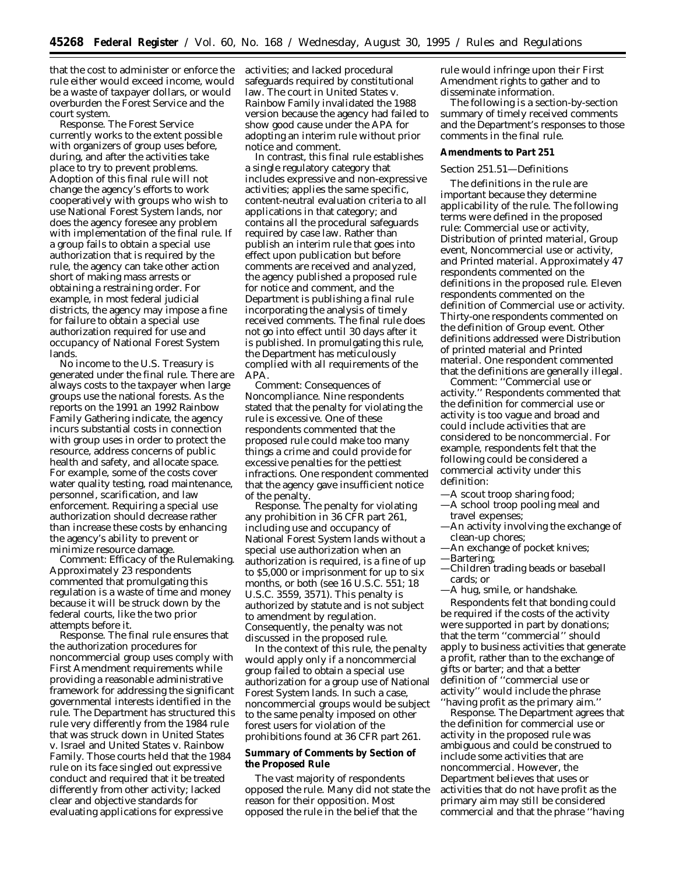that the cost to administer or enforce the rule either would exceed income, would be a waste of taxpayer dollars, or would overburden the Forest Service and the court system.

*Response.* The Forest Service currently works to the extent possible with organizers of group uses before, during, and after the activities take place to try to prevent problems. Adoption of this final rule will not change the agency's efforts to work cooperatively with groups who wish to use National Forest System lands, nor does the agency foresee any problem with implementation of the final rule. If a group fails to obtain a special use authorization that is required by the rule, the agency can take other action short of making mass arrests or obtaining a restraining order. For example, in most federal judicial districts, the agency may impose a fine for failure to obtain a special use authorization required for use and occupancy of National Forest System lands.

No income to the U.S. Treasury is generated under the final rule. There are always costs to the taxpayer when large groups use the national forests. As the reports on the 1991 an 1992 Rainbow Family Gathering indicate, the agency incurs substantial costs in connection with group uses in order to protect the resource, address concerns of public health and safety, and allocate space. For example, some of the costs cover water quality testing, road maintenance, personnel, scarification, and law enforcement. Requiring a special use authorization should decrease rather than increase these costs by enhancing the agency's ability to prevent or minimize resource damage.

*Comment: Efficacy of the Rulemaking.* Approximately 23 respondents commented that promulgating this regulation is a waste of time and money because it will be struck down by the federal courts, like the two prior attempts before it.

*Response.* The final rule ensures that the authorization procedures for noncommercial group uses comply with First Amendment requirements while providing a reasonable administrative framework for addressing the significant governmental interests identified in the rule. The Department has structured this rule very differently from the 1984 rule that was struck down in *United States* v. *Israel* and *United States* v. *Rainbow Family.* Those courts held that the 1984 rule on its face singled out expressive conduct and required that it be treated differently from other activity; lacked clear and objective standards for evaluating applications for expressive

activities; and lacked procedural safeguards required by constitutional law. The court in *United States* v. *Rainbow Family* invalidated the 1988 version because the agency had failed to show good cause under the APA for adopting an interim rule without prior notice and comment.

In contrast, this final rule establishes a single regulatory category that includes expressive and non-expressive activities; applies the same specific, content-neutral evaluation criteria to all applications in that category; and contains all the procedural safeguards required by case law. Rather than publish an interim rule that goes into effect upon publication but before comments are received and analyzed, the agency published a proposed rule for notice and comment, and the Department is publishing a final rule incorporating the analysis of timely received comments. The final rule does not go into effect until 30 days after it is published. In promulgating this rule, the Department has meticulously complied with all requirements of the APA.

*Comment: Consequences of Noncompliance.* Nine respondents stated that the penalty for violating the rule is excessive. One of these respondents commented that the proposed rule could make too many things a crime and could provide for excessive penalties for the pettiest infractions. One respondent commented that the agency gave insufficient notice of the penalty.

*Response.* The penalty for violating any prohibition in 36 CFR part 261, including use and occupancy of National Forest System lands without a special use authorization when an authorization is required, is a fine of up to \$5,000 or imprisonment for up to six months, or both (*see* 16 U.S.C. 551; 18 U.S.C. 3559, 3571). This penalty is authorized by statute and is not subject to amendment by regulation. Consequently, the penalty was not discussed in the proposed rule.

In the context of this rule, the penalty would apply only if a noncommercial group failed to obtain a special use authorization for a group use of National Forest System lands. In such a case, noncommercial groups would be subject to the same penalty imposed on other forest users for violation of the prohibitions found at 36 CFR part 261.

# **Summary of Comments by Section of the Proposed Rule**

The vast majority of respondents opposed the rule. Many did not state the reason for their opposition. Most opposed the rule in the belief that the

rule would infringe upon their First Amendment rights to gather and to disseminate information.

The following is a section-by-section summary of timely received comments and the Department's responses to those comments in the final rule.

#### **Amendments to Part 251**

# *Section 251.51—Definitions*

The definitions in the rule are important because they determine applicability of the rule. The following terms were defined in the proposed rule: *Commercial use or activity, Distribution of printed material, Group event, Noncommercial use or activity,* and *Printed material.* Approximately 47 respondents commented on the definitions in the proposed rule. Eleven respondents commented on the definition of *Commercial use or activity.* Thirty-one respondents commented on the definition of *Group event.* Other definitions addressed were *Distribution of printed material* and *Printed material.* One respondent commented that the definitions are generally illegal.

*Comment:* ''*Commercial use or activity.*'' Respondents commented that the definition for commercial use or activity is too vague and broad and could include activities that are considered to be noncommercial. For example, respondents felt that the following could be considered a commercial activity under this definition:

- —A scout troop sharing food;
- —A school troop pooling meal and travel expenses;
- —An activity involving the exchange of clean-up chores;
- —An exchange of pocket knives;
- —Bartering;
- —Children trading beads or baseball cards; or

—A hug, smile, or handshake.

Respondents felt that bonding could be required if the costs of the activity were supported in part by donations; that the term ''commercial'' should apply to business activities that generate a profit, rather than to the exchange of gifts or barter; and that a better definition of ''commercial use or activity'' would include the phrase ''having profit as the primary aim.''

*Response.* The Department agrees that the definition for commercial use or activity in the proposed rule was ambiguous and could be construed to include some activities that are noncommercial. However, the Department believes that uses or activities that do not have profit as the primary aim may still be considered commercial and that the phrase ''having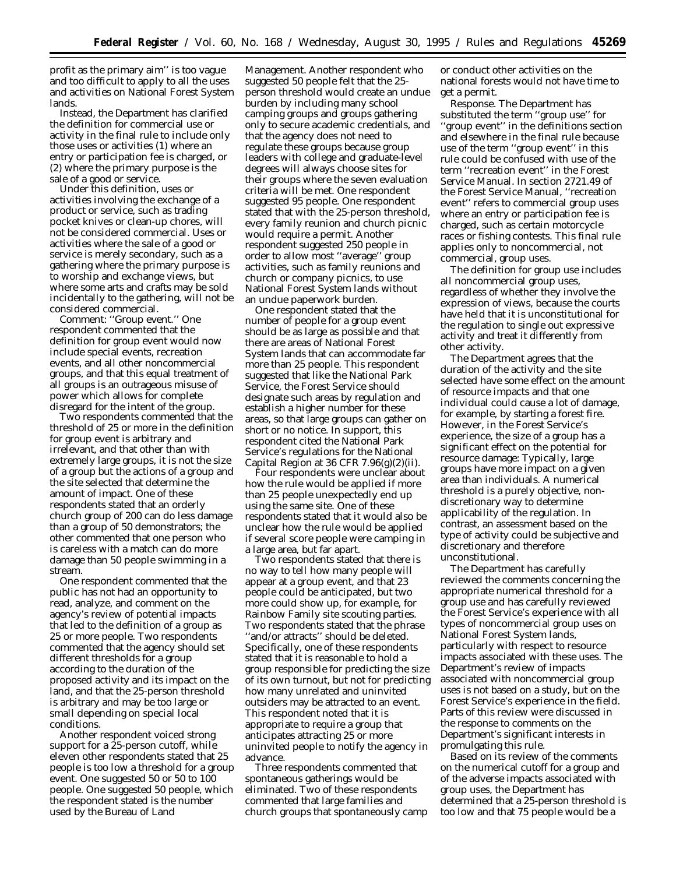profit as the primary aim'' is too vague and too difficult to apply to all the uses and activities on National Forest System lands.

Instead, the Department has clarified the definition for commercial use or activity in the final rule to include only those uses or activities (1) where an entry or participation fee is charged, or (2) where the primary purpose is the sale of a good or service.

Under this definition, uses or activities involving the exchange of a product or service, such as trading pocket knives or clean-up chores, will not be considered commercial. Uses or activities where the sale of a good or service is merely secondary, such as a gathering where the primary purpose is to worship and exchange views, but where some arts and crafts may be sold incidentally to the gathering, will not be considered commercial.

*Comment:* ''*Group event.*'' One respondent commented that the definition for group event would now include special events, recreation events, and all other noncommercial groups, and that this equal treatment of all groups is an outrageous misuse of power which allows for complete disregard for the intent of the group.

Two respondents commented that the threshold of 25 or more in the definition for group event is arbitrary and irrelevant, and that other than with extremely large groups, it is not the size of a group but the actions of a group and the site selected that determine the amount of impact. One of these respondents stated that an orderly church group of 200 can do less damage than a group of 50 demonstrators; the other commented that one person who is careless with a match can do more damage than 50 people swimming in a stream.

One respondent commented that the public has not had an opportunity to read, analyze, and comment on the agency's review of potential impacts that led to the definition of a group as 25 or more people. Two respondents commented that the agency should set different thresholds for a group according to the duration of the proposed activity and its impact on the land, and that the 25-person threshold is arbitrary and may be too large or small depending on special local conditions.

Another respondent voiced strong support for a 25-person cutoff, while eleven other respondents stated that 25 people is too low a threshold for a group event. One suggested 50 or 50 to 100 people. One suggested 50 people, which the respondent stated is the number used by the Bureau of Land

Management. Another respondent who suggested 50 people felt that the 25 person threshold would create an undue burden by including many school camping groups and groups gathering only to secure academic credentials, and that the agency does not need to regulate these groups because group leaders with college and graduate-level degrees will always choose sites for their groups where the seven evaluation criteria will be met. One respondent suggested 95 people. One respondent stated that with the 25-person threshold, every family reunion and church picnic would require a permit. Another respondent suggested 250 people in order to allow most ''average'' group activities, such as family reunions and church or company picnics, to use National Forest System lands without an undue paperwork burden.

One respondent stated that the number of people for a group event should be as large as possible and that there are areas of National Forest System lands that can accommodate far more than 25 people. This respondent suggested that like the National Park Service, the Forest Service should designate such areas by regulation and establish a higher number for these areas, so that large groups can gather on short or no notice. In support, this respondent cited the National Park Service's regulations for the National Capital Region at 36 CFR  $7.96(g)(2)(ii)$ .

Four respondents were unclear about how the rule would be applied if more than 25 people unexpectedly end up using the same site. One of these respondents stated that it would also be unclear how the rule would be applied if several score people were camping in a large area, but far apart.

Two respondents stated that there is no way to tell how many people will appear at a group event, and that 23 people could be anticipated, but two more could show up, for example, for Rainbow Family site scouting parties. Two respondents stated that the phrase ''and/or attracts'' should be deleted. Specifically, one of these respondents stated that it is reasonable to hold a group responsible for predicting the size of its own turnout, but not for predicting how many unrelated and uninvited outsiders may be attracted to an event. This respondent noted that it is appropriate to require a group that anticipates attracting 25 or more uninvited people to notify the agency in advance.

Three respondents commented that spontaneous gatherings would be eliminated. Two of these respondents commented that large families and church groups that spontaneously camp or conduct other activities on the national forests would not have time to get a permit.

*Response.* The Department has substituted the term ''group use'' for ''group event'' in the definitions section and elsewhere in the final rule because use of the term ''group event'' in this rule could be confused with use of the term ''recreation event'' in the Forest Service Manual. In section 2721.49 of the Forest Service Manual, ''recreation event'' refers to commercial group uses where an entry or participation fee is charged, such as certain motorcycle races or fishing contests. This final rule applies only to noncommercial, not commercial, group uses.

The definition for group use includes all noncommercial group uses, regardless of whether they involve the expression of views, because the courts have held that it is unconstitutional for the regulation to single out expressive activity and treat it differently from other activity.

The Department agrees that the duration of the activity and the site selected have some effect on the amount of resource impacts and that one individual could cause a lot of damage, for example, by starting a forest fire. However, in the Forest Service's experience, the size of a group has a significant effect on the potential for resource damage: Typically, large groups have more impact on a given area than individuals. A numerical threshold is a purely objective, nondiscretionary way to determine applicability of the regulation. In contrast, an assessment based on the type of activity could be subjective and discretionary and therefore unconstitutional.

The Department has carefully reviewed the comments concerning the appropriate numerical threshold for a group use and has carefully reviewed the Forest Service's experience with all types of noncommercial group uses on National Forest System lands, particularly with respect to resource impacts associated with these uses. The Department's review of impacts associated with noncommercial group uses is not based on a study, but on the Forest Service's experience in the field. Parts of this review were discussed in the response to comments on the Department's significant interests in promulgating this rule.

Based on its review of the comments on the numerical cutoff for a group and of the adverse impacts associated with group uses, the Department has determined that a 25-person threshold is too low and that 75 people would be a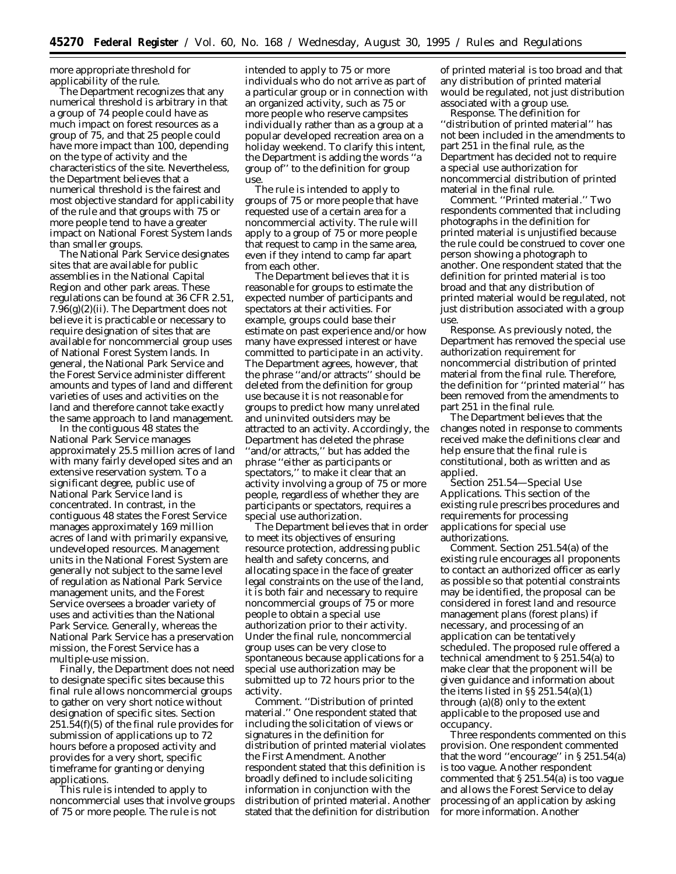more appropriate threshold for applicability of the rule.

The Department recognizes that any numerical threshold is arbitrary in that a group of 74 people could have as much impact on forest resources as a group of 75, and that 25 people could have more impact than 100, depending on the type of activity and the characteristics of the site. Nevertheless, the Department believes that a numerical threshold is the fairest and most objective standard for applicability of the rule and that groups with 75 or more people tend to have a greater impact on National Forest System lands than smaller groups.

The National Park Service designates sites that are available for public assemblies in the National Capital Region and other park areas. These regulations can be found at 36 CFR 2.51, 7.96(g)(2)(ii). The Department does not believe it is practicable or necessary to require designation of sites that are available for noncommercial group uses of National Forest System lands. In general, the National Park Service and the Forest Service administer different amounts and types of land and different varieties of uses and activities on the land and therefore cannot take exactly the same approach to land management.

In the contiguous 48 states the National Park Service manages approximately 25.5 million acres of land with many fairly developed sites and an extensive reservation system. To a significant degree, public use of National Park Service land is concentrated. In contrast, in the contiguous 48 states the Forest Service manages approximately 169 million acres of land with primarily expansive, undeveloped resources. Management units in the National Forest System are generally not subject to the same level of regulation as National Park Service management units, and the Forest Service oversees a broader variety of uses and activities than the National Park Service. Generally, whereas the National Park Service has a preservation mission, the Forest Service has a multiple-use mission.

Finally, the Department does not need to designate specific sites because this final rule allows noncommercial groups to gather on very short notice without designation of specific sites. Section 251.54(f)(5) of the final rule provides for submission of applications up to 72 hours before a proposed activity and provides for a very short, specific timeframe for granting or denying applications.

This rule is intended to apply to noncommercial uses that involve groups of 75 or more people. The rule is not

intended to apply to 75 or more individuals who do not arrive as part of a particular group or in connection with an organized activity, such as 75 or more people who reserve campsites individually rather than as a group at a popular developed recreation area on a holiday weekend. To clarify this intent, the Department is adding the words ''a group of'' to the definition for group use.

The rule is intended to apply to groups of 75 or more people that have requested use of a certain area for a noncommercial activity. The rule will apply to a group of 75 or more people that request to camp in the same area, even if they intend to camp far apart from each other.

The Department believes that it is reasonable for groups to estimate the expected number of participants and spectators at their activities. For example, groups could base their estimate on past experience and/or how many have expressed interest or have committed to participate in an activity. The Department agrees, however, that the phrase ''and/or attracts'' should be deleted from the definition for group use because it is not reasonable for groups to predict how many unrelated and uninvited outsiders may be attracted to an activity. Accordingly, the Department has deleted the phrase ''and/or attracts,'' but has added the phrase ''either as participants or spectators,'' to make it clear that an activity involving a group of 75 or more people, regardless of whether they are participants or spectators, requires a special use authorization.

The Department believes that in order to meet its objectives of ensuring resource protection, addressing public health and safety concerns, and allocating space in the face of greater legal constraints on the use of the land, it is both fair and necessary to require noncommercial groups of 75 or more people to obtain a special use authorization prior to their activity. Under the final rule, noncommercial group uses can be very close to spontaneous because applications for a special use authorization may be submitted up to 72 hours prior to the activity.

*Comment.* ''Distribution of printed material.'' One respondent stated that including the solicitation of views or signatures in the definition for distribution of printed material violates the First Amendment. Another respondent stated that this definition is broadly defined to include soliciting information in conjunction with the distribution of printed material. Another stated that the definition for distribution

of printed material is too broad and that any distribution of printed material would be regulated, not just distribution associated with a group use.

*Response.* The definition for ''distribution of printed material'' has not been included in the amendments to part 251 in the final rule, as the Department has decided not to require a special use authorization for noncommercial distribution of printed material in the final rule.

*Comment.* ''Printed material.'' Two respondents commented that including photographs in the definition for printed material is unjustified because the rule could be construed to cover one person showing a photograph to another. One respondent stated that the definition for printed material is too broad and that any distribution of printed material would be regulated, not just distribution associated with a group use.

*Response.* As previously noted, the Department has removed the special use authorization requirement for noncommercial distribution of printed material from the final rule. Therefore, the definition for ''printed material'' has been removed from the amendments to part 251 in the final rule.

The Department believes that the changes noted in response to comments received make the definitions clear and help ensure that the final rule is constitutional, both as written and as applied.

*Section 251.54—Special Use Applications.* This section of the existing rule prescribes procedures and requirements for processing applications for special use authorizations.

*Comment.* Section 251.54(a) of the existing rule encourages all proponents to contact an authorized officer as early as possible so that potential constraints may be identified, the proposal can be considered in forest land and resource management plans (forest plans) if necessary, and processing of an application can be tentatively scheduled. The proposed rule offered a technical amendment to § 251.54(a) to make clear that the proponent will be given guidance and information about the items listed in §§ 251.54(a)(1) through (a)(8) only to the extent applicable to the proposed use and occupancy.

Three respondents commented on this provision. One respondent commented that the word ''encourage'' in § 251.54(a) is too vague. Another respondent commented that § 251.54(a) is too vague and allows the Forest Service to delay processing of an application by asking for more information. Another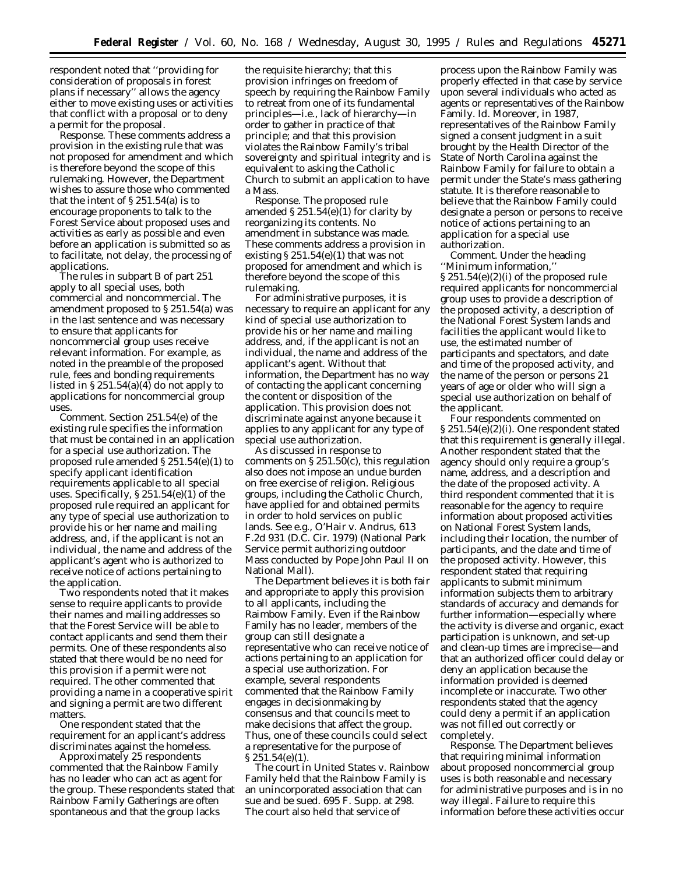respondent noted that ''providing for consideration of proposals in forest plans if necessary'' allows the agency either to move existing uses or activities that conflict with a proposal or to deny a permit for the proposal.

*Response.* These comments address a provision in the existing rule that was not proposed for amendment and which is therefore beyond the scope of this rulemaking. However, the Department wishes to assure those who commented that the intent of  $\S 251.54(a)$  is to encourage proponents to talk to the Forest Service about proposed uses and activities as early as possible and even before an application is submitted so as to facilitate, not delay, the processing of applications.

The rules in subpart B of part 251 apply to all special uses, both commercial and noncommercial. The amendment proposed to § 251.54(a) was in the last sentence and was necessary to ensure that applicants for noncommercial group uses receive relevant information. For example, as noted in the preamble of the proposed rule, fees and bonding requirements listed in § 251.54(a)(4) do not apply to applications for noncommercial group uses.

*Comment.* Section 251.54(e) of the existing rule specifies the information that must be contained in an application for a special use authorization. The proposed rule amended § 251.54(e)(1) to specify applicant identification requirements applicable to all special uses. Specifically, § 251.54(e)(1) of the proposed rule required an applicant for any type of special use authorization to provide his or her name and mailing address, and, if the applicant is not an individual, the name and address of the applicant's agent who is authorized to receive notice of actions pertaining to the application.

Two respondents noted that it makes sense to require applicants to provide their names and mailing addresses so that the Forest Service will be able to contact applicants and send them their permits. One of these respondents also stated that there would be no need for this provision if a permit were not required. The other commented that providing a name in a cooperative spirit and signing a permit are two different matters.

One respondent stated that the requirement for an applicant's address discriminates against the homeless.

Approximately 25 respondents commented that the Rainbow Family has no leader who can act as agent for the group. These respondents stated that Rainbow Family Gatherings are often spontaneous and that the group lacks

the requisite hierarchy; that this provision infringes on freedom of speech by requiring the Rainbow Family to retreat from one of its fundamental principles—*i.e.*, lack of hierarchy—in order to gather in practice of that principle; and that this provision violates the Rainbow Family's tribal sovereignty and spiritual integrity and is equivalent to asking the Catholic Church to submit an application to have a Mass.

*Response.* The proposed rule amended  $$251.54(e)(1)$  for clarity by reorganizing its contents. No amendment in substance was made. These comments address a provision in existing  $$251.54(e)(1)$  that was not proposed for amendment and which is therefore beyond the scope of this rulemaking.

For administrative purposes, it is necessary to require an applicant for any kind of special use authorization to provide his or her name and mailing address, and, if the applicant is not an individual, the name and address of the applicant's agent. Without that information, the Department has no way of contacting the applicant concerning the content or disposition of the application. This provision does not discriminate against anyone because it applies to any applicant for any type of special use authorization.

As discussed in response to comments on § 251.50(c), this regulation also does not impose an undue burden on free exercise of religion. Religious groups, including the Catholic Church, have applied for and obtained permits in order to hold services on public lands. *See e.g.*, *O'Hair* v. *Andrus*, 613 F.2d 931 (D.C. Cir. 1979) (National Park Service permit authorizing outdoor Mass conducted by Pope John Paul II on National Mall).

The Department believes it is both fair and appropriate to apply this provision to all applicants, including the Raimbow Family. Even if the Rainbow Family has no leader, members of the group can still designate a representative who can receive notice of actions pertaining to an application for a special use authorization. For example, several respondents commented that the Rainbow Family engages in decisionmaking by consensus and that councils meet to make decisions that affect the group. Thus, one of these councils could select a representative for the purpose of § 251.54(e)(1).

The court in *United States* v. *Rainbow Family* held that the Rainbow Family is an unincorporated association that can sue and be sued. 695 F. Supp. at 298. The court also held that service of

process upon the Rainbow Family was properly effected in that case by service upon several individuals who acted as agents or representatives of the Rainbow Family. *Id.* Moreover, in 1987, representatives of the Rainbow Family signed a consent judgment in a suit brought by the Health Director of the State of North Carolina against the Rainbow Family for failure to obtain a permit under the State's mass gathering statute. It is therefore reasonable to believe that the Rainbow Family could designate a person or persons to receive notice of actions pertaining to an application for a special use authorization.

*Comment.* Under the heading ''Minimum information,'' § 251.54(e)(2)(i) of the proposed rule required applicants for noncommercial group uses to provide a description of the proposed activity, a description of the National Forest System lands and facilities the applicant would like to use, the estimated number of participants and spectators, and date and time of the proposed activity, and the name of the person or persons 21 years of age or older who will sign a special use authorization on behalf of the applicant.

Four respondents commented on § 251.54(e)(2)(i). One respondent stated that this requirement is generally illegal. Another respondent stated that the agency should only require a group's name, address, and a description and the date of the proposed activity. A third respondent commented that it is reasonable for the agency to require information about proposed activities on National Forest System lands, including their location, the number of participants, and the date and time of the proposed activity. However, this respondent stated that requiring applicants to submit minimum information subjects them to arbitrary standards of accuracy and demands for further information—especially where the activity is diverse and organic, exact participation is unknown, and set-up and clean-up times are imprecise—and that an authorized officer could delay or deny an application because the information provided is deemed incomplete or inaccurate. Two other respondents stated that the agency could deny a permit if an application was not filled out correctly or completely.

*Response.* The Department believes that requiring minimal information about proposed noncommercial group uses is both reasonable and necessary for administrative purposes and is in no way illegal. Failure to require this information before these activities occur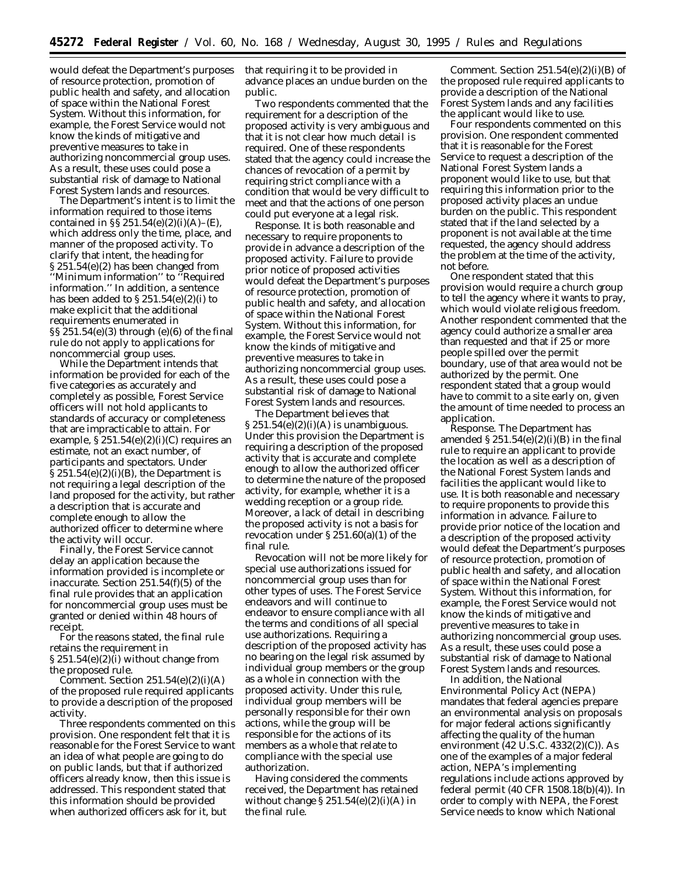would defeat the Department's purposes of resource protection, promotion of public health and safety, and allocation of space within the National Forest System. Without this information, for example, the Forest Service would not know the kinds of mitigative and preventive measures to take in authorizing noncommercial group uses. As a result, these uses could pose a substantial risk of damage to National Forest System lands and resources.

The Department's intent is to limit the information required to those items contained in  $\S$ § 251.54(e)(2)(i)(A)–(E), which address only the time, place, and manner of the proposed activity. To clarify that intent, the heading for § 251.54(e)(2) has been changed from ''Minimum information'' to ''Required information.'' In addition, a sentence has been added to  $\S 251.54(e)(2)(i)$  to make explicit that the additional requirements enumerated in §§ 251.54(e)(3) through (e)(6) of the final rule do not apply to applications for noncommercial group uses.

While the Department intends that information be provided for each of the five categories as accurately and completely as possible, Forest Service officers will not hold applicants to standards of accuracy or completeness that are impracticable to attain. For example,  $$251.54(e)(2)(i)(C)$  requires an estimate, not an exact number, of participants and spectators. Under  $\S 251.54(e)(2)(i)(B)$ , the Department is not requiring a legal description of the land proposed for the activity, but rather a description that is accurate and complete enough to allow the authorized officer to determine where the activity will occur.

Finally, the Forest Service cannot delay an application because the information provided is incomplete or inaccurate. Section 251.54(f)(5) of the final rule provides that an application for noncommercial group uses must be granted or denied within 48 hours of receipt.

For the reasons stated, the final rule retains the requirement in § 251.54(e)(2)(i) without change from the proposed rule.

*Comment.* Section 251.54(e)(2)(i)(A) of the proposed rule required applicants to provide a description of the proposed activity.

Three respondents commented on this provision. One respondent felt that it is reasonable for the Forest Service to want an idea of what people are going to do on public lands, but that if authorized officers already know, then this issue is addressed. This respondent stated that this information should be provided when authorized officers ask for it, but

that requiring it to be provided in advance places an undue burden on the public.

Two respondents commented that the requirement for a description of the proposed activity is very ambiguous and that it is not clear how much detail is required. One of these respondents stated that the agency could increase the chances of revocation of a permit by requiring strict compliance with a condition that would be very difficult to meet and that the actions of one person could put everyone at a legal risk.

*Response.* It is both reasonable and necessary to require proponents to provide in advance a description of the proposed activity. Failure to provide prior notice of proposed activities would defeat the Department's purposes of resource protection, promotion of public health and safety, and allocation of space within the National Forest System. Without this information, for example, the Forest Service would not know the kinds of mitigative and preventive measures to take in authorizing noncommercial group uses. As a result, these uses could pose a substantial risk of damage to National Forest System lands and resources.

The Department believes that  $\S 251.54(e)(2)(i)(A)$  is unambiguous. Under this provision the Department is requiring a description of the proposed activity that is accurate and complete enough to allow the authorized officer to determine the nature of the proposed activity, for example, whether it is a wedding reception or a group ride. Moreover, a lack of detail in describing the proposed activity is not a basis for revocation under § 251.60(a)(1) of the final rule.

Revocation will not be more likely for special use authorizations issued for noncommercial group uses than for other types of uses. The Forest Service endeavors and will continue to endeavor to ensure compliance with all the terms and conditions of all special use authorizations. Requiring a description of the proposed activity has no bearing on the legal risk assumed by individual group members or the group as a whole in connection with the proposed activity. Under this rule, individual group members will be personally responsible for their own actions, while the group will be responsible for the actions of its members as a whole that relate to compliance with the special use authorization.

Having considered the comments received, the Department has retained without change  $$ 251.54(e)(2)(i)(A)$  in the final rule.

*Comment.* Section 251.54(e)(2)(i)(B) of the proposed rule required applicants to provide a description of the National Forest System lands and any facilities the applicant would like to use.

Four respondents commented on this provision. One respondent commented that it is reasonable for the Forest Service to request a description of the National Forest System lands a proponent would like to use, but that requiring this information prior to the proposed activity places an undue burden on the public. This respondent stated that if the land selected by a proponent is not available at the time requested, the agency should address the problem at the time of the activity, not before.

One respondent stated that this provision would require a church group to tell the agency where it wants to pray, which would violate religious freedom. Another respondent commented that the agency could authorize a smaller area than requested and that if 25 or more people spilled over the permit boundary, use of that area would not be authorized by the permit. One respondent stated that a group would have to commit to a site early on, given the amount of time needed to process an application.

*Response.* The Department has amended  $$251.54(e)(2)(i)(B)$  in the final rule to require an applicant to provide the location as well as a description of the National Forest System lands and facilities the applicant would like to use. It is both reasonable and necessary to require proponents to provide this information in advance. Failure to provide prior notice of the location and a description of the proposed activity would defeat the Department's purposes of resource protection, promotion of public health and safety, and allocation of space within the National Forest System. Without this information, for example, the Forest Service would not know the kinds of mitigative and preventive measures to take in authorizing noncommercial group uses. As a result, these uses could pose a substantial risk of damage to National Forest System lands and resources.

In addition, the National Environmental Policy Act (NEPA) mandates that federal agencies prepare an environmental analysis on proposals for major federal actions significantly affecting the quality of the human environment (42 U.S.C. 4332(2)(C)). As one of the examples of a major federal action, NEPA's implementing regulations include actions approved by federal permit (40 CFR 1508.18(b)(4)). In order to comply with NEPA, the Forest Service needs to know which National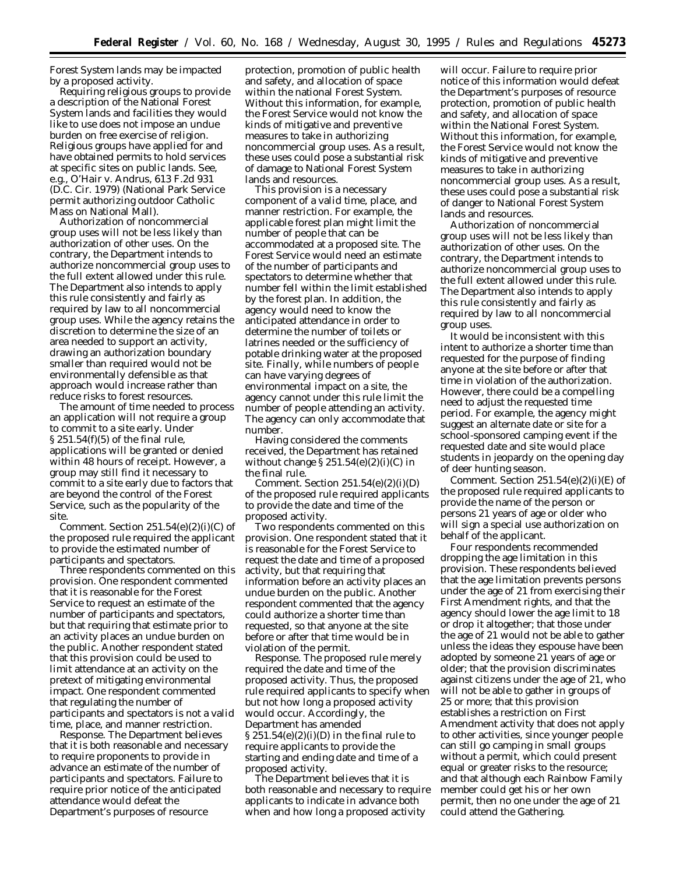Forest System lands may be impacted by a proposed activity.

Requiring religious groups to provide a description of the National Forest System lands and facilities they would like to use does not impose an undue burden on free exercise of religion. Religious groups have applied for and have obtained permits to hold services at specific sites on public lands. *See, e.g., O'Hair* v. *Andrus,* 613 F.2d 931 (D.C. Cir. 1979) (National Park Service permit authorizing outdoor Catholic Mass on National Mall).

Authorization of noncommercial group uses will not be less likely than authorization of other uses. On the contrary, the Department intends to authorize noncommercial group uses to the full extent allowed under this rule. The Department also intends to apply this rule consistently and fairly as required by law to all noncommercial group uses. While the agency retains the discretion to determine the size of an area needed to support an activity, drawing an authorization boundary smaller than required would not be environmentally defensible as that approach would increase rather than reduce risks to forest resources.

The amount of time needed to process an application will not require a group to commit to a site early. Under § 251.54(f)(5) of the final rule, applications will be granted or denied within 48 hours of receipt. However, a group may still find it necessary to commit to a site early due to factors that are beyond the control of the Forest Service, such as the popularity of the site.

*Comment.* Section 251.54(e)(2)(i)(C) of the proposed rule required the applicant to provide the estimated number of participants and spectators.

Three respondents commented on this provision. One respondent commented that it is reasonable for the Forest Service to request an estimate of the number of participants and spectators, but that requiring that estimate prior to an activity places an undue burden on the public. Another respondent stated that this provision could be used to limit attendance at an activity on the pretext of mitigating environmental impact. One respondent commented that regulating the number of participants and spectators is not a valid time, place, and manner restriction.

*Response.* The Department believes that it is both reasonable and necessary to require proponents to provide in advance an estimate of the number of participants and spectators. Failure to require prior notice of the anticipated attendance would defeat the Department's purposes of resource

protection, promotion of public health and safety, and allocation of space within the national Forest System. Without this information, for example, the Forest Service would not know the kinds of mitigative and preventive measures to take in authorizing noncommercial group uses. As a result, these uses could pose a substantial risk of damage to National Forest System lands and resources.

This provision is a necessary component of a valid time, place, and manner restriction. For example, the applicable forest plan might limit the number of people that can be accommodated at a proposed site. The Forest Service would need an estimate of the number of participants and spectators to determine whether that number fell within the limit established by the forest plan. In addition, the agency would need to know the anticipated attendance in order to determine the number of toilets or latrines needed or the sufficiency of potable drinking water at the proposed site. Finally, while numbers of people can have varying degrees of environmental impact on a site, the agency cannot under this rule limit the number of people attending an activity. The agency can only accommodate that number.

Having considered the comments received, the Department has retained without change  $\S 251.54(e)(2)(i)(C)$  in the final rule.

*Comment.* Section 251.54(e)(2)(i)(D) of the proposed rule required applicants to provide the date and time of the proposed activity.

Two respondents commented on this provision. One respondent stated that it is reasonable for the Forest Service to request the date and time of a proposed activity, but that requiring that information before an activity places an undue burden on the public. Another respondent commented that the agency could authorize a shorter time than requested, so that anyone at the site before or after that time would be in violation of the permit.

*Response.* The proposed rule merely required the date and time of the proposed activity. Thus, the proposed rule required applicants to specify when but not how long a proposed activity would occur. Accordingly, the Department has amended  $\S 251.54(e)(2)(i)(D)$  in the final rule to require applicants to provide the starting and ending date and time of a proposed activity.

The Department believes that it is both reasonable and necessary to require applicants to indicate in advance both when and how long a proposed activity

will occur. Failure to require prior notice of this information would defeat the Department's purposes of resource protection, promotion of public health and safety, and allocation of space within the National Forest System. Without this information, for example, the Forest Service would not know the kinds of mitigative and preventive measures to take in authorizing noncommercial group uses. As a result, these uses could pose a substantial risk of danger to National Forest System lands and resources.

Authorization of noncommercial group uses will not be less likely than authorization of other uses. On the contrary, the Department intends to authorize noncommercial group uses to the full extent allowed under this rule. The Department also intends to apply this rule consistently and fairly as required by law to all noncommercial group uses.

It would be inconsistent with this intent to authorize a shorter time than requested for the purpose of finding anyone at the site before or after that time in violation of the authorization. However, there could be a compelling need to adjust the requested time period. For example, the agency might suggest an alternate date or site for a school-sponsored camping event if the requested date and site would place students in jeopardy on the opening day of deer hunting season.

*Comment.* Section 251.54(e)(2)(i)(E) of the proposed rule required applicants to provide the name of the person or persons 21 years of age or older who will sign a special use authorization on behalf of the applicant.

Four respondents recommended dropping the age limitation in this provision. These respondents believed that the age limitation prevents persons under the age of 21 from exercising their First Amendment rights, and that the agency should lower the age limit to 18 or drop it altogether; that those under the age of 21 would not be able to gather unless the ideas they espouse have been adopted by someone 21 years of age or older; that the provision discriminates against citizens under the age of 21, who will not be able to gather in groups of 25 or more; that this provision establishes a restriction on First Amendment activity that does not apply to other activities, since younger people can still go camping in small groups without a permit, which could present equal or greater risks to the resource; and that although each Rainbow Family member could get his or her own permit, then no one under the age of 21 could attend the Gathering.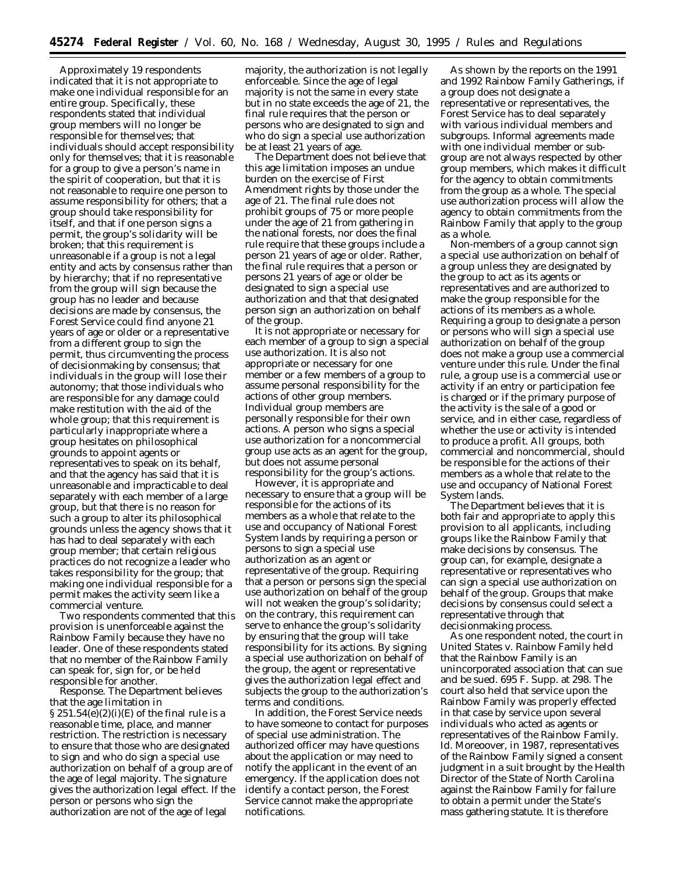Approximately 19 respondents indicated that it is not appropriate to make one individual responsible for an entire group. Specifically, these respondents stated that individual group members will no longer be responsible for themselves; that individuals should accept responsibility only for themselves; that it is reasonable for a group to give a person's name in the spirit of cooperation, but that it is not reasonable to require one person to assume responsibility for others; that a group should take responsibility for itself, and that if one person signs a permit, the group's solidarity will be broken; that this requirement is unreasonable if a group is not a legal entity and acts by consensus rather than by hierarchy; that if no representative from the group will sign because the group has no leader and because decisions are made by consensus, the Forest Service could find anyone 21 years of age or older or a representative from a different group to sign the permit, thus circumventing the process of decisionmaking by consensus; that individuals in the group will lose their autonomy; that those individuals who are responsible for any damage could make restitution with the aid of the whole group; that this requirement is particularly inappropriate where a group hesitates on philosophical grounds to appoint agents or representatives to speak on its behalf, and that the agency has said that it is unreasonable and impracticable to deal separately with each member of a large group, but that there is no reason for such a group to alter its philosophical grounds unless the agency shows that it has had to deal separately with each group member; that certain religious practices do not recognize a leader who takes responsibility for the group; that making one individual responsible for a permit makes the activity seem like a commercial venture.

Two respondents commented that this provision is unenforceable against the Rainbow Family because they have no leader. One of these respondents stated that no member of the Rainbow Family can speak for, sign for, or be held responsible for another.

*Response.* The Department believes that the age limitation in  $\S 251.54(e)(2)(i)(E)$  of the final rule is a reasonable time, place, and manner restriction. The restriction is necessary to ensure that those who are designated to sign and who do sign a special use authorization on behalf of a group are of the age of legal majority. The signature gives the authorization legal effect. If the person or persons who sign the authorization are not of the age of legal

majority, the authorization is not legally enforceable. Since the age of legal majority is not the same in every state but in no state exceeds the age of 21, the final rule requires that the person or persons who are designated to sign and who do sign a special use authorization be at least 21 years of age.

The Department does not believe that this age limitation imposes an undue burden on the exercise of First Amendment rights by those under the age of 21. The final rule does not prohibit groups of 75 or more people under the age of 21 from gathering in the national forests, nor does the final rule require that these groups include a person 21 years of age or older. Rather, the final rule requires that a person or persons 21 years of age or older be designated to sign a special use authorization and that that designated person sign an authorization on behalf of the group.

It is not appropriate or necessary for each member of a group to sign a special use authorization. It is also not appropriate or necessary for one member or a few members of a group to assume personal responsibility for the actions of other group members. Individual group members are personally responsible for their own actions. A person who signs a special use authorization for a noncommercial group use acts as an agent for the group, but does not assume personal responsibility for the group's actions.

However, it is appropriate and necessary to ensure that a group will be responsible for the actions of its members as a whole that relate to the use and occupancy of National Forest System lands by requiring a person or persons to sign a special use authorization as an agent or representative of the group. Requiring that a person or persons sign the special use authorization on behalf of the group will not weaken the group's solidarity; on the contrary, this requirement can serve to enhance the group's solidarity by ensuring that the group will take responsibility for its actions. By signing a special use authorization on behalf of the group, the agent or representative gives the authorization legal effect and subjects the group to the authorization's terms and conditions.

In addition, the Forest Service needs to have someone to contact for purposes of special use administration. The authorized officer may have questions about the application or may need to notify the applicant in the event of an emergency. If the application does not identify a contact person, the Forest Service cannot make the appropriate notifications.

As shown by the reports on the 1991 and 1992 Rainbow Family Gatherings, if a group does not designate a representative or representatives, the Forest Service has to deal separately with various individual members and subgroups. Informal agreements made with one individual member or subgroup are not always respected by other group members, which makes it difficult for the agency to obtain commitments from the group as a whole. The special use authorization process will allow the agency to obtain commitments from the Rainbow Family that apply to the group as a whole.

Non-members of a group cannot sign a special use authorization on behalf of a group unless they are designated by the group to act as its agents or representatives and are authorized to make the group responsible for the actions of its members as a whole. Requiring a group to designate a person or persons who will sign a special use authorization on behalf of the group does not make a group use a commercial venture under this rule. Under the final rule, a group use is a commercial use or activity if an entry or participation fee is charged or if the primary purpose of the activity is the sale of a good or service, and in either case, regardless of whether the use or activity is intended to produce a profit. All groups, both commercial and noncommercial, should be responsible for the actions of their members as a whole that relate to the use and occupancy of National Forest System lands.

The Department believes that it is both fair and appropriate to apply this provision to all applicants, including groups like the Rainbow Family that make decisions by consensus. The group can, for example, designate a representative or representatives who can sign a special use authorization on behalf of the group. Groups that make decisions by consensus could select a representative through that decisionmaking process.

As one respondent noted, the court in *United States* v. *Rainbow Family* held that the Rainbow Family is an unincorporated association that can sue and be sued. 695 F. Supp. at 298. The court also held that service upon the Rainbow Family was properly effected in that case by service upon several individuals who acted as agents or representatives of the Rainbow Family. *Id.* Moreoover, in 1987, representatives of the Rainbow Family signed a consent judgment in a suit brought by the Health Director of the State of North Carolina against the Rainbow Family for failure to obtain a permit under the State's mass gathering statute. It is therefore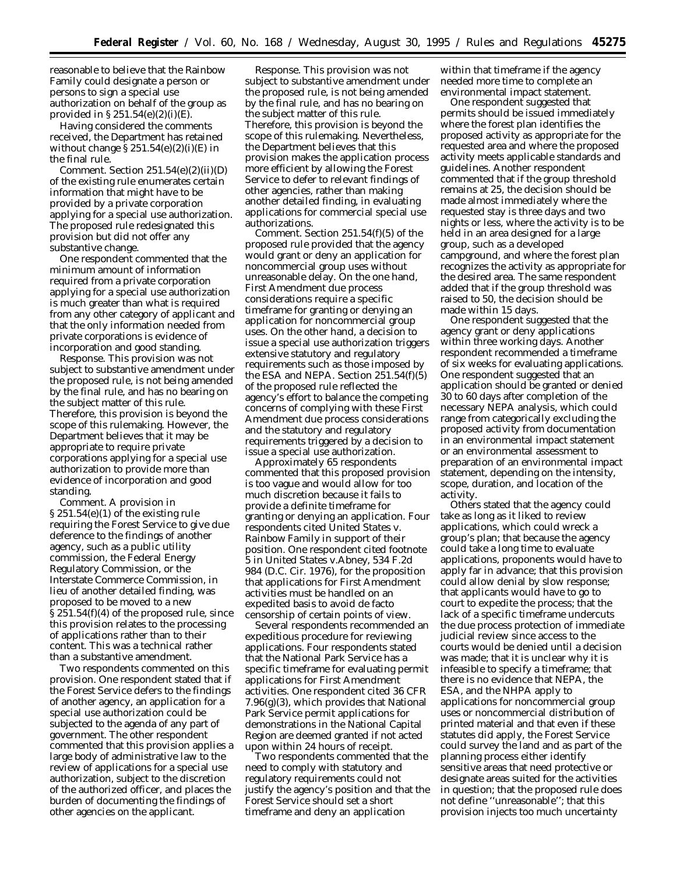reasonable to believe that the Rainbow Family could designate a person or persons to sign a special use authorization on behalf of the group as provided in  $\S 251.54(e)(2)(i)(E)$ .

Having considered the comments received, the Department has retained without change  $\S 251.54(e)(2)(i)(E)$  in the final rule.

*Comment.* Section 251.54(e)(2)(ii)(D) of the existing rule enumerates certain information that might have to be provided by a private corporation applying for a special use authorization. The proposed rule redesignated this provision but did not offer any substantive change.

One respondent commented that the minimum amount of information required from a private corporation applying for a special use authorization is much greater than what is required from any other category of applicant and that the only information needed from private corporations is evidence of incorporation and good standing.

*Response.* This provision was not subject to substantive amendment under the proposed rule, is not being amended by the final rule, and has no bearing on the subject matter of this rule. Therefore, this provision is beyond the scope of this rulemaking. However, the Department believes that it may be appropriate to require private corporations applying for a special use authorization to provide more than evidence of incorporation and good standing.

*Comment.* A provision in § 251.54(e)(1) of the existing rule requiring the Forest Service to give due deference to the findings of another agency, such as a public utility commission, the Federal Energy Regulatory Commission, or the Interstate Commerce Commission, in lieu of another detailed finding, was proposed to be moved to a new § 251.54(f)(4) of the proposed rule, since this provision relates to the processing of applications rather than to their content. This was a technical rather than a substantive amendment.

Two respondents commented on this provision. One respondent stated that if the Forest Service defers to the findings of another agency, an application for a special use authorization could be subjected to the agenda of any part of government. The other respondent commented that this provision applies a large body of administrative law to the review of applications for a special use authorization, subject to the discretion of the authorized officer, and places the burden of documenting the findings of other agencies on the applicant.

*Response.* This provision was not subject to substantive amendment under the proposed rule, is not being amended by the final rule, and has no bearing on the subject matter of this rule. Therefore, this provision is beyond the scope of this rulemaking. Nevertheless, the Department believes that this provision makes the application process more efficient by allowing the Forest Service to defer to relevant findings of other agencies, rather than making another detailed finding, in evaluating applications for commercial special use authorizations.

*Comment.* Section 251.54(f)(5) of the proposed rule provided that the agency would grant or deny an application for noncommercial group uses without unreasonable delay. On the one hand, First Amendment due process considerations require a specific timeframe for granting or denying an application for noncommercial group uses. On the other hand, a decision to issue a special use authorization triggers extensive statutory and regulatory requirements such as those imposed by the ESA and NEPA. Section 251.54(f)(5) of the proposed rule reflected the agency's effort to balance the competing concerns of complying with these First Amendment due process considerations and the statutory and regulatory requirements triggered by a decision to issue a special use authorization.

Approximately 65 respondents commented that this proposed provision is too vague and would allow for too much discretion because it fails to provide a definite timeframe for granting or denying an application. Four respondents cited *United States* v. *Rainbow Family* in support of their position. One respondent cited footnote 5 in *United States* v.*Abney,* 534 F.2d 984 (D.C. Cir. 1976), for the proposition that applications for First Amendment activities must be handled on an expedited basis to avoid de facto censorship of certain points of view.

Several respondents recommended an expeditious procedure for reviewing applications. Four respondents stated that the National Park Service has a specific timeframe for evaluating permit applications for First Amendment activities. One respondent cited 36 CFR 7.96(g)(3), which provides that National Park Service permit applications for demonstrations in the National Capital Region are deemed granted if not acted upon within 24 hours of receipt.

Two respondents commented that the need to comply with statutory and regulatory requirements could not justify the agency's position and that the Forest Service should set a short timeframe and deny an application

within that timeframe if the agency needed more time to complete an environmental impact statement.

One respondent suggested that permits should be issued immediately where the forest plan identifies the proposed activity as appropriate for the requested area and where the proposed activity meets applicable standards and guidelines. Another respondent commented that if the group threshold remains at 25, the decision should be made almost immediately where the requested stay is three days and two nights or less, where the activity is to be held in an area designed for a large group, such as a developed campground, and where the forest plan recognizes the activity as appropriate for the desired area. The same respondent added that if the group threshold was raised to 50, the decision should be made within 15 days.

One respondent suggested that the agency grant or deny applications within three working days. Another respondent recommended a timeframe of six weeks for evaluating applications. One respondent suggested that an application should be granted or denied 30 to 60 days after completion of the necessary NEPA analysis, which could range from categorically excluding the proposed activity from documentation in an environmental impact statement or an environmental assessment to preparation of an environmental impact statement, depending on the intensity, scope, duration, and location of the activity.

Others stated that the agency could take as long as it liked to review applications, which could wreck a group's plan; that because the agency could take a long time to evaluate applications, proponents would have to apply far in advance; that this provision could allow denial by slow response; that applicants would have to go to court to expedite the process; that the lack of a specific timeframe undercuts the due process protection of immediate judicial review since access to the courts would be denied until a decision was made; that it is unclear why it is infeasible to specify a timeframe; that there is no evidence that NEPA, the ESA, and the NHPA apply to applications for noncommercial group uses or noncommercial distribution of printed material and that even if these statutes did apply, the Forest Service could survey the land and as part of the planning process either identify sensitive areas that need protective or designate areas suited for the activities in question; that the proposed rule does not define ''unreasonable''; that this provision injects too much uncertainty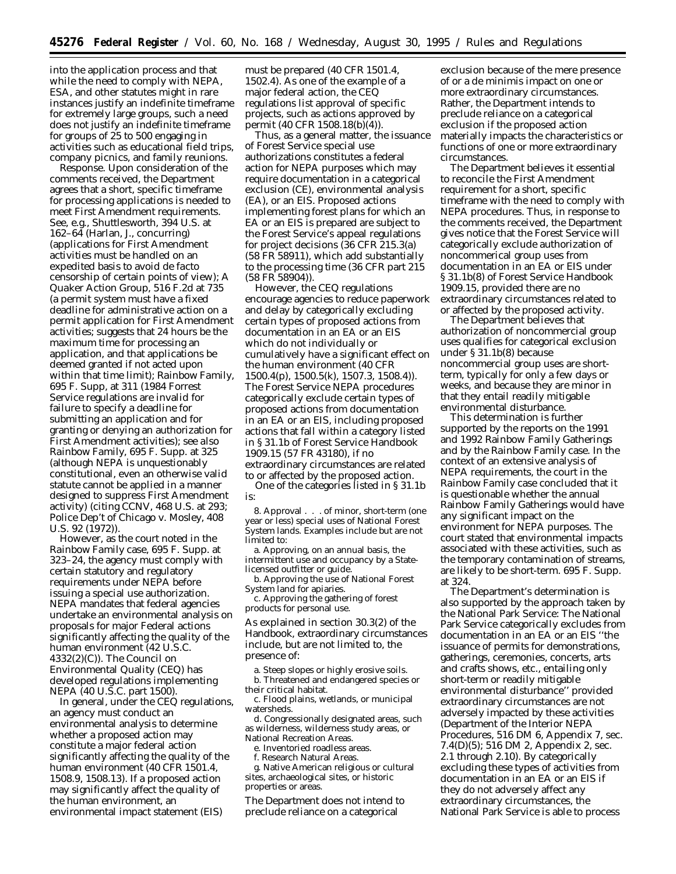into the application process and that while the need to comply with NEPA, ESA, and other statutes might in rare instances justify an indefinite timeframe for extremely large groups, such a need does not justify an indefinite timeframe for groups of 25 to 500 engaging in activities such as educational field trips, company picnics, and family reunions.

*Response.* Upon consideration of the comments received, the Department agrees that a short, specific timeframe for processing applications is needed to meet First Amendment requirements. *See, e.g., Shuttlesworth,* 394 U.S. at 162–64 (Harlan, J., concurring) (applications for First Amendment activities must be handled on an expedited basis to avoid *de facto* censorship of certain points of view); *A Quaker Action Group,* 516 F.2d at 735 (a permit system must have a fixed deadline for administrative action on a permit application for First Amendment activities; suggests that 24 hours be the maximum time for processing an application, and that applications be deemed granted if not acted upon within that time limit); *Rainbow Family,* 695 F. Supp, at 311 (1984 Forrest Service regulations are invalid for failure to specify a deadline for submitting an application and for granting or denying an authorization for First Amendment activities); *see also Rainbow Family,* 695 F. Supp. at 325 (although NEPA is unquestionably constitutional, even an otherwise valid statute cannot be applied in a manner designed to suppress First Amendment activity) (citing *CCNV,* 468 U.S. at 293; *Police Dep't of Chicago* v. *Mosley,* 408  $U.S. 92(1972)$ 

However, as the court noted in the *Rainbow Family* case, 695 F. Supp. at 323–24, the agency must comply with certain statutory and regulatory requirements under NEPA before issuing a special use authorization. NEPA mandates that federal agencies undertake an environmental analysis on proposals for major Federal actions significantly affecting the quality of the human environment (42 U.S.C. 4332(2)(C)). The Council on Environmental Quality (CEQ) has developed regulations implementing NEPA (40 U.S.C. part 1500).

In general, under the CEQ regulations, an agency must conduct an environmental analysis to determine whether a proposed action may constitute a major federal action significantly affecting the quality of the human environment (40 CFR 1501.4, 1508.9, 1508.13). If a proposed action may significantly affect the quality of the human environment, an environmental impact statement (EIS)

must be prepared (40 CFR 1501.4, 1502.4). As one of the example of a major federal action, the CEQ regulations list approval of specific projects, such as actions approved by permit (40 CFR 1508.18(b)(4)).

Thus, as a general matter, the issuance of Forest Service special use authorizations constitutes a federal action for NEPA purposes which may require documentation in a categorical exclusion (CE), environmental analysis (EA), or an EIS. Proposed actions implementing forest plans for which an EA or an EIS is prepared are subject to the Forest Service's appeal regulations for project decisions (36 CFR 215.3(a) (58 FR 58911), which add substantially to the processing time (36 CFR part 215 (58 FR 58904)).

However, the CEQ regulations encourage agencies to reduce paperwork and delay by categorically excluding certain types of proposed actions from documentation in an EA or an EIS which do not individually or cumulatively have a significant effect on the human environment (40 CFR 1500.4(p), 1500.5(k), 1507.3, 1508.4)). The Forest Service NEPA procedures categorically exclude certain types of proposed actions from documentation in an EA or an EIS, including proposed actions that fall within a category listed in § 31.1b of Forest Service Handbook 1909.15 (57 FR 43180), if no extraordinary circumstances are related to or affected by the proposed action.

One of the categories listed in § 31.1b is:

8. Approval . . . of minor, short-term (one year or less) special uses of National Forest System lands. Examples include but are not limited to:

a. Approving, on an annual basis, the intermittent use and occupancy by a Statelicensed outfitter or guide.

b. Approving the use of National Forest System land for apiaries.

c. Approving the gathering of forest products for personal use.

As explained in section 30.3(2) of the Handbook, extraordinary circumstances include, but are not limited to, the presence of:

a. Steep slopes or highly erosive soils. b. Threatened and endangered species or their critical habitat.

c. Flood plains, wetlands, or municipal watersheds.

d. Congressionally designated areas, such as wilderness, wilderness study areas, or National Recreation Areas.

e. Inventoried roadless areas.

f. Research Natural Areas.

g. Native American religious or cultural sites, archaeological sites, or historic properties or areas.

The Department does not intend to preclude reliance on a categorical

exclusion because of the mere presence of or a *de minimis* impact on one or more extraordinary circumstances. Rather, the Department intends to preclude reliance on a categorical exclusion if the proposed action materially impacts the characteristics or functions of one or more extraordinary circumstances.

The Department believes it essential to reconcile the First Amendment requirement for a short, specific timeframe with the need to comply with NEPA procedures. Thus, in response to the comments received, the Department gives notice that the Forest Service will categorically exclude authorization of noncommerical group uses from documentation in an EA or EIS under § 31.1b(8) of Forest Service Handbook 1909.15, provided there are no extraordinary circumstances related to or affected by the proposed activity.

The Department believes that authorization of noncommercial group uses qualifies for categorical exclusion under § 31.1b(8) because noncommercial group uses are shortterm, typically for only a few days or weeks, and because they are minor in that they entail readily mitigable environmental disturbance.

This determination is further supported by the reports on the 1991 and 1992 Rainbow Family Gatherings and by the *Rainbow Family* case. In the context of an extensive analysis of NEPA requirements, the court in the *Rainbow Family* case concluded that it is questionable whether the annual Rainbow Family Gatherings would have any significant impact on the environment for NEPA purposes. The court stated that environmental impacts associated with these activities, such as the temporary contamination of streams, are likely to be short-term. 695 F. Supp. at 324.

The Department's determination is also supported by the approach taken by the National Park Service: The National Park Service categorically excludes from documentation in an EA or an EIS ''the issuance of permits for demonstrations, gatherings, ceremonies, concerts, arts and crafts shows, etc., entailing only short-term or readily mitigable environmental disturbance'' provided extraordinary circumstances are not adversely impacted by these activities (Department of the Interior NEPA Procedures, 516 DM 6, Appendix 7, sec. 7.4(D)(5); 516 DM 2, Appendix 2, sec. 2.1 through 2.10). By categorically excluding these types of activities from documentation in an EA or an EIS if they do not adversely affect any extraordinary circumstances, the National Park Service is able to process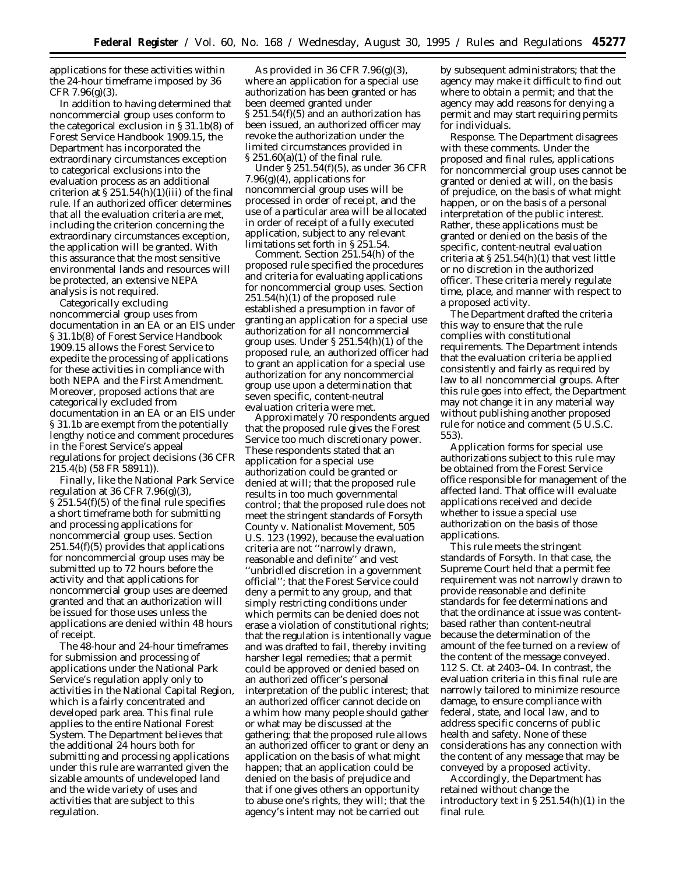applications for these activities within the 24-hour timeframe imposed by 36  $CFR$  7.96 $(g)(3)$ .

In addition to having determined that noncommercial group uses conform to the categorical exclusion in § 31.1b(8) of Forest Service Handbook 1909.15, the Department has incorporated the extraordinary circumstances exception to categorical exclusions into the evaluation process as an additional criterion at  $\S 251.54(h)(1)(iii)$  of the final rule. If an authorized officer determines that all the evaluation criteria are met, including the criterion concerning the extraordinary circumstances exception, the application will be granted. With this assurance that the most sensitive environmental lands and resources will be protected, an extensive NEPA analysis is not required.

Categorically excluding noncommercial group uses from documentation in an EA or an EIS under § 31.1b(8) of Forest Service Handbook 1909.15 allows the Forest Service to expedite the processing of applications for these activities in compliance with both NEPA and the First Amendment. Moreover, proposed actions that are categorically excluded from documentation in an EA or an EIS under § 31.1b are exempt from the potentially lengthy notice and comment procedures in the Forest Service's appeal regulations for project decisions (36 CFR 215.4(b) (58 FR 58911)).

Finally, like the National Park Service regulation at 36 CFR  $7.96(g)(3)$ , § 251.54(f)(5) of the final rule specifies a short timeframe both for submitting and processing applications for noncommercial group uses. Section  $251.54(f)(5)$  provides that applications for noncommercial group uses may be submitted up to 72 hours before the activity and that applications for noncommercial group uses are deemed granted and that an authorization will be issued for those uses unless the applications are denied within 48 hours of receipt.

The 48-hour and 24-hour timeframes for submission and processing of applications under the National Park Service's regulation apply only to activities in the National Capital Region, which is a fairly concentrated and developed park area. This final rule applies to the entire National Forest System. The Department believes that the additional 24 hours both for submitting and processing applications under this rule are warranted given the sizable amounts of undeveloped land and the wide variety of uses and activities that are subject to this regulation.

As provided in 36 CFR 7.96(g)(3), where an application for a special use authorization has been granted or has been deemed granted under § 251.54(f)(5) and an authorization has been issued, an authorized officer may revoke the authorization under the limited circumstances provided in § 251.60(a)(1) of the final rule.

Under § 251.54(f)(5), as under 36 CFR 7.96(g)(4), applications for noncommercial group uses will be processed in order of receipt, and the use of a particular area will be allocated in order of receipt of a fully executed application, subject to any relevant limitations set forth in § 251.54.

*Comment.* Section 251.54(h) of the proposed rule specified the procedures and criteria for evaluating applications for noncommercial group uses. Section 251.54(h)(1) of the proposed rule established a presumption in favor of granting an application for a special use authorization for all noncommercial group uses. Under § 251.54(h)(1) of the proposed rule, an authorized officer had to grant an application for a special use authorization for any noncommercial group use upon a determination that seven specific, content-neutral evaluation criteria were met.

Approximately 70 respondents argued that the proposed rule gives the Forest Service too much discretionary power. These respondents stated that an application for a special use authorization could be granted or denied at will; that the proposed rule results in too much governmental control; that the proposed rule does not meet the stringent standards of *Forsyth County* v. *Nationalist Movement, 505 U.S. 123* (1992), because the evaluation criteria are not ''narrowly drawn, reasonable and definite'' and vest ''unbridled discretion in a government official''; that the Forest Service could deny a permit to any group, and that simply restricting conditions under which permits can be denied does not erase a violation of constitutional rights; that the regulation is intentionally vague and was drafted to fail, thereby inviting harsher legal remedies; that a permit could be approved or denied based on an authorized officer's personal interpretation of the public interest; that an authorized officer cannot decide on a whim how many people should gather or what may be discussed at the gathering; that the proposed rule allows an authorized officer to grant or deny an application on the basis of what might happen; that an application could be denied on the basis of prejudice and that if one gives others an opportunity to abuse one's rights, they will; that the agency's intent may not be carried out

by subsequent administrators; that the agency may make it difficult to find out where to obtain a permit; and that the agency may add reasons for denying a permit and may start requiring permits for individuals.

*Response.* The Department disagrees with these comments. Under the proposed and final rules, applications for noncommercial group uses cannot be granted or denied at will, on the basis of prejudice, on the basis of what might happen, or on the basis of a personal interpretation of the public interest. Rather, these applications must be granted or denied on the basis of the specific, content-neutral evaluation criteria at § 251.54(h)(1) that vest little or no discretion in the authorized officer. These criteria merely regulate time, place, and manner with respect to a proposed activity.

The Department drafted the criteria this way to ensure that the rule complies with constitutional requirements. The Department intends that the evaluation criteria be applied consistently and fairly as required by law to all noncommercial groups. After this rule goes into effect, the Department may not change it in any material way without publishing another proposed rule for notice and comment (5 U.S.C. 553).

Application forms for special use authorizations subject to this rule may be obtained from the Forest Service office responsible for management of the affected land. That office will evaluate applications received and decide whether to issue a special use authorization on the basis of those applications.

This rule meets the stringent standards of *Forsyth*. In that case, the Supreme Court held that a permit fee requirement was not narrowly drawn to provide reasonable and definite standards for fee determinations and that the ordinance at issue was contentbased rather than content-neutral because the determination of the amount of the fee turned on a review of the content of the message conveyed. 112 S. Ct. at 2403–04. In contrast, the evaluation criteria in this final rule are narrowly tailored to minimize resource damage, to ensure compliance with federal, state, and local law, and to address specific concerns of public health and safety. None of these considerations has any connection with the content of any message that may be conveyed by a proposed activity.

Accordingly, the Department has retained without change the introductory text in § 251.54(h)(1) in the final rule.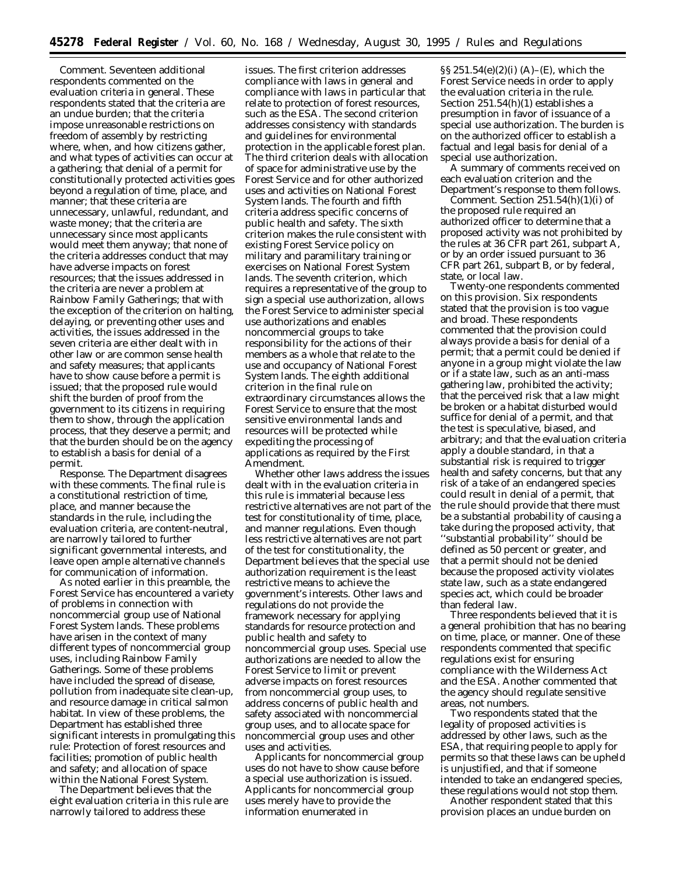*Comment.* Seventeen additional respondents commented on the evaluation criteria in general. These respondents stated that the criteria are an undue burden; that the criteria impose unreasonable restrictions on freedom of assembly by restricting where, when, and how citizens gather, and what types of activities can occur at a gathering; that denial of a permit for constitutionally protected activities goes beyond a regulation of time, place, and manner; that these criteria are unnecessary, unlawful, redundant, and waste money; that the criteria are unnecessary since most applicants would meet them anyway; that none of the criteria addresses conduct that may have adverse impacts on forest resources; that the issues addressed in the criteria are never a problem at Rainbow Family Gatherings; that with the exception of the criterion on halting, delaying, or preventing other uses and activities, the issues addressed in the seven criteria are either dealt with in other law or are common sense health and safety measures; that applicants have to show cause before a permit is issued; that the proposed rule would shift the burden of proof from the government to its citizens in requiring them to show, through the application process, that they deserve a permit; and that the burden should be on the agency to establish a basis for denial of a permit.

*Response.* The Department disagrees with these comments. The final rule is a constitutional restriction of time, place, and manner because the standards in the rule, including the evaluation criteria, are content-neutral, are narrowly tailored to further significant governmental interests, and leave open ample alternative channels for communication of information.

As noted earlier in this preamble, the Forest Service has encountered a variety of problems in connection with noncommercial group use of National Forest System lands. These problems have arisen in the context of many different types of noncommercial group uses, including Rainbow Family Gatherings. Some of these problems have included the spread of disease, pollution from inadequate site clean-up, and resource damage in critical salmon habitat. In view of these problems, the Department has established three significant interests in promulgating this rule: Protection of forest resources and facilities; promotion of public health and safety; and allocation of space within the National Forest System.

The Department believes that the eight evaluation criteria in this rule are narrowly tailored to address these

issues. The first criterion addresses compliance with laws in general and compliance with laws in particular that relate to protection of forest resources, such as the ESA. The second criterion addresses consistency with standards and guidelines for environmental protection in the applicable forest plan. The third criterion deals with allocation of space for administrative use by the Forest Service and for other authorized uses and activities on National Forest System lands. The fourth and fifth criteria address specific concerns of public health and safety. The sixth criterion makes the rule consistent with existing Forest Service policy on military and paramilitary training or exercises on National Forest System lands. The seventh criterion, which requires a representative of the group to sign a special use authorization, allows the Forest Service to administer special use authorizations and enables noncommercial groups to take responsibility for the actions of their members as a whole that relate to the use and occupancy of National Forest System lands. The eighth additional criterion in the final rule on extraordinary circumstances allows the Forest Service to ensure that the most sensitive environmental lands and resources will be protected while expediting the processing of applications as required by the First Amendment.

Whether other laws address the issues dealt with in the evaluation criteria in this rule is immaterial because less restrictive alternatives are not part of the test for constitutionality of time, place, and manner regulations. Even though less restrictive alternatives are not part of the test for constitutionality, the Department believes that the special use authorization requirement is the least restrictive means to achieve the government's interests. Other laws and regulations do not provide the framework necessary for applying standards for resource protection and public health and safety to noncommercial group uses. Special use authorizations are needed to allow the Forest Service to limit or prevent adverse impacts on forest resources from noncommercial group uses, to address concerns of public health and safety associated with noncommercial group uses, and to allocate space for noncommercial group uses and other uses and activities.

Applicants for noncommercial group uses do not have to show cause before a special use authorization is issued. Applicants for noncommercial group uses merely have to provide the information enumerated in

§§ 251.54(e)(2)(i) (A)–(E), which the Forest Service needs in order to apply the evaluation criteria in the rule. Section 251.54(h)(1) establishes a presumption in favor of issuance of a special use authorization. The burden is on the authorized officer to establish a factual and legal basis for denial of a special use authorization.

A summary of comments received on each evaluation criterion and the Department's response to them follows.

*Comment.* Section 251.54(h)(1)(i) of the proposed rule required an authorized officer to determine that a proposed activity was not prohibited by the rules at 36 CFR part 261, subpart A, or by an order issued pursuant to 36 CFR part 261, subpart B, or by federal, state, or local law.

Twenty-one respondents commented on this provision. Six respondents stated that the provision is too vague and broad. These respondents commented that the provision could always provide a basis for denial of a permit; that a permit could be denied if anyone in a group might violate the law or if a state law, such as an anti-mass gathering law, prohibited the activity; that the perceived risk that a law might be broken or a habitat disturbed would suffice for denial of a permit, and that the test is speculative, biased, and arbitrary; and that the evaluation criteria apply a double standard, in that a substantial risk is required to trigger health and safety concerns, but that any risk of a take of an endangered species could result in denial of a permit, that the rule should provide that there must be a substantial probability of causing a take during the proposed activity, that ''substantial probability'' should be defined as 50 percent or greater, and that a permit should not be denied because the proposed activity violates state law, such as a state endangered species act, which could be broader than federal law.

Three respondents believed that it is a general prohibition that has no bearing on time, place, or manner. One of these respondents commented that specific regulations exist for ensuring compliance with the Wilderness Act and the ESA. Another commented that the agency should regulate sensitive areas, not numbers.

Two respondents stated that the legality of proposed activities is addressed by other laws, such as the ESA, that requiring people to apply for permits so that these laws can be upheld is unjustified, and that if someone intended to take an endangered species, these regulations would not stop them.

Another respondent stated that this provision places an undue burden on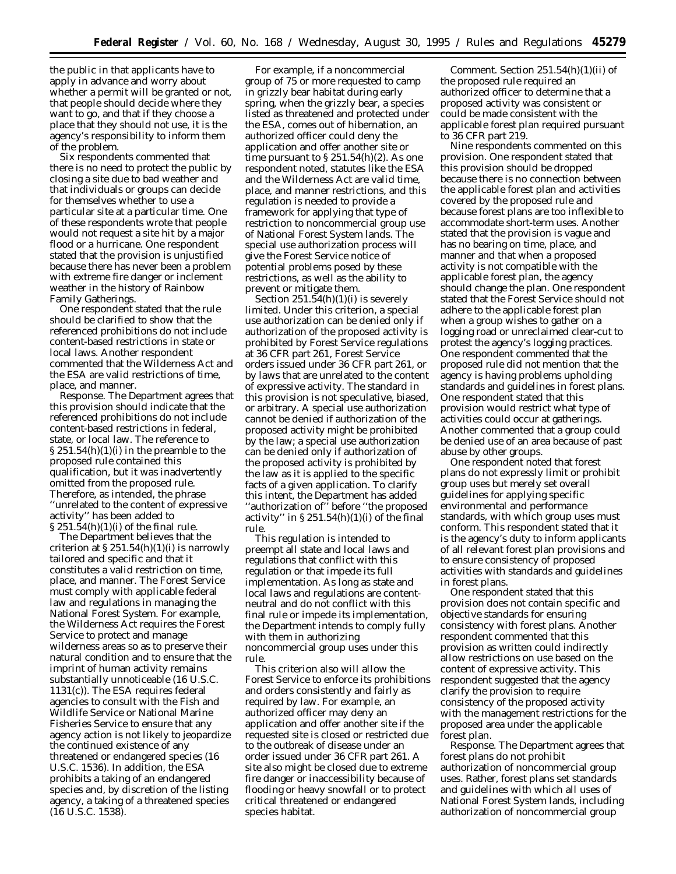the public in that applicants have to apply in advance and worry about whether a permit will be granted or not, that people should decide where they want to go, and that if they choose a place that they should not use, it is the agency's responsibility to inform them of the problem.

Six respondents commented that there is no need to protect the public by closing a site due to bad weather and that individuals or groups can decide for themselves whether to use a particular site at a particular time. One of these respondents wrote that people would not request a site hit by a major flood or a hurricane. One respondent stated that the provision is unjustified because there has never been a problem with extreme fire danger or inclement weather in the history of Rainbow Family Gatherings.

One respondent stated that the rule should be clarified to show that the referenced prohibitions do not include content-based restrictions in state or local laws. Another respondent commented that the Wilderness Act and the ESA are valid restrictions of time, place, and manner.

*Response.* The Department agrees that this provision should indicate that the referenced prohibitions do not include content-based restrictions in federal, state, or local law. The reference to  $\S 251.54(h)(1)(i)$  in the preamble to the proposed rule contained this qualification, but it was inadvertently omitted from the proposed rule. Therefore, as intended, the phrase ''unrelated to the content of expressive activity'' has been added to  $$251.54(h)(1)(i)$  of the final rule.

The Department believes that the criterion at  $\S 251.54(h)(1)(i)$  is narrowly tailored and specific and that it constitutes a valid restriction on time, place, and manner. The Forest Service must comply with applicable federal law and regulations in managing the National Forest System. For example, the Wilderness Act requires the Forest Service to protect and manage wilderness areas so as to preserve their natural condition and to ensure that the imprint of human activity remains substantially unnoticeable (16 U.S.C. 1131(c)). The ESA requires federal agencies to consult with the Fish and Wildlife Service or National Marine Fisheries Service to ensure that any agency action is not likely to jeopardize the continued existence of any threatened or endangered species (16 U.S.C. 1536). In addition, the ESA prohibits a taking of an endangered species and, by discretion of the listing agency, a taking of a threatened species (16 U.S.C. 1538).

For example, if a noncommercial group of 75 or more requested to camp in grizzly bear habitat during early spring, when the grizzly bear, a species listed as threatened and protected under the ESA, comes out of hibernation, an authorized officer could deny the application and offer another site or time pursuant to  $\S 251.54(h)(2)$ . As one respondent noted, statutes like the ESA and the Wilderness Act are valid time, place, and manner restrictions, and this regulation is needed to provide a framework for applying that type of restriction to noncommercial group use of National Forest System lands. The special use authorization process will give the Forest Service notice of potential problems posed by these restrictions, as well as the ability to prevent or mitigate them.

Section  $251.54(h)(1)(i)$  is severely limited. Under this criterion, a special use authorization can be denied only if authorization of the proposed activity is prohibited by Forest Service regulations at 36 CFR part 261, Forest Service orders issued under 36 CFR part 261, or by laws that are unrelated to the content of expressive activity. The standard in this provision is not speculative, biased, or arbitrary. A special use authorization cannot be denied if authorization of the proposed activity might be prohibited by the law; a special use authorization can be denied only if authorization of the proposed activity is prohibited by the law as it is applied to the specific facts of a given application. To clarify this intent, the Department has added ''authorization of'' before ''the proposed activity" in  $\S 251.54(h)(1)(i)$  of the final rule.

This regulation is intended to preempt all state and local laws and regulations that conflict with this regulation or that impede its full implementation. As long as state and local laws and regulations are contentneutral and do not conflict with this final rule or impede its implementation, the Department intends to comply fully with them in authorizing noncommercial group uses under this rule.

This criterion also will allow the Forest Service to enforce its prohibitions and orders consistently and fairly as required by law. For example, an authorized officer may deny an application and offer another site if the requested site is closed or restricted due to the outbreak of disease under an order issued under 36 CFR part 261. A site also might be closed due to extreme fire danger or inaccessibility because of flooding or heavy snowfall or to protect critical threatened or endangered species habitat.

*Comment.* Section 251.54(h)(1)(ii) of the proposed rule required an authorized officer to determine that a proposed activity was consistent or could be made consistent with the applicable forest plan required pursuant to 36 CFR part 219.

Nine respondents commented on this provision. One respondent stated that this provision should be dropped because there is no connection between the applicable forest plan and activities covered by the proposed rule and because forest plans are too inflexible to accommodate short-term uses. Another stated that the provision is vague and has no bearing on time, place, and manner and that when a proposed activity is not compatible with the applicable forest plan, the agency should change the plan. One respondent stated that the Forest Service should not adhere to the applicable forest plan when a group wishes to gather on a logging road or unreclaimed clear-cut to protest the agency's logging practices. One respondent commented that the proposed rule did not mention that the agency is having problems upholding standards and guidelines in forest plans. One respondent stated that this provision would restrict what type of activities could occur at gatherings. Another commented that a group could be denied use of an area because of past abuse by other groups.

One respondent noted that forest plans do not expressly limit or prohibit group uses but merely set overall guidelines for applying specific environmental and performance standards, with which group uses must conform. This respondent stated that it is the agency's duty to inform applicants of all relevant forest plan provisions and to ensure consistency of proposed activities with standards and guidelines in forest plans.

One respondent stated that this provision does not contain specific and objective standards for ensuring consistency with forest plans. Another respondent commented that this provision as written could indirectly allow restrictions on use based on the content of expressive activity. This respondent suggested that the agency clarify the provision to require consistency of the proposed activity with the management restrictions for the proposed area under the applicable forest plan.

*Response.* The Department agrees that forest plans do not prohibit authorization of noncommercial group uses. Rather, forest plans set standards and guidelines with which all uses of National Forest System lands, including authorization of noncommercial group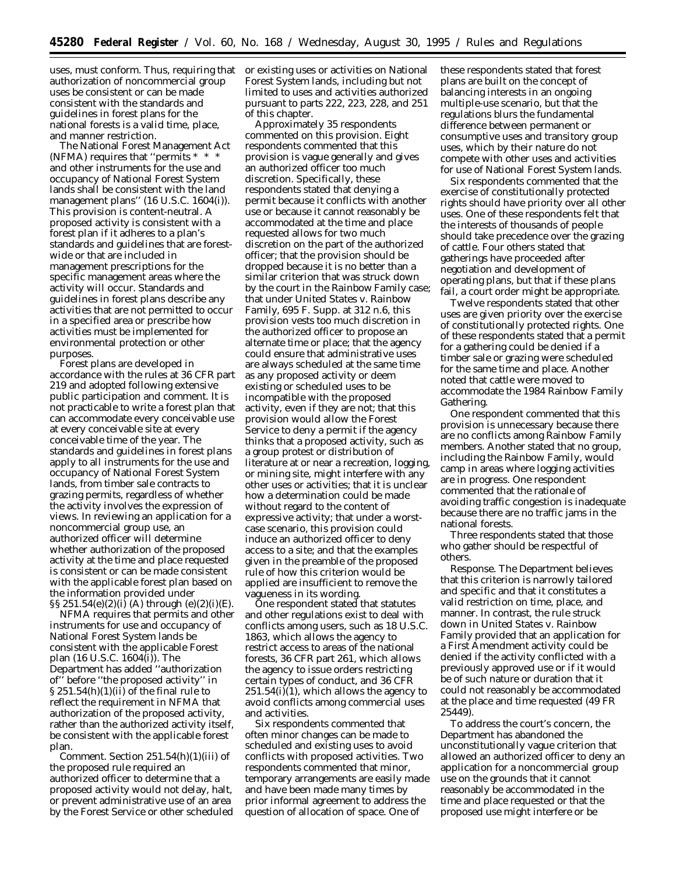uses, must conform. Thus, requiring that or existing uses or activities on National authorization of noncommercial group uses be consistent or can be made consistent with the standards and guidelines in forest plans for the national forests is a valid time, place, and manner restriction.

The National Forest Management Act (NFMA) requires that ''permits \* \* \* and other instruments for the use and occupancy of National Forest System lands shall be consistent with the land management plans'' (16 U.S.C. 1604(i)). This provision is content-neutral. A proposed activity is consistent with a forest plan if it adheres to a plan's standards and guidelines that are forestwide or that are included in management prescriptions for the specific management areas where the activity will occur. Standards and guidelines in forest plans describe any activities that are not permitted to occur in a specified area or prescribe how activities must be implemented for environmental protection or other purposes.

Forest plans are developed in accordance with the rules at 36 CFR part 219 and adopted following extensive public participation and comment. It is not practicable to write a forest plan that can accommodate every conceivable use at every conceivable site at every conceivable time of the year. The standards and guidelines in forest plans apply to all instruments for the use and occupancy of National Forest System lands, from timber sale contracts to grazing permits, regardless of whether the activity involves the expression of views. In reviewing an application for a noncommercial group use, an authorized officer will determine whether authorization of the proposed activity at the time and place requested is consistent or can be made consistent with the applicable forest plan based on the information provided under  $\S$ §251.54(e)(2)(i)(A) through (e)(2)(i)(E).

NFMA requires that permits and other instruments for use and occupancy of National Forest System lands be consistent with the applicable Forest plan (16 U.S.C. 1604(i)). The Department has added ''authorization of'' before ''the proposed activity'' in  $\S 251.54(h)(1)(ii)$  of the final rule to reflect the requirement in NFMA that authorization of the proposed activity, rather than the authorized activity itself, be consistent with the applicable forest plan.

*Comment.* Section 251.54(h)(1)(iii) of the proposed rule required an authorized officer to determine that a proposed activity would not delay, halt, or prevent administrative use of an area by the Forest Service or other scheduled Forest System lands, including but not limited to uses and activities authorized pursuant to parts 222, 223, 228, and 251 of this chapter.

Approximately 35 respondents commented on this provision. Eight respondents commented that this provision is vague generally and gives an authorized officer too much discretion. Specifically, these respondents stated that denying a permit because it conflicts with another use or because it cannot reasonably be accommodated at the time and place requested allows for two much discretion on the part of the authorized officer; that the provision should be dropped because it is no better than a similar criterion that was struck down by the court in the *Rainbow Family* case; that under *United States* v. *Rainbow Family,* 695 F. Supp. at 312 n.6, this provision vests too much discretion in the authorized officer to propose an alternate time or place; that the agency could ensure that administrative uses are always scheduled at the same time as any proposed activity or deem existing or scheduled uses to be incompatible with the proposed activity, even if they are not; that this provision would allow the Forest Service to deny a permit if the agency thinks that a proposed activity, such as a group protest or distribution of literature at or near a recreation, logging, or mining site, might interfere with any other uses or activities; that it is unclear how a determination could be made without regard to the content of expressive activity; that under a worstcase scenario, this provision could induce an authorized officer to deny access to a site; and that the examples given in the preamble of the proposed rule of how this criterion would be applied are insufficient to remove the vagueness in its wording.

One respondent stated that statutes and other regulations exist to deal with conflicts among users, such as 18 U.S.C. 1863, which allows the agency to restrict access to areas of the national forests, 36 CFR part 261, which allows the agency to issue orders restricting certain types of conduct, and 36 CFR 251.54(i)(1), which allows the agency to avoid conflicts among commercial uses and activities.

Six respondents commented that often minor changes can be made to scheduled and existing uses to avoid conflicts with proposed activities. Two respondents commented that minor, temporary arrangements are easily made and have been made many times by prior informal agreement to address the question of allocation of space. One of

these respondents stated that forest plans are built on the concept of balancing interests in an ongoing multiple-use scenario, but that the regulations blurs the fundamental difference between permanent or consumptive uses and transitory group uses, which by their nature do not compete with other uses and activities for use of National Forest System lands.

Six respondents commented that the exercise of constitutionally protected rights should have priority over all other uses. One of these respondents felt that the interests of thousands of people should take precedence over the grazing of cattle. Four others stated that gatherings have proceeded after negotiation and development of operating plans, but that if these plans fail, a court order might be appropriate.

Twelve respondents stated that other uses are given priority over the exercise of constitutionally protected rights. One of these respondents stated that a permit for a gathering could be denied if a timber sale or grazing were scheduled for the same time and place. Another noted that cattle were moved to accommodate the 1984 Rainbow Family Gathering.

One respondent commented that this provision is unnecessary because there are no conflicts among Rainbow Family members. Another stated that no group, including the Rainbow Family, would camp in areas where logging activities are in progress. One respondent commented that the rationale of avoiding traffic congestion is inadequate because there are no traffic jams in the national forests.

Three respondents stated that those who gather should be respectful of others.

*Response.* The Department believes that this criterion is narrowly tailored and specific and that it constitutes a valid restriction on time, place, and manner. In contrast, the rule struck down in *United States* v. *Rainbow Family* provided that an application for a First Amendment activity could be denied if the activity conflicted with a previously approved use or if it would be of such nature or duration that it could not reasonably be accommodated at the place and time requested (49 FR 25449).

To address the court's concern, the Department has abandoned the unconstitutionally vague criterion that allowed an authorized officer to deny an application for a noncommercial group use on the grounds that it cannot reasonably be accommodated in the time and place requested or that the proposed use might interfere or be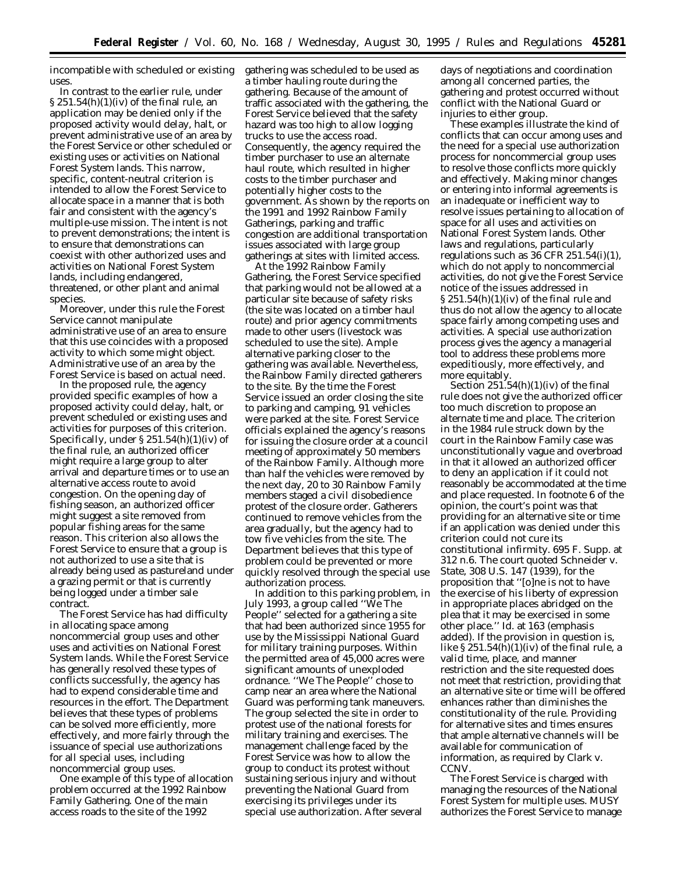incompatible with scheduled or existing uses.

In contrast to the earlier rule, under  $\S 251.54(h)(1)(iv)$  of the final rule, an application may be denied only if the proposed activity would delay, halt, or prevent administrative use of an area by the Forest Service or other scheduled or existing uses or activities on National Forest System lands. This narrow, specific, content-neutral criterion is intended to allow the Forest Service to allocate space in a manner that is both fair and consistent with the agency's multiple-use mission. The intent is not to prevent demonstrations; the intent is to ensure that demonstrations can coexist with other authorized uses and activities on National Forest System lands, including endangered, threatened, or other plant and animal species.

Moreover, under this rule the Forest Service cannot manipulate administrative use of an area to ensure that this use coincides with a proposed activity to which some might object. Administrative use of an area by the Forest Service is based on actual need.

In the proposed rule, the agency provided specific examples of how a proposed activity could delay, halt, or prevent scheduled or existing uses and activities for purposes of this criterion. Specifically, under § 251.54(h)(1)(iv) of the final rule, an authorized officer might require a large group to alter arrival and departure times or to use an alternative access route to avoid congestion. On the opening day of fishing season, an authorized officer might suggest a site removed from popular fishing areas for the same reason. This criterion also allows the Forest Service to ensure that a group is not authorized to use a site that is already being used as pastureland under a grazing permit or that is currently being logged under a timber sale contract.

The Forest Service has had difficulty in allocating space among noncommercial group uses and other uses and activities on National Forest System lands. While the Forest Service has generally resolved these types of conflicts successfully, the agency has had to expend considerable time and resources in the effort. The Department believes that these types of problems can be solved more efficiently, more effectively, and more fairly through the issuance of special use authorizations for all special uses, including noncommercial group uses.

One example of this type of allocation problem occurred at the 1992 Rainbow Family Gathering. One of the main access roads to the site of the 1992

gathering was scheduled to be used as a timber hauling route during the gathering. Because of the amount of traffic associated with the gathering, the Forest Service believed that the safety hazard was too high to allow logging trucks to use the access road. Consequently, the agency required the timber purchaser to use an alternate haul route, which resulted in higher costs to the timber purchaser and potentially higher costs to the government. As shown by the reports on the 1991 and 1992 Rainbow Family Gatherings, parking and traffic congestion are additional transportation issues associated with large group gatherings at sites with limited access.

At the 1992 Rainbow Family Gathering, the Forest Service specified that parking would not be allowed at a particular site because of safety risks (the site was located on a timber haul route) and prior agency commitments made to other users (livestock was scheduled to use the site). Ample alternative parking closer to the gathering was available. Nevertheless, the Rainbow Family directed gatherers to the site. By the time the Forest Service issued an order closing the site to parking and camping, 91 vehicles were parked at the site. Forest Service officials explained the agency's reasons for issuing the closure order at a council meeting of approximately 50 members of the Rainbow Family. Although more than half the vehicles were removed by the next day, 20 to 30 Rainbow Family members staged a civil disobedience protest of the closure order. Gatherers continued to remove vehicles from the area gradually, but the agency had to tow five vehicles from the site. The Department believes that this type of problem could be prevented or more quickly resolved through the special use authorization process.

In addition to this parking problem, in July 1993, a group called ''We The People'' selected for a gathering a site that had been authorized since 1955 for use by the Mississippi National Guard for military training purposes. Within the permitted area of 45,000 acres were significant amounts of unexploded ordnance. ''We The People'' chose to camp near an area where the National Guard was performing tank maneuvers. The group selected the site in order to protest use of the national forests for military training and exercises. The management challenge faced by the Forest Service was how to allow the group to conduct its protest without sustaining serious injury and without preventing the National Guard from exercising its privileges under its special use authorization. After several

days of negotiations and coordination among all concerned parties, the gathering and protest occurred without conflict with the National Guard or injuries to either group.

These examples illustrate the kind of conflicts that can occur among uses and the need for a special use authorization process for noncommercial group uses to resolve those conflicts more quickly and effectively. Making minor changes or entering into informal agreements is an inadequate or inefficient way to resolve issues pertaining to allocation of space for all uses and activities on National Forest System lands. Other laws and regulations, particularly regulations such as  $36$  CFR  $251.54(i)(1)$ , which do not apply to noncommercial activities, do not give the Forest Service notice of the issues addressed in § 251.54(h)(1)(iv) of the final rule and thus do not allow the agency to allocate space fairly among competing uses and activities. A special use authorization process gives the agency a managerial tool to address these problems more expeditiously, more effectively, and more equitably.

Section  $251.54(h)(1)(iv)$  of the final rule does not give the authorized officer too much discretion to propose an alternate time and place. The criterion in the 1984 rule struck down by the court in the *Rainbow Family* case was unconstitutionally vague and overbroad in that it allowed an authorized officer to deny an application if it could not reasonably be accommodated at the time and place requested. In footnote 6 of the opinion, the court's point was that providing for an alternative site or time if an application was denied under this criterion could not cure its constitutional infirmity. 695 F. Supp. at 312 n.6. The court quoted *Schneider* v. *State*, 308 U.S. 147 (1939), for the proposition that ''[o]ne is not to have the exercise of his liberty of expression in *appropriate places* abridged on the plea that it may be exercised in some other place.'' *Id.* at 163 (emphasis added). If the provision in question is, like  $\S 251.54(h)(1)(iv)$  of the final rule, a valid time, place, and manner restriction and the site requested does not meet that restriction, providing that an alternative site or time will be offered enhances rather than diminishes the constitutionality of the rule. Providing for alternative sites and times ensures that ample alternative channels will be available for communication of information, as required by *Clark* v. *CCNV.*

The Forest Service is charged with managing the resources of the National Forest System for multiple uses. MUSY authorizes the Forest Service to manage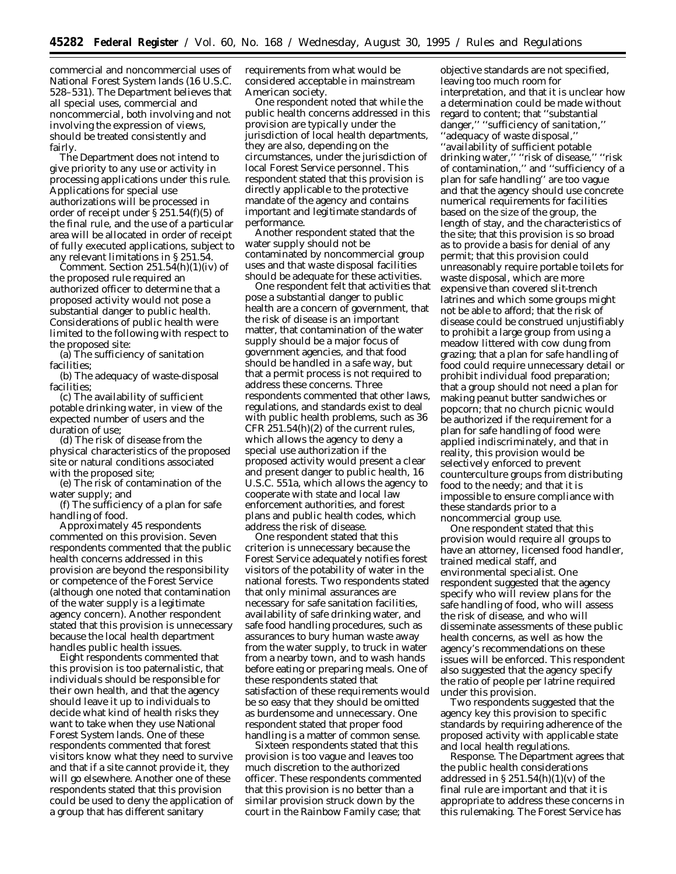commercial and noncommercial uses of National Forest System lands (16 U.S.C. 528–531). The Department believes that all special uses, commercial and noncommercial, both involving and not involving the expression of views, should be treated consistently and fairly.

The Department does not intend to give priority to any use or activity in processing applications under this rule. Applications for special use authorizations will be processed in order of receipt under § 251.54(f)(5) of the final rule, and the use of a particular area will be allocated in order of receipt of fully executed applications, subject to any relevant limitations in § 251.54.

*Comment.* Section 251.54(h)(1)(iv) of the proposed rule required an authorized officer to determine that a proposed activity would not pose a substantial danger to public health. Considerations of public health were limited to the following with respect to the proposed site:

(a) The sufficiency of sanitation facilities;

(b) The adequacy of waste-disposal facilities;

(c) The availability of sufficient potable drinking water, in view of the expected number of users and the duration of use;

(d) The risk of disease from the physical characteristics of the proposed site or natural conditions associated with the proposed site;

(e) The risk of contamination of the water supply; and

(f) The sufficiency of a plan for safe handling of food.

Approximately 45 respondents commented on this provision. Seven respondents commented that the public health concerns addressed in this provision are beyond the responsibility or competence of the Forest Service (although one noted that contamination of the water supply is a legitimate agency concern). Another respondent stated that this provision is unnecessary because the local health department handles public health issues.

Eight respondents commented that this provision is too paternalistic, that individuals should be responsible for their own health, and that the agency should leave it up to individuals to decide what kind of health risks they want to take when they use National Forest System lands. One of these respondents commented that forest visitors know what they need to survive and that if a site cannot provide it, they will go elsewhere. Another one of these respondents stated that this provision could be used to deny the application of a group that has different sanitary

requirements from what would be considered acceptable in mainstream American society.

One respondent noted that while the public health concerns addressed in this provision are typically under the jurisdiction of local health departments, they are also, depending on the circumstances, under the jurisdiction of local Forest Service personnel. This respondent stated that this provision is directly applicable to the protective mandate of the agency and contains important and legitimate standards of performance.

Another respondent stated that the water supply should not be contaminated by noncommercial group uses and that waste disposal facilities should be adequate for these activities.

One respondent felt that activities that pose a substantial danger to public health are a concern of government, that the risk of disease is an important matter, that contamination of the water supply should be a major focus of government agencies, and that food should be handled in a safe way, but that a permit process is not required to address these concerns. Three respondents commented that other laws, regulations, and standards exist to deal with public health problems, such as 36 CFR 251.54(h)(2) of the current rules, which allows the agency to deny a special use authorization if the proposed activity would present a clear and present danger to public health, 16 U.S.C. 551a, which allows the agency to cooperate with state and local law enforcement authorities, and forest plans and public health codes, which address the risk of disease.

One respondent stated that this criterion is unnecessary because the Forest Service adequately notifies forest visitors of the potability of water in the national forests. Two respondents stated that only minimal assurances are necessary for safe sanitation facilities, availability of safe drinking water, and safe food handling procedures, such as assurances to bury human waste away from the water supply, to truck in water from a nearby town, and to wash hands before eating or preparing meals. One of these respondents stated that satisfaction of these requirements would be so easy that they should be omitted as burdensome and unnecessary. One respondent stated that proper food handling is a matter of common sense.

Sixteen respondents stated that this provision is too vague and leaves too much discretion to the authorized officer. These respondents commented that this provision is no better than a similar provision struck down by the court in the *Rainbow Family* case; that

objective standards are not specified, leaving too much room for interpretation, and that it is unclear how a determination could be made without regard to content; that ''substantial danger,'' ''sufficiency of sanitation,'' ''adequacy of waste disposal,'' ''availability of sufficient potable drinking water,'' ''risk of disease,'' ''risk of contamination,'' and ''sufficiency of a plan for safe handling'' are too vague and that the agency should use concrete numerical requirements for facilities based on the size of the group, the length of stay, and the characteristics of the site; that this provision is so broad as to provide a basis for denial of any permit; that this provision could unreasonably require portable toilets for waste disposal, which are more expensive than covered slit-trench latrines and which some groups might not be able to afford; that the risk of disease could be construed unjustifiably to prohibit a large group from using a meadow littered with cow dung from grazing; that a plan for safe handling of food could require unnecessary detail or prohibit individual food preparation; that a group should not need a plan for making peanut butter sandwiches or popcorn; that no church picnic would be authorized if the requirement for a plan for safe handling of food were applied indiscriminately, and that in reality, this provision would be selectively enforced to prevent counterculture groups from distributing food to the needy; and that it is impossible to ensure compliance with these standards prior to a noncommercial group use.

One respondent stated that this provision would require all groups to have an attorney, licensed food handler, trained medical staff, and environmental specialist. One respondent suggested that the agency specify who will review plans for the safe handling of food, who will assess the risk of disease, and who will disseminate assessments of these public health concerns, as well as how the agency's recommendations on these issues will be enforced. This respondent also suggested that the agency specify the ratio of people per latrine required under this provision.

Two respondents suggested that the agency key this provision to specific standards by requiring adherence of the proposed activity with applicable state and local health regulations.

*Response.* The Department agrees that the public health considerations addressed in  $\S 251.54(h)(1)(v)$  of the final rule are important and that it is appropriate to address these concerns in this rulemaking. The Forest Service has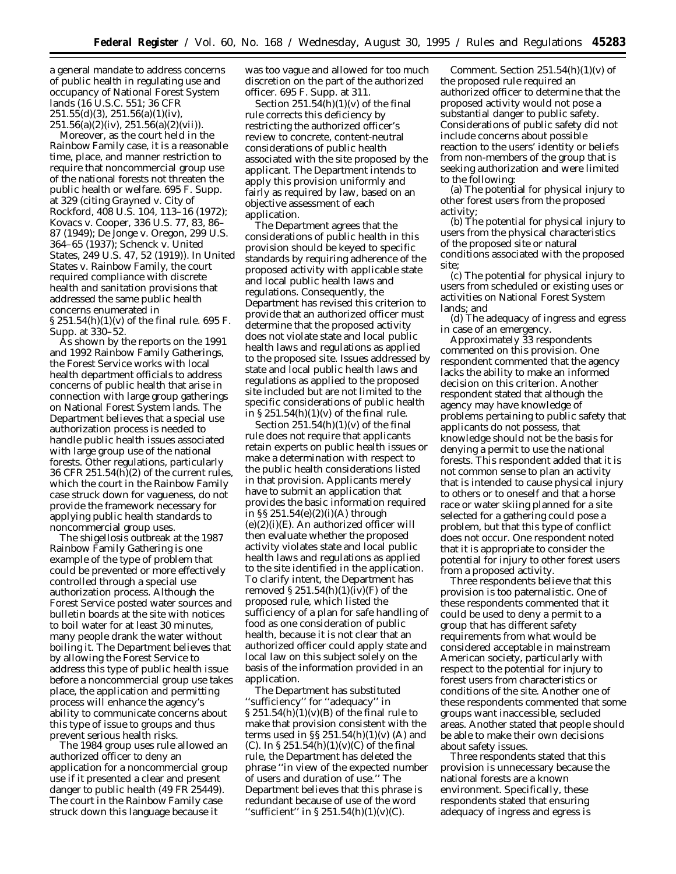a general mandate to address concerns of public health in regulating use and occupancy of National Forest System lands (16 U.S.C. 551; 36 CFR  $251.55(d)(3), 251.56(a)(1)(iv),$  $251.56(a)(2)(iv)$ ,  $251.56(a)(2)(vii)$ .

Moreover, as the court held in the *Rainbow Family* case, it is a reasonable time, place, and manner restriction to require that noncommercial group use of the national forests not threaten the public health or welfare. 695 F. Supp. at 329 (citing *Grayned* v. *City of Rockford,* 408 U.S. 104, 113–16 (1972); *Kovacs* v. *Cooper,* 336 U.S. 77, 83, 86– 87 (1949); *De Jonge* v. *Oregon,* 299 U.S. 364–65 (1937); *Schenck* v. *United States,* 249 U.S. 47, 52 (1919)). In *United States* v. *Rainbow Family,* the court required compliance with discrete health and sanitation provisions that addressed the same public health concerns enumerated in § 251.54(h)(1)(v) of the final rule. 695 F. Supp. at 330–52.

As shown by the reports on the 1991 and 1992 Rainbow Family Gatherings, the Forest Service works with local health department officials to address concerns of public health that arise in connection with large group gatherings on National Forest System lands. The Department believes that a special use authorization process is needed to handle public health issues associated with large group use of the national forests. Other regulations, particularly 36 CFR 251.54(h)(2) of the current rules, which the court in the *Rainbow Family* case struck down for vagueness, do not provide the framework necessary for applying public health standards to noncommercial group uses.

The shigellosis outbreak at the 1987 Rainbow Family Gathering is one example of the type of problem that could be prevented or more effectively controlled through a special use authorization process. Although the Forest Service posted water sources and bulletin boards at the site with notices to boil water for at least 30 minutes, many people drank the water without boiling it. The Department believes that by allowing the Forest Service to address this type of public health issue before a noncommercial group use takes place, the application and permitting process will enhance the agency's ability to communicate concerns about this type of issue to groups and thus prevent serious health risks.

The 1984 group uses rule allowed an authorized officer to deny an application for a noncommercial group use if it presented a clear and present danger to public health (49 FR 25449). The court in the *Rainbow Family* case struck down this language because it

was too vague and allowed for too much discretion on the part of the authorized officer. 695 F. Supp. at 311.

Section  $251.54(h)(1)(v)$  of the final rule corrects this deficiency by restricting the authorized officer's review to concrete, content-neutral considerations of public health associated with the site proposed by the applicant. The Department intends to apply this provision uniformly and fairly as required by law, based on an objective assessment of each application.

The Department agrees that the considerations of public health in this provision should be keyed to specific standards by requiring adherence of the proposed activity with applicable state and local public health laws and regulations. Consequently, the Department has revised this criterion to provide that an authorized officer must determine that the proposed activity does not violate state and local public health laws and regulations as applied to the proposed site. Issues addressed by state and local public health laws and regulations as applied to the proposed site included but are not limited to the specific considerations of public health in  $\S 251.54(h)(1)(v)$  of the final rule.

Section  $251.54(h)(1)(v)$  of the final rule does not require that applicants retain experts on public health issues or make a determination with respect to the public health considerations listed in that provision. Applicants merely have to submit an application that provides the basic information required in §§ 251.54(e)(2)(i)(A) through (e)(2)(i)(E). An authorized officer will then evaluate whether the proposed activity violates state and local public health laws and regulations as applied to the site identified in the application. To clarify intent, the Department has removed  $\S 251.54(h)(1)(iv)(F)$  of the proposed rule, which listed the sufficiency of a plan for safe handling of food as one consideration of public health, because it is not clear that an authorized officer could apply state and local law on this subject solely on the basis of the information provided in an application.

The Department has substituted ''sufficiency'' for ''adequacy'' in  $\S 251.54(h)(1)(v)(B)$  of the final rule to make that provision consistent with the terms used in  $\S$ § 251.54(h)(1)(v) (A) and (C). In  $\S 251.54(h)(1)(v)(C)$  of the final rule, the Department has deleted the phrase ''in view of the expected number of users and duration of use.'' The Department believes that this phrase is redundant because of use of the word "sufficient" in  $\S 251.54(h)(1)(v)(C)$ .

*Comment.* Section 251.54(h)(1)(v) of the proposed rule required an authorized officer to determine that the proposed activity would not pose a substantial danger to public safety. Considerations of public safety did not include concerns about possible reaction to the users' identity or beliefs from non-members of the group that is seeking authorization and were limited to the following:

(a) The potential for physical injury to other forest users from the proposed activity;

(b) The potential for physical injury to users from the physical characteristics of the proposed site or natural conditions associated with the proposed site;

(c) The potential for physical injury to users from scheduled or existing uses or activities on National Forest System lands; and

(d) The adequacy of ingress and egress in case of an emergency.

Approximately 33 respondents commented on this provision. One respondent commented that the agency lacks the ability to make an informed decision on this criterion. Another respondent stated that although the agency may have knowledge of problems pertaining to public safety that applicants do not possess, that knowledge should not be the basis for denying a permit to use the national forests. This respondent added that it is not common sense to plan an activity that is intended to cause physical injury to others or to oneself and that a horse race or water skiing planned for a site selected for a gathering could pose a problem, but that this type of conflict does not occur. One respondent noted that it is appropriate to consider the potential for injury to other forest users from a proposed activity.

Three respondents believe that this provision is too paternalistic. One of these respondents commented that it could be used to deny a permit to a group that has different safety requirements from what would be considered acceptable in mainstream American society, particularly with respect to the potential for injury to forest users from characteristics or conditions of the site. Another one of these respondents commented that some groups want inaccessible, secluded areas. Another stated that people should be able to make their own decisions about safety issues.

Three respondents stated that this provision is unnecessary because the national forests are a known environment. Specifically, these respondents stated that ensuring adequacy of ingress and egress is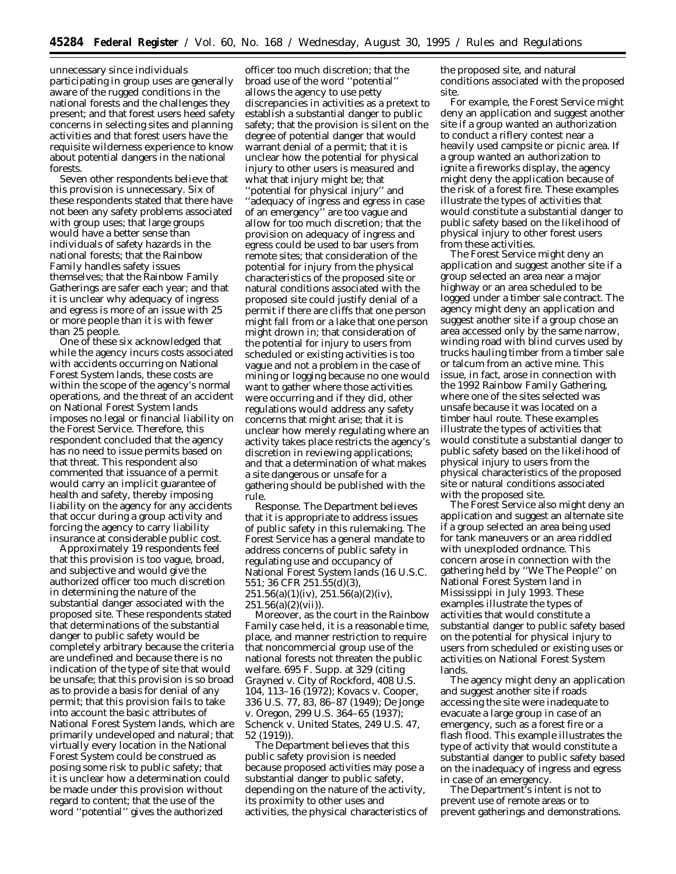unnecessary since individuals participating in group uses are generally aware of the rugged conditions in the national forests and the challenges they present; and that forest users heed safety concerns in selecting sites and planning activities and that forest users have the requisite wilderness experience to know about potential dangers in the national forests.

Seven other respondents believe that this provision is unnecessary. Six of these respondents stated that there have not been any safety problems associated with group uses; that large groups would have a better sense than individuals of safety hazards in the national forests; that the Rainbow Family handles safety issues themselves; that the Rainbow Family Gatherings are safer each year; and that it is unclear why adequacy of ingress and egress is more of an issue with 25 or more people than it is with fewer than 25 people.

One of these six acknowledged that while the agency incurs costs associated with accidents occurring on National Forest System lands, these costs are within the scope of the agency's normal operations, and the threat of an accident on National Forest System lands imposes no legal or financial liability on the Forest Service. Therefore, this respondent concluded that the agency has no need to issue permits based on that threat. This respondent also commented that issuance of a permit would carry an implicit guarantee of health and safety, thereby imposing liability on the agency for any accidents that occur during a group activity and forcing the agency to carry liability insurance at considerable public cost.

Approximately 19 respondents feel that this provision is too vague, broad, and subjective and would give the authorized officer too much discretion in determining the nature of the substantial danger associated with the proposed site. These respondents stated that determinations of the substantial danger to public safety would be completely arbitrary because the criteria are undefined and because there is no indication of the type of site that would be unsafe; that this provision is so broad as to provide a basis for denial of any permit; that this provision fails to take into account the basic attributes of National Forest System lands, which are primarily undeveloped and natural; that virtually every location in the National Forest System could be construed as posing some risk to public safety; that it is unclear how a determination could be made under this provision without regard to content; that the use of the word ''potential'' gives the authorized

officer too much discretion; that the broad use of the word ''potential'' allows the agency to use petty discrepancies in activities as a pretext to establish a substantial danger to public safety; that the provision is silent on the degree of potential danger that would warrant denial of a permit; that it is unclear how the potential for physical injury to other users is measured and what that injury might be; that 'potential for physical injury'' and ''adequacy of ingress and egress in case of an emergency'' are too vague and allow for too much discretion; that the provision on adequacy of ingress and egress could be used to bar users from remote sites; that consideration of the potential for injury from the physical characteristics of the proposed site or natural conditions associated with the proposed site could justify denial of a permit if there are cliffs that one person might fall from or a lake that one person might drown in; that consideration of the potential for injury to users from scheduled or existing activities is too vague and not a problem in the case of mining or logging because no one would want to gather where those activities were occurring and if they did, other regulations would address any safety concerns that might arise; that it is unclear how merely regulating where an activity takes place restricts the agency's discretion in reviewing applications; and that a determination of what makes a site dangerous or unsafe for a gathering should be published with the rule.

*Response*. The Department believes that it is appropriate to address issues of public safety in this rulemaking. The Forest Service has a general mandate to address concerns of public safety in regulating use and occupancy of National Forest System lands (16 U.S.C. 551; 36 CFR 251.55(d)(3),  $251.56(a)(1)(iv)$ ,  $251.56(a)(2)(iv)$ ,  $251.56(a)(2)(vii)$ .

Moreover, as the court in the *Rainbow Family* case held, it is a reasonable time, place, and manner restriction to require that noncommercial group use of the national forests not threaten the public welfare. 695 F. Supp. at 329 (citing *Grayned* v. *City of Rockford*, 408 U.S. 104, 113–16 (1972); *Kovacs* v. *Cooper,* 336 U.S. 77, 83, 86–87 (1949); *De Jonge* v. *Oregon*, 299 U.S. 364–65 (1937); *Schenck* v. *United States,* 249 U.S. 47, 52 (1919)).

The Department believes that this public safety provision is needed because proposed activities may pose a substantial danger to public safety, depending on the nature of the activity, its proximity to other uses and activities, the physical characteristics of

the proposed site, and natural conditions associated with the proposed site.

For example, the Forest Service might deny an application and suggest another site if a group wanted an authorization to conduct a riflery contest near a heavily used campsite or picnic area. If a group wanted an authorization to ignite a fireworks display, the agency might deny the application because of the risk of a forest fire. These examples illustrate the types of activities that would constitute a substantial danger to public safety based on the likelihood of physical injury to other forest users from these activities.

The Forest Service might deny an application and suggest another site if a group selected an area near a major highway or an area scheduled to be logged under a timber sale contract. The agency might deny an application and suggest another site if a group chose an area accessed only by the same narrow, winding road with blind curves used by trucks hauling timber from a timber sale or talcum from an active mine. This issue, in fact, arose in connection with the 1992 Rainbow Family Gathering, where one of the sites selected was unsafe because it was located on a timber haul route. These examples illustrate the types of activities that would constitute a substantial danger to public safety based on the likelihood of physical injury to users from the physical characteristics of the proposed site or natural conditions associated with the proposed site.

The Forest Service also might deny an application and suggest an alternate site if a group selected an area being used for tank maneuvers or an area riddled with unexploded ordnance. This concern arose in connection with the gathering held by ''We The People'' on National Forest System land in Mississippi in July 1993. These examples illustrate the types of activities that would constitute a substantial danger to public safety based on the potential for physical injury to users from scheduled or existing uses or activities on National Forest System lands.

The agency might deny an application and suggest another site if roads accessing the site were inadequate to evacuate a large group in case of an emergency, such as a forest fire or a flash flood. This example illustrates the type of activity that would constitute a substantial danger to public safety based on the inadequacy of ingress and egress in case of an emergency.

The Department's intent is not to prevent use of remote areas or to prevent gatherings and demonstrations.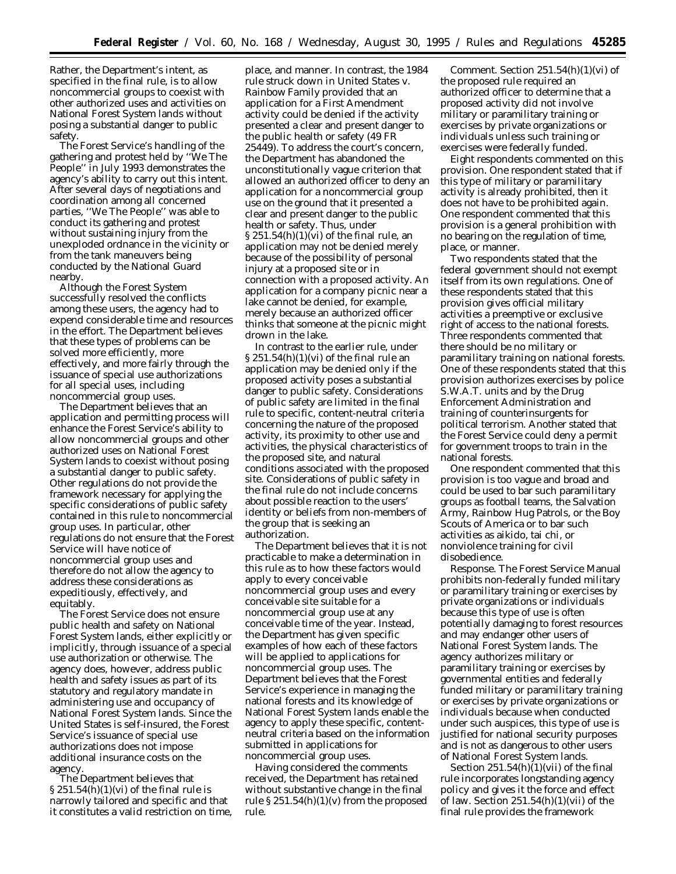Rather, the Department's intent, as specified in the final rule, is to allow noncommercial groups to coexist with other authorized uses and activities on National Forest System lands without posing a substantial danger to public safety.

The Forest Service's handling of the gathering and protest held by ''We The People'' in July 1993 demonstrates the agency's ability to carry out this intent. After several days of negotiations and coordination among all concerned parties, ''We The People'' was able to conduct its gathering and protest without sustaining injury from the unexploded ordnance in the vicinity or from the tank maneuvers being conducted by the National Guard nearby.

Although the Forest System successfully resolved the conflicts among these users, the agency had to expend considerable time and resources in the effort. The Department believes that these types of problems can be solved more efficiently, more effectively, and more fairly through the issuance of special use authorizations for all special uses, including noncommercial group uses.

The Department believes that an application and permitting process will enhance the Forest Service's ability to allow noncommercial groups and other authorized uses on National Forest System lands to coexist without posing a substantial danger to public safety. Other regulations do not provide the framework necessary for applying the specific considerations of public safety contained in this rule to noncommercial group uses. In particular, other regulations do not ensure that the Forest Service will have notice of noncommercial group uses and therefore do not allow the agency to address these considerations as expeditiously, effectively, and equitably.

The Forest Service does not ensure public health and safety on National Forest System lands, either explicitly or implicitly, through issuance of a special use authorization or otherwise. The agency does, however, address public health and safety issues as part of its statutory and regulatory mandate in administering use and occupancy of National Forest System lands. Since the United States is self-insured, the Forest Service's issuance of special use authorizations does not impose additional insurance costs on the agency.

The Department believes that  $\S 251.54(h)(1)(vi)$  of the final rule is narrowly tailored and specific and that it constitutes a valid restriction on time,

place, and manner. In contrast, the 1984 rule struck down in *United States* v. *Rainbow Family* provided that an application for a First Amendment activity could be denied if the activity presented a clear and present danger to the public health or safety (49 FR 25449). To address the court's concern, the Department has abandoned the unconstitutionally vague criterion that allowed an authorized officer to deny an application for a noncommercial group use on the ground that it presented a clear and present danger to the public health or safety. Thus, under  $\S 251.54(h)(1)(vi)$  of the final rule, an application may not be denied merely because of the possibility of personal injury at a proposed site or in connection with a proposed activity. An application for a company picnic near a lake cannot be denied, for example, merely because an authorized officer thinks that someone at the picnic might drown in the lake.

In contrast to the earlier rule, under  $\S 251.54(h)(1)(vi)$  of the final rule an application may be denied only if the proposed activity poses a substantial danger to public safety. Considerations of public safety are limited in the final rule to specific, content-neutral criteria concerning the nature of the proposed activity, its proximity to other use and activities, the physical characteristics of the proposed site, and natural conditions associated with the proposed site. Considerations of public safety in the final rule do not include concerns about possible reaction to the users' identity or beliefs from non-members of the group that is seeking an authorization.

The Department believes that it is not practicable to make a determination in this rule as to how these factors would apply to every conceivable noncommercial group uses and every conceivable site suitable for a noncommercial group use at any conceivable time of the year. Instead, the Department has given specific examples of how each of these factors will be applied to applications for noncommercial group uses. The Department believes that the Forest Service's experience in managing the national forests and its knowledge of National Forest System lands enable the agency to apply these specific, contentneutral criteria based on the information submitted in applications for noncommercial group uses.

Having considered the comments received, the Department has retained without substantive change in the final rule  $\S 251.54(h)(1)(v)$  from the proposed rule.

*Comment.* Section 251.54(h)(1)(vi) of the proposed rule required an authorized officer to determine that a proposed activity did not involve military or paramilitary training or exercises by private organizations or individuals unless such training or exercises were federally funded.

Eight respondents commented on this provision. One respondent stated that if this type of military or paramilitary activity is already prohibited, then it does not have to be prohibited again. One respondent commented that this provision is a general prohibition with no bearing on the regulation of time, place, or manner.

Two respondents stated that the federal government should not exempt itself from its own regulations. One of these respondents stated that this provision gives official military activities a preemptive or exclusive right of access to the national forests. Three respondents commented that there should be no military or paramilitary training on national forests. One of these respondents stated that this provision authorizes exercises by police S.W.A.T. units and by the Drug Enforcement Administration and training of counterinsurgents for political terrorism. Another stated that the Forest Service could deny a permit for government troops to train in the national forests.

One respondent commented that this provision is too vague and broad and could be used to bar such paramilitary groups as football teams, the Salvation Army, Rainbow Hug Patrols, or the Boy Scouts of America or to bar such activities as aikido, tai chi, or nonviolence training for civil disobedience.

*Response.* The Forest Service Manual prohibits non-federally funded military or paramilitary training or exercises by private organizations or individuals because this type of use is often potentially damaging to forest resources and may endanger other users of National Forest System lands. The agency authorizes military or paramilitary training or exercises by governmental entities and federally funded military or paramilitary training or exercises by private organizations or individuals because when conducted under such auspices, this type of use is justified for national security purposes and is not as dangerous to other users of National Forest System lands.

Section 251.54(h)(1)(vii) of the final rule incorporates longstanding agency policy and gives it the force and effect of law. Section  $251.54(h)(1)(vii)$  of the final rule provides the framework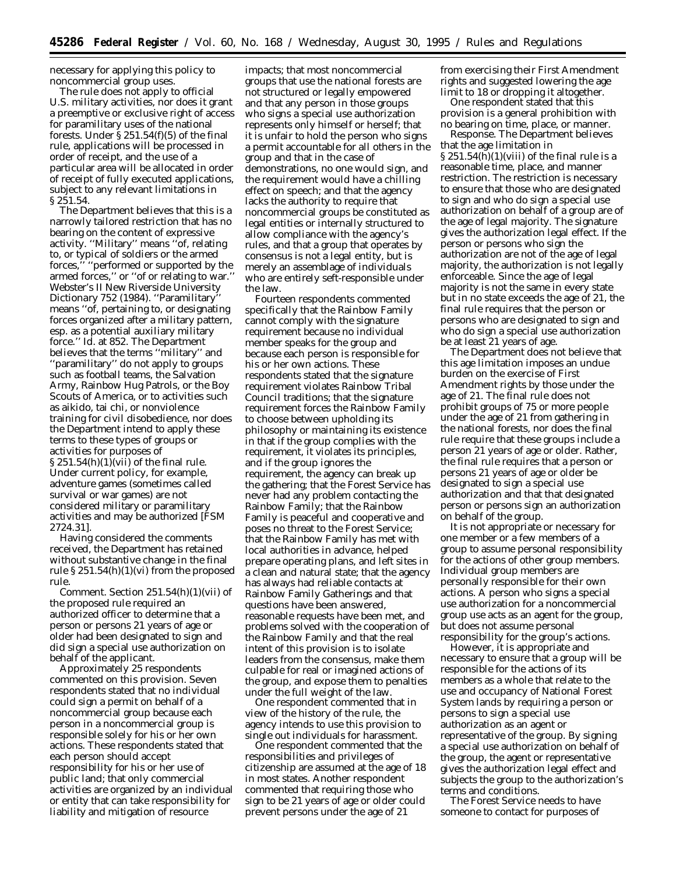necessary for applying this policy to noncommercial group uses.

The rule does not apply to official U.S. military activities, nor does it grant a preemptive or exclusive right of access for paramilitary uses of the national forests. Under § 251.54(f)(5) of the final rule, applications will be processed in order of receipt, and the use of a particular area will be allocated in order of receipt of fully executed applications, subject to any relevant limitations in § 251.54.

The Department believes that this is a narrowly tailored restriction that has no bearing on the content of expressive activity. ''Military'' means ''of, relating to, or typical of soldiers or the armed forces,'' ''performed or supported by the armed forces,'' or ''of or relating to war.'' *Webster's II New Riverside University Dictionary* 752 (1984). ''Paramilitary'' means ''of, pertaining to, or designating forces organized after a military pattern, esp. as a potential auxiliary military force.'' *Id.* at 852. The Department believes that the terms ''military'' and ''paramilitary'' do not apply to groups such as football teams, the Salvation Army, Rainbow Hug Patrols, or the Boy Scouts of America, or to activities such as aikido, tai chi, or nonviolence training for civil disobedience, nor does the Department intend to apply these terms to these types of groups or activities for purposes of § 251.54(h)(1)(vii) of the final rule. Under current policy, for example, adventure games (sometimes called survival or war games) are not considered military or paramilitary activities and may be authorized [FSM 2724.31].

Having considered the comments received, the Department has retained without substantive change in the final rule  $\S 251.54(h)(1)(vi)$  from the proposed rule.

*Comment.* Section 251.54(h)(1)(vii) of the proposed rule required an authorized officer to determine that a person or persons 21 years of age or older had been designated to sign and did sign a special use authorization on behalf of the applicant.

Approximately 25 respondents commented on this provision. Seven respondents stated that no individual could sign a permit on behalf of a noncommercial group because each person in a noncommercial group is responsible solely for his or her own actions. These respondents stated that each person should accept responsibility for his or her use of public land; that only commercial activities are organized by an individual or entity that can take responsibility for liability and mitigation of resource

impacts; that most noncommercial groups that use the national forests are not structured or legally empowered and that any person in those groups who signs a special use authorization represents only himself or herself; that it is unfair to hold the person who signs a permit accountable for all others in the group and that in the case of demonstrations, no one would sign, and the requirement would have a chilling effect on speech; and that the agency lacks the authority to require that noncommercial groups be constituted as legal entities or internally structured to allow compliance with the agency's rules, and that a group that operates by consensus is not a legal entity, but is merely an assemblage of individuals who are entirely seft-responsible under the law.

Fourteen respondents commented specifically that the Rainbow Family cannot comply with the signature requirement because no individual member speaks for the group and because each person is responsible for his or her own actions. These respondents stated that the signature requirement violates Rainbow Tribal Council traditions; that the signature requirement forces the Rainbow Family to choose between upholding its philosophy or maintaining its existence in that if the group complies with the requirement, it violates its principles, and if the group ignores the requirement, the agency can break up the gathering; that the Forest Service has never had any problem contacting the Rainbow Family; that the Rainbow Family is peaceful and cooperative and poses no threat to the Forest Service; that the Rainbow Family has met with local authorities in advance, helped prepare operating plans, and left sites in a clean and natural state; that the agency has always had reliable contacts at Rainbow Family Gatherings and that questions have been answered, reasonable requests have been met, and problems solved with the cooperation of the Rainbow Family and that the real intent of this provision is to isolate leaders from the consensus, make them culpable for real or imagined actions of the group, and expose them to penalties under the full weight of the law.

One respondent commented that in view of the history of the rule, the agency intends to use this provision to single out individuals for harassment.

One respondent commented that the responsibilities and privileges of citizenship are assumed at the age of 18 in most states. Another respondent commented that requiring those who sign to be 21 years of age or older could prevent persons under the age of 21

from exercising their First Amendment rights and suggested lowering the age limit to 18 or dropping it altogether.

One respondent stated that this provision is a general prohibition with no bearing on time, place, or manner.

*Response.* The Department believes that the age limitation in  $\S 251.54(h)(1)(viii)$  of the final rule is a reasonable time, place, and manner restriction. The restriction is necessary to ensure that those who are designated to sign and who do sign a special use authorization on behalf of a group are of the age of legal majority. The signature gives the authorization legal effect. If the person or persons who sign the authorization are not of the age of legal majority, the authorization is not legally enforceable. Since the age of legal majority is not the same in every state but in no state exceeds the age of 21, the final rule requires that the person or persons who are designated to sign and who do sign a special use authorization be at least 21 years of age.

The Department does not believe that this age limitation imposes an undue burden on the exercise of First Amendment rights by those under the age of 21. The final rule does not prohibit groups of 75 or more people under the age of 21 from gathering in the national forests, nor does the final rule require that these groups include a person 21 years of age or older. Rather, the final rule requires that a person or persons 21 years of age or older be designated to sign a special use authorization and that that designated person or persons sign an authorization on behalf of the group.

It is not appropriate or necessary for one member or a few members of a group to assume personal responsibility for the actions of other group members. Individual group members are personally responsible for their own actions. A person who signs a special use authorization for a noncommercial group use acts as an agent for the group, but does not assume personal responsibility for the group's actions.

However, it is appropriate and necessary to ensure that a group will be responsible for the actions of its members as a whole that relate to the use and occupancy of National Forest System lands by requiring a person or persons to sign a special use authorization as an agent or representative of the group. By signing a special use authorization on behalf of the group, the agent or representative gives the authorization legal effect and subjects the group to the authorization's terms and conditions.

The Forest Service needs to have someone to contact for purposes of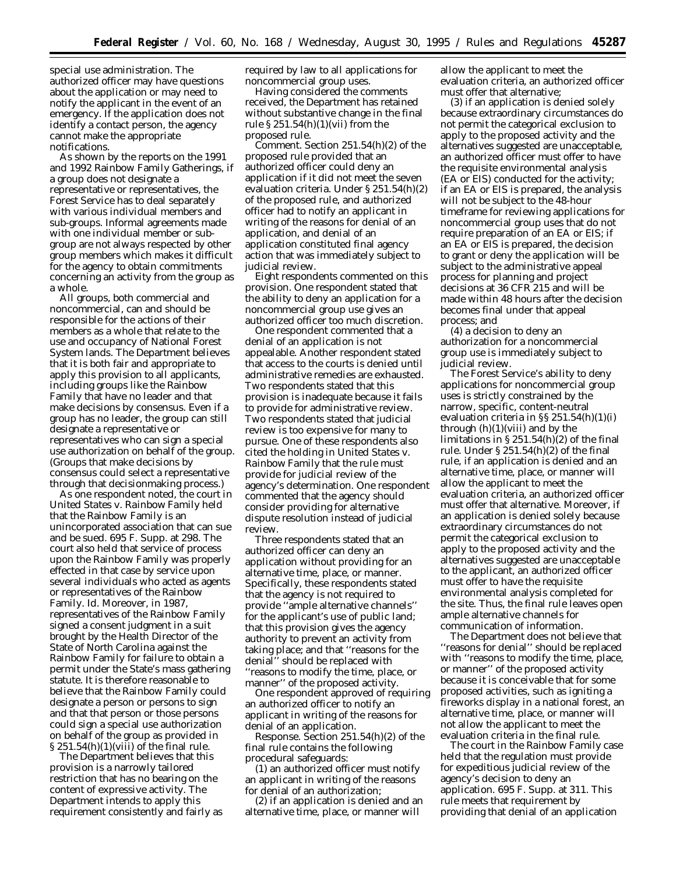special use administration. The authorized officer may have questions about the application or may need to notify the applicant in the event of an emergency. If the application does not identify a contact person, the agency cannot make the appropriate notifications.

As shown by the reports on the 1991 and 1992 Rainbow Family Gatherings, if a group does not designate a representative or representatives, the Forest Service has to deal separately with various individual members and sub-groups. Informal agreements made with one individual member or subgroup are not always respected by other group members which makes it difficult for the agency to obtain commitments concerning an activity from the group as a whole.

All groups, both commercial and noncommercial, can and should be responsible for the actions of their members as a whole that relate to the use and occupancy of National Forest System lands. The Department believes that it is both fair and appropriate to apply this provision to all applicants, including groups like the Rainbow Family that have no leader and that make decisions by consensus. Even if a group has no leader, the group can still designate a representative or representatives who can sign a special use authorization on behalf of the group. (Groups that make decisions by consensus could select a representative through that decisionmaking process.)

As one respondent noted, the court in *United States* v. *Rainbow Family* held that the Rainbow Family is an unincorporated association that can sue and be sued. 695 F. Supp. at 298. The court also held that service of process upon the Rainbow Family was properly effected in that case by service upon several individuals who acted as agents or representatives of the Rainbow Family. *Id.* Moreover, in 1987, representatives of the Rainbow Family signed a consent judgment in a suit brought by the Health Director of the State of North Carolina against the Rainbow Family for failure to obtain a permit under the State's mass gathering statute. It is therefore reasonable to believe that the Rainbow Family could designate a person or persons to sign and that that person or those persons could sign a special use authorization on behalf of the group as provided in  $\S 251.54(h)(1)(viii)$  of the final rule.

The Department believes that this provision is a narrowly tailored restriction that has no bearing on the content of expressive activity. The Department intends to apply this requirement consistently and fairly as required by law to all applications for noncommercial group uses.

Having considered the comments received, the Department has retained without substantive change in the final rule  $\S 251.54(h)(1)(vii)$  from the proposed rule.

*Comment.* Section 251.54(h)(2) of the proposed rule provided that an authorized officer could deny an application if it did not meet the seven evaluation criteria. Under § 251.54(h)(2) of the proposed rule, and authorized officer had to notify an applicant in writing of the reasons for denial of an application, and denial of an application constituted final agency action that was immediately subject to judicial review.

Eight respondents commented on this provision. One respondent stated that the ability to deny an application for a noncommercial group use gives an authorized officer too much discretion.

One respondent commented that a denial of an application is not appealable. Another respondent stated that access to the courts is denied until administrative remedies are exhausted. Two respondents stated that this provision is inadequate because it fails to provide for administrative review. Two respondents stated that judicial review is too expensive for many to pursue. One of these respondents also cited the holding in *United States* v. *Rainbow Family* that the rule must provide for judicial review of the agency's determination. One respondent commented that the agency should consider providing for alternative dispute resolution instead of judicial review.

Three respondents stated that an authorized officer can deny an application without providing for an alternative time, place, or manner. Specifically, these respondents stated that the agency is not required to provide ''ample alternative channels'' for the applicant's use of public land; that this provision gives the agency authority to prevent an activity from taking place; and that ''reasons for the denial'' should be replaced with ''reasons to modify the time, place, or manner'' of the proposed activity.

One respondent approved of requiring an authorized officer to notify an applicant in writing of the reasons for denial of an application.

*Response.* Section 251.54(h)(2) of the final rule contains the following procedural safeguards:

(1) an authorized officer must notify an applicant in writing of the reasons for denial of an authorization;

(2) if an application is denied and an alternative time, place, or manner will

allow the applicant to meet the evaluation criteria, an authorized officer must offer that alternative;

(3) if an application is denied solely because extraordinary circumstances do not permit the categorical exclusion to apply to the proposed activity and the alternatives suggested are unacceptable, an authorized officer must offer to have the requisite environmental analysis (EA or EIS) conducted for the activity; if an EA or EIS is prepared, the analysis will not be subject to the 48-hour timeframe for reviewing applications for noncommercial group uses that do not require preparation of an EA or EIS; if an EA or EIS is prepared, the decision to grant or deny the application will be subject to the administrative appeal process for planning and project decisions at 36 CFR 215 and will be made within 48 hours after the decision becomes final under that appeal process; and

(4) a decision to deny an authorization for a noncommercial group use is immediately subject to judicial review.

The Forest Service's ability to deny applications for noncommercial group uses is strictly constrained by the narrow, specific, content-neutral evaluation criteria in §§ 251.54(h)(1)(i) through  $(h)(1)(viii)$  and by the limitations in § 251.54(h)(2) of the final rule. Under  $\S 251.54(h)(2)$  of the final rule, if an application is denied and an alternative time, place, or manner will allow the applicant to meet the evaluation criteria, an authorized officer must offer that alternative. Moreover, if an application is denied solely because extraordinary circumstances do not permit the categorical exclusion to apply to the proposed activity and the alternatives suggested are unacceptable to the applicant, an authorized officer must offer to have the requisite environmental analysis completed for the site. Thus, the final rule leaves open ample alternative channels for communication of information.

The Department does not believe that ''reasons for denial'' should be replaced with "reasons to modify the time, place, or manner'' of the proposed activity because it is conceivable that for some proposed activities, such as igniting a fireworks display in a national forest, an alternative time, place, or manner will not allow the applicant to meet the evaluation criteria in the final rule.

The court in the *Rainbow Family* case held that the regulation must provide for expeditious judicial review of the agency's decision to deny an application. 695 F. Supp. at 311. This rule meets that requirement by providing that denial of an application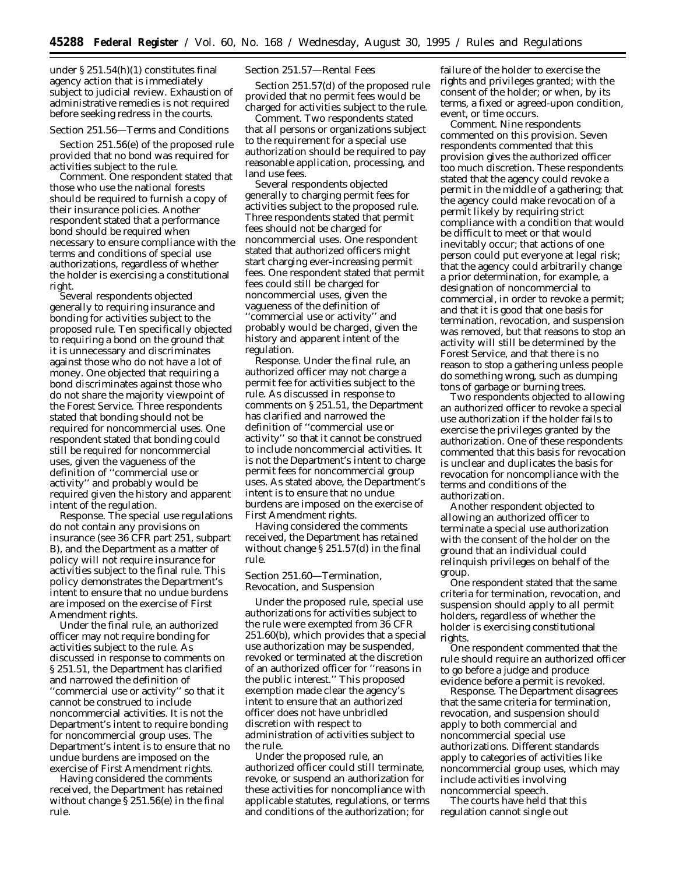under § 251.54(h)(1) constitutes final agency action that is immediately subject to judicial review. Exhaustion of administrative remedies is not required before seeking redress in the courts.

# *Section 251.56—Terms and Conditions*

Section 251.56(e) of the proposed rule provided that no bond was required for activities subject to the rule.

*Comment.* One respondent stated that those who use the national forests should be required to furnish a copy of their insurance policies. Another respondent stated that a performance bond should be required when necessary to ensure compliance with the terms and conditions of special use authorizations, regardless of whether the holder is exercising a constitutional right.

Several respondents objected generally to requiring insurance and bonding for activities subject to the proposed rule. Ten specifically objected to requiring a bond on the ground that it is unnecessary and discriminates against those who do not have a lot of money. One objected that requiring a bond discriminates against those who do not share the majority viewpoint of the Forest Service. Three respondents stated that bonding should not be required for noncommercial uses. One respondent stated that bonding could still be required for noncommercial uses, given the vagueness of the definition of ''commercial use or activity'' and probably would be required given the history and apparent intent of the regulation.

*Response.* The special use regulations do not contain any provisions on insurance (*see* 36 CFR part 251, subpart B), and the Department as a matter of policy will not require insurance for activities subject to the final rule. This policy demonstrates the Department's intent to ensure that no undue burdens are imposed on the exercise of First Amendment rights.

Under the final rule, an authorized officer may not require bonding for activities subject to the rule. As discussed in response to comments on § 251.51, the Department has clarified and narrowed the definition of ''commercial use or activity'' so that it cannot be construed to include noncommercial activities. It is not the Department's intent to require bonding for noncommercial group uses. The Department's intent is to ensure that no undue burdens are imposed on the exercise of First Amendment rights.

Having considered the comments received, the Department has retained without change § 251.56(e) in the final rule.

### *Section 251.57—Rental Fees*

Section 251.57(d) of the proposed rule provided that no permit fees would be charged for activities subject to the rule.

*Comment.* Two respondents stated that all persons or organizations subject to the requirement for a special use authorization should be required to pay reasonable application, processing, and land use fees.

Several respondents objected generally to charging permit fees for activities subject to the proposed rule. Three respondents stated that permit fees should not be charged for noncommercial uses. One respondent stated that authorized officers might start charging ever-increasing permit fees. One respondent stated that permit fees could still be charged for noncommercial uses, given the vagueness of the definition of ''commercial use or activity'' and probably would be charged, given the history and apparent intent of the regulation.

*Response.* Under the final rule, an authorized officer may not charge a permit fee for activities subject to the rule. As discussed in response to comments on § 251.51, the Department has clarified and narrowed the definition of ''commercial use or activity'' so that it cannot be construed to include noncommercial activities. It is not the Department's intent to charge permit fees for noncommercial group uses. As stated above, the Department's intent is to ensure that no undue burdens are imposed on the exercise of First Amendment rights.

Having considered the comments received, the Department has retained without change § 251.57(d) in the final rule.

# *Section 251.60—Termination, Revocation, and Suspension*

Under the proposed rule, special use authorizations for activities subject to the rule were exempted from 36 CFR 251.60(b), which provides that a special use authorization may be suspended, revoked or terminated at the discretion of an authorized officer for ''reasons in the public interest.'' This proposed exemption made clear the agency's intent to ensure that an authorized officer does not have unbridled discretion with respect to administration of activities subject to the rule.

Under the proposed rule, an authorized officer could still terminate, revoke, or suspend an authorization for these activities for noncompliance with applicable statutes, regulations, or terms and conditions of the authorization; for

failure of the holder to exercise the rights and privileges granted; with the consent of the holder; or when, by its terms, a fixed or agreed-upon condition, event, or time occurs.

*Comment.* Nine respondents commented on this provision. Seven respondents commented that this provision gives the authorized officer too much discretion. These respondents stated that the agency could revoke a permit in the middle of a gathering; that the agency could make revocation of a permit likely by requiring strict compliance with a condition that would be difficult to meet or that would inevitably occur; that actions of one person could put everyone at legal risk; that the agency could arbitrarily change a prior determination, for example, a designation of noncommercial to commercial, in order to revoke a permit; and that it is good that one basis for termination, revocation, and suspension was removed, but that reasons to stop an activity will still be determined by the Forest Service, and that there is no reason to stop a gathering unless people do something wrong, such as dumping tons of garbage or burning trees.

Two respondents objected to allowing an authorized officer to revoke a special use authorization if the holder fails to exercise the privileges granted by the authorization. One of these respondents commented that this basis for revocation is unclear and duplicates the basis for revocation for noncompliance with the terms and conditions of the authorization.

Another respondent objected to allowing an authorized officer to terminate a special use authorization with the consent of the holder on the ground that an individual could relinquish privileges on behalf of the group.

One respondent stated that the same criteria for termination, revocation, and suspension should apply to all permit holders, regardless of whether the holder is exercising constitutional rights.

One respondent commented that the rule should require an authorized officer to go before a judge and produce evidence before a permit is revoked.

*Response.* The Department disagrees that the same criteria for termination, revocation, and suspension should apply to both commercial and noncommercial special use authorizations. Different standards apply to categories of activities like noncommercial group uses, which may include activities involving noncommercial speech.

The courts have held that this regulation cannot single out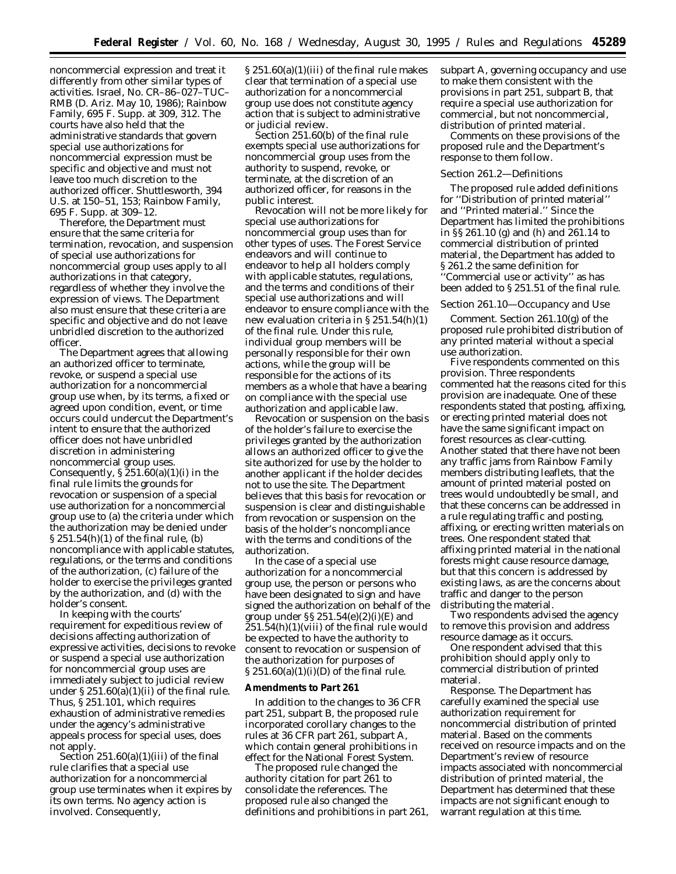noncommercial expression and treat it differently from other similar types of activities. *Israel,* No. CR–86–027–TUC– RMB (D. Ariz. May 10, 1986); *Rainbow Family,* 695 F. Supp. at 309, 312. The courts have also held that the administrative standards that govern special use authorizations for noncommercial expression must be specific and objective and must not leave too much discretion to the authorized officer. *Shuttlesworth,* 394 U.S. at 150–51, 153; *Rainbow Family,* 695 F. Supp. at 309–12.

Therefore, the Department must ensure that the same criteria for termination, revocation, and suspension of special use authorizations for noncommercial group uses apply to all authorizations in that category, regardless of whether they involve the expression of views. The Department also must ensure that these criteria are specific and objective and do not leave unbridled discretion to the authorized officer.

The Department agrees that allowing an authorized officer to terminate, revoke, or suspend a special use authorization for a noncommercial group use when, by its terms, a fixed or agreed upon condition, event, or time occurs could undercut the Department's intent to ensure that the authorized officer does not have unbridled discretion in administering noncommercial group uses. Consequently,  $\S 251.60(a)(1)(i)$  in the final rule limits the grounds for revocation or suspension of a special use authorization for a noncommercial group use to (a) the criteria under which the authorization may be denied under § 251.54(h)(1) of the final rule, (b) noncompliance with applicable statutes, regulations, or the terms and conditions of the authorization, (c) failure of the holder to exercise the privileges granted by the authorization, and (d) with the holder's consent.

In keeping with the courts' requirement for expeditious review of decisions affecting authorization of expressive activities, decisions to revoke or suspend a special use authorization for noncommercial group uses are immediately subject to judicial review under  $\S 251.60(a)(1)(ii)$  of the final rule. Thus, § 251.101, which requires exhaustion of administrative remedies under the agency's administrative appeals process for special uses, does not apply.

Section  $251.60(a)(1)(iii)$  of the final rule clarifies that a special use authorization for a noncommercial group use terminates when it expires by its own terms. No agency action is involved. Consequently,

§ 251.60(a)(1)(iii) of the final rule makes clear that termination of a special use authorization for a noncommercial group use does not constitute agency action that is subject to administrative or judicial review.

Section 251.60(b) of the final rule exempts special use authorizations for noncommercial group uses from the authority to suspend, revoke, or terminate, at the discretion of an authorized officer, for reasons in the public interest.

Revocation will not be more likely for special use authorizations for noncommercial group uses than for other types of uses. The Forest Service endeavors and will continue to endeavor to help all holders comply with applicable statutes, regulations, and the terms and conditions of their special use authorizations and will endeavor to ensure compliance with the new evaluation criteria in § 251.54(h)(1) of the final rule. Under this rule, individual group members will be personally responsible for their own actions, while the group will be responsible for the actions of its members as a whole that have a bearing on compliance with the special use authorization and applicable law.

Revocation or suspension on the basis of the holder's failure to exercise the privileges granted by the authorization allows an authorized officer to give the site authorized for use by the holder to another applicant if the holder decides not to use the site. The Department believes that this basis for revocation or suspension is clear and distinguishable from revocation or suspension on the basis of the holder's noncompliance with the terms and conditions of the authorization.

In the case of a special use authorization for a noncommercial group use, the person or persons who have been designated to sign and have signed the authorization on behalf of the group under  $\S$ § 251.54 $(e)(2)(i)$ (E) and 251.54(h)(1)(viii) of the final rule would be expected to have the authority to consent to revocation or suspension of the authorization for purposes of  $\S 251.60(a)(1)(i)(D)$  of the final rule.

#### **Amendments to Part 261**

In addition to the changes to 36 CFR part 251, subpart B, the proposed rule incorporated corollary changes to the rules at 36 CFR part 261, subpart A, which contain general prohibitions in effect for the National Forest System.

The proposed rule changed the authority citation for part 261 to consolidate the references. The proposed rule also changed the definitions and prohibitions in part 261, subpart A, governing occupancy and use to make them consistent with the provisions in part 251, subpart B, that require a special use authorization for commercial, but not noncommercial, distribution of printed material.

Comments on these provisions of the proposed rule and the Department's response to them follow.

#### *Section 261.2—Definitions*

The proposed rule added definitions for ''Distribution of printed material'' and ''Printed material.'' Since the Department has limited the prohibitions in §§ 261.10 (g) and (h) and 261.14 to commercial distribution of printed material, the Department has added to § 261.2 the same definition for ''Commercial use or activity'' as has been added to § 251.51 of the final rule.

#### *Section 261.10—Occupancy and Use*

*Comment.* Section 261.10(g) of the proposed rule prohibited distribution of any printed material without a special use authorization.

Five respondents commented on this provision. Three respondents commented hat the reasons cited for this provision are inadequate. One of these respondents stated that posting, affixing, or erecting printed material does not have the same significant impact on forest resources as clear-cutting. Another stated that there have not been any traffic jams from Rainbow Family members distributing leaflets, that the amount of printed material posted on trees would undoubtedly be small, and that these concerns can be addressed in a rule regulating traffic and posting, affixing, or erecting written materials on trees. One respondent stated that affixing printed material in the national forests might cause resource damage, but that this concern is addressed by existing laws, as are the concerns about traffic and danger to the person distributing the material.

Two respondents advised the agency to remove this provision and address resource damage as it occurs.

One respondent advised that this prohibition should apply only to commercial distribution of printed material.

*Response.* The Department has carefully examined the special use authorization requirement for noncommercial distribution of printed material. Based on the comments received on resource impacts and on the Department's review of resource impacts associated with noncommercial distribution of printed material, the Department has determined that these impacts are not significant enough to warrant regulation at this time.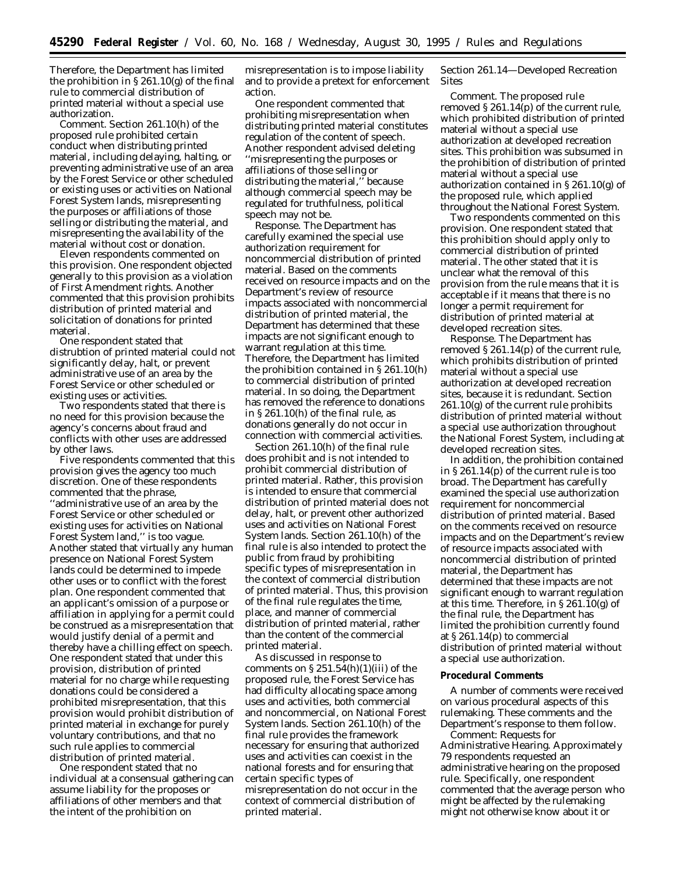Therefore, the Department has limited the prohibition in  $\S 261.10(g)$  of the final rule to commercial distribution of printed material without a special use authorization.

*Comment.* Section 261.10(h) of the proposed rule prohibited certain conduct when distributing printed material, including delaying, halting, or preventing administrative use of an area by the Forest Service or other scheduled or existing uses or activities on National Forest System lands, misrepresenting the purposes or affiliations of those selling or distributing the material, and misrepresenting the availability of the material without cost or donation.

Eleven respondents commented on this provision. One respondent objected generally to this provision as a violation of First Amendment rights. Another commented that this provision prohibits distribution of printed material and solicitation of donations for printed material.

One respondent stated that distrubtion of printed material could not significantly delay, halt, or prevent administrative use of an area by the Forest Service or other scheduled or existing uses or activities.

Two respondents stated that there is no need for this provision because the agency's concerns about fraud and conflicts with other uses are addressed by other laws.

Five respondents commented that this provision gives the agency too much discretion. One of these respondents commented that the phrase, ''administrative use of an area by the Forest Service or other scheduled or existing uses for activities on National Forest System land,'' is too vague. Another stated that virtually any human presence on National Forest System lands could be determined to impede other uses or to conflict with the forest plan. One respondent commented that an applicant's omission of a purpose or affiliation in applying for a permit could be construed as a misrepresentation that would justify denial of a permit and thereby have a chilling effect on speech. One respondent stated that under this provision, distribution of printed material for no charge while requesting donations could be considered a prohibited misrepresentation, that this provision would prohibit distribution of printed material in exchange for purely voluntary contributions, and that no such rule applies to commercial distribution of printed material.

One respondent stated that no individual at a consensual gathering can assume liability for the proposes or affiliations of other members and that the intent of the prohibition on

misrepresentation is to impose liability and to provide a pretext for enforcement action.

One respondent commented that prohibiting misrepresentation when distributing printed material constitutes regulation of the content of speech. Another respondent advised deleting ''misrepresenting the purposes or affiliations of those selling or distributing the material,'' because although commercial speech may be regulated for truthfulness, political speech may not be.

*Response.* The Department has carefully examined the special use authorization requirement for noncommercial distribution of printed material. Based on the comments received on resource impacts and on the Department's review of resource impacts associated with noncommercial distribution of printed material, the Department has determined that these impacts are not significant enough to warrant regulation at this time. Therefore, the Department has limited the prohibition contained in § 261.10(h) to commercial distribution of printed material. In so doing, the Department has removed the reference to donations in § 261.10(h) of the final rule, as donations generally do not occur in connection with commercial activities.

Section 261.10(h) of the final rule does prohibit and is not intended to prohibit commercial distribution of printed material. Rather, this provision is intended to ensure that commercial distribution of printed material does not delay, halt, or prevent other authorized uses and activities on National Forest System lands. Section 261.10(h) of the final rule is also intended to protect the public from fraud by prohibiting specific types of misrepresentation in the context of commercial distribution of printed material. Thus, this provision of the final rule regulates the time, place, and manner of commercial distribution of printed material, rather than the content of the commercial printed material.

As discussed in response to comments on  $\S 251.54(h)(1)(iii)$  of the proposed rule, the Forest Service has had difficulty allocating space among uses and activities, both commercial and noncommercial, on National Forest System lands. Section 261.10(h) of the final rule provides the framework necessary for ensuring that authorized uses and activities can coexist in the national forests and for ensuring that certain specific types of misrepresentation do not occur in the context of commercial distribution of printed material.

# *Section 261.14—Developed Recreation Sites*

*Comment.* The proposed rule removed § 261.14(p) of the current rule, which prohibited distribution of printed material without a special use authorization at developed recreation sites. This prohibition was subsumed in the prohibition of distribution of printed material without a special use authorization contained in § 261.10(g) of the proposed rule, which applied throughout the National Forest System.

Two respondents commented on this provision. One respondent stated that this prohibition should apply only to commercial distribution of printed material. The other stated that it is unclear what the removal of this provision from the rule means that it is acceptable if it means that there is no longer a permit requirement for distribution of printed material at developed recreation sites.

*Response.* The Department has removed § 261.14(p) of the current rule, which prohibits distribution of printed material without a special use authorization at developed recreation sites, because it is redundant. Section 261.10(g) of the current rule prohibits distribution of printed material without a special use authorization throughout the National Forest System, including at developed recreation sites.

In addition, the prohibition contained in § 261.14(p) of the current rule is too broad. The Department has carefully examined the special use authorization requirement for noncommercial distribution of printed material. Based on the comments received on resource impacts and on the Department's review of resource impacts associated with noncommercial distribution of printed material, the Department has determined that these impacts are not significant enough to warrant regulation at this time. Therefore, in § 261.10(g) of the final rule, the Department has limited the prohibition currently found at § 261.14(p) to commercial distribution of printed material without a special use authorization.

### **Procedural Comments**

A number of comments were received on various procedural aspects of this rulemaking. These comments and the Department's response to them follow.

*Comment: Requests for Administrative Hearing.* Approximately 79 respondents requested an administrative hearing on the proposed rule. Specifically, one respondent commented that the average person who might be affected by the rulemaking might not otherwise know about it or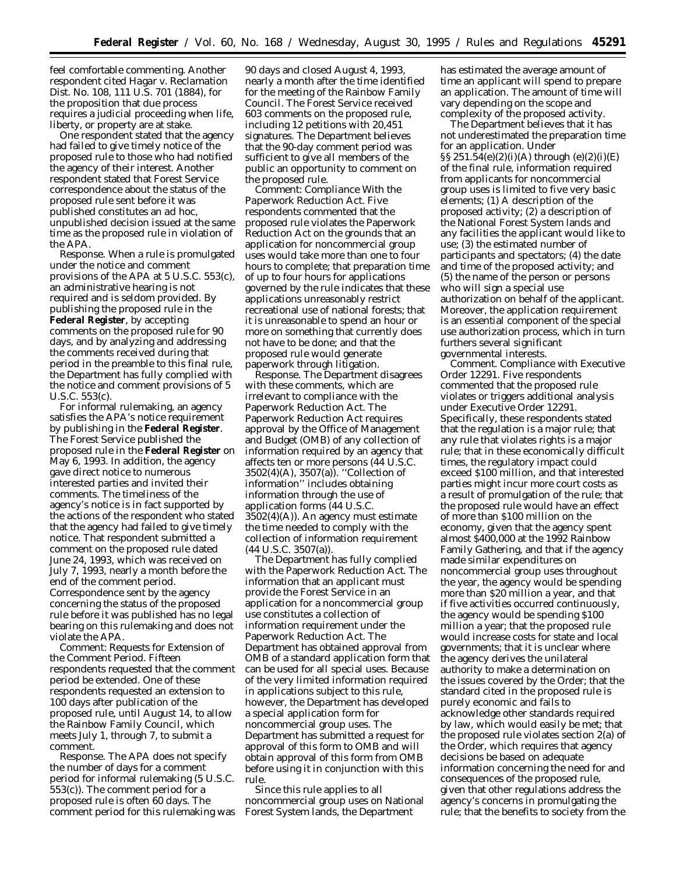feel comfortable commenting. Another respondent cited *Hagar v. Reclamation Dist. No. 108,* 111 U.S. 701 (1884), for the proposition that due process requires a judicial proceeding when life, liberty, or property are at stake.

One respondent stated that the agency had failed to give timely notice of the proposed rule to those who had notified the agency of their interest. Another respondent stated that Forest Service correspondence about the status of the proposed rule sent before it was published constitutes an *ad hoc,* unpublished decision issued at the same time as the proposed rule in violation of the APA.

*Response.* When a rule is promulgated under the notice and comment provisions of the APA at 5 U.S.C. 553(c), an administrative hearing is not required and is seldom provided. By publishing the proposed rule in the **Federal Register**, by accepting comments on the proposed rule for 90 days, and by analyzing and addressing the comments received during that period in the preamble to this final rule, the Department has fully complied with the notice and comment provisions of 5 U.S.C. 553(c).

For informal rulemaking, an agency satisfies the APA's notice requirement by publishing in the **Federal Register**. The Forest Service published the proposed rule in the **Federal Register** on May 6, 1993. In addition, the agency gave direct notice to numerous interested parties and invited their comments. The timeliness of the agency's notice is in fact supported by the actions of the respondent who stated that the agency had failed to give timely notice. That respondent submitted a comment on the proposed rule dated June 24, 1993, which was received on July 7, 1993, nearly a month before the end of the comment period. Correspondence sent by the agency concerning the status of the proposed rule before it was published has no legal bearing on this rulemaking and does not violate the APA.

*Comment: Requests for Extension of the Comment Period.* Fifteen respondents requested that the comment period be extended. One of these respondents requested an extension to 100 days after publication of the proposed rule, until August 14, to allow the Rainbow Family Council, which meets July 1, through 7, to submit a comment.

*Response.* The APA does not specify the number of days for a comment period for informal rulemaking (5 U.S.C. 553(c)). The comment period for a proposed rule is often 60 days. The comment period for this rulemaking was

90 days and closed August 4, 1993, nearly a month after the time identified for the meeting of the Rainbow Family Council. The Forest Service received 603 comments on the proposed rule, including 12 petitions with 20,451 signatures. The Department believes that the 90-day comment period was sufficient to give all members of the public an opportunity to comment on the proposed rule.

*Comment: Compliance With the Paperwork Reduction Act.* Five respondents commented that the proposed rule violates the Paperwork Reduction Act on the grounds that an application for noncommercial group uses would take more than one to four hours to complete; that preparation time of up to four hours for applications governed by the rule indicates that these applications unreasonably restrict recreational use of national forests; that it is unreasonable to spend an hour or more on something that currently does not have to be done; and that the proposed rule would generate paperwork through litigation.

*Response.* The Department disagrees with these comments, which are irrelevant to compliance with the Paperwork Reduction Act. The Paperwork Reduction Act requires approval by the Office of Management and Budget (OMB) of any collection of information required by an agency that affects ten or more persons (44 U.S.C. 3502(4)(A), 3507(a)). ''Collection of information'' includes obtaining information through the use of application forms (44 U.S.C. 3502(4)(A)). An agency must estimate the time needed to comply with the collection of information requirement (44 U.S.C. 3507(a)).

The Department has fully complied with the Paperwork Reduction Act. The information that an applicant must provide the Forest Service in an application for a noncommercial group use constitutes a collection of information requirement under the Paperwork Reduction Act. The Department has obtained approval from OMB of a standard application form that can be used for all special uses. Because of the very limited information required in applications subject to this rule, however, the Department has developed a special application form for noncommercial group uses. The Department has submitted a request for approval of this form to OMB and will obtain approval of this form from OMB before using it in conjunction with this rule.

Since this rule applies to all noncommercial group uses on National Forest System lands, the Department

has estimated the average amount of time an applicant will spend to prepare an application. The amount of time will vary depending on the scope and complexity of the proposed activity.

The Department believes that it has not underestimated the preparation time for an application. Under §§ 251.54(e)(2)(i)(A) through (e)(2)(i)(E) of the final rule, information required from applicants for noncommercial group uses is limited to five very basic elements; (1) A description of the proposed activity; (2) a description of the National Forest System lands and any facilities the applicant would like to use; (3) the estimated number of participants and spectators; (4) the date and time of the proposed activity; and (5) the name of the person or persons who will sign a special use authorization on behalf of the applicant. Moreover, the application requirement is an essential component of the special use authorization process, which in turn furthers several significant governmental interests.

*Comment. Compliance with Executive Order 12291.* Five respondents commented that the proposed rule violates or triggers additional analysis under Executive Order 12291. Specifically, these respondents stated that the regulation is a major rule; that any rule that violates rights is a major rule; that in these economically difficult times, the regulatory impact could exceed \$100 million, and that interested parties might incur more court costs as a result of promulgation of the rule; that the proposed rule would have an effect of more than \$100 million on the economy, given that the agency spent almost \$400,000 at the 1992 Rainbow Family Gathering, and that if the agency made similar expenditures on noncommercial group uses throughout the year, the agency would be spending more than \$20 million a year, and that if five activities occurred continuously, the agency would be spending \$100 million a year; that the proposed rule would increase costs for state and local governments; that it is unclear where the agency derives the unilateral authority to make a determination on the issues covered by the Order; that the standard cited in the proposed rule is purely economic and fails to acknowledge other standards required by law, which would easily be met; that the proposed rule violates section 2(a) of the Order, which requires that agency decisions be based on adequate information concerning the need for and consequences of the proposed rule, given that other regulations address the agency's concerns in promulgating the rule; that the benefits to society from the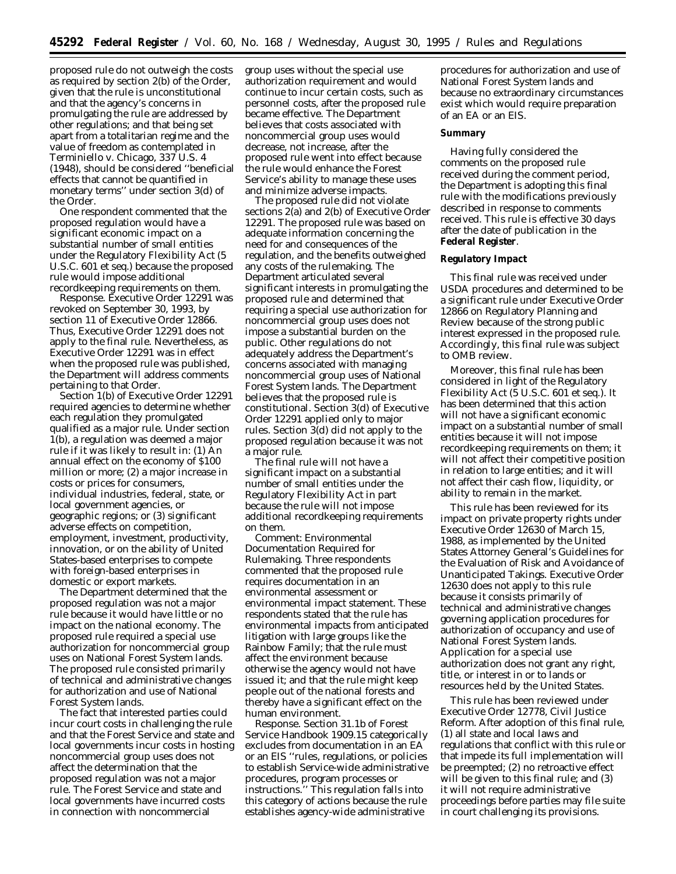proposed rule do not outweigh the costs as required by section 2(b) of the Order, given that the rule is unconstitutional and that the agency's concerns in promulgating the rule are addressed by other regulations; and that being set apart from a totalitarian regime and the value of freedom as contemplated in *Terminiello* v. *Chicago*, 337 U.S. 4 (1948), should be considered ''beneficial effects that cannot be quantified in monetary terms'' under section 3(d) of the Order.

One respondent commented that the proposed regulation would have a significant economic impact on a substantial number of small entities under the Regulatory Flexibility Act (5 U.S.C. 601 *et seq.*) because the proposed rule would impose additional recordkeeping requirements on them.

*Response.* Executive Order 12291 was revoked on September 30, 1993, by section 11 of Executive Order 12866. Thus, Executive Order 12291 does not apply to the final rule. Nevertheless, as Executive Order 12291 was in effect when the proposed rule was published, the Department will address comments pertaining to that Order.

Section 1(b) of Executive Order 12291 required agencies to determine whether each regulation they promulgated qualified as a major rule. Under section 1(b), a regulation was deemed a major rule if it was likely to result in: (1) An annual effect on the economy of \$100 million or more; (2) a major increase in costs or prices for consumers, individual industries, federal, state, or local government agencies, or geographic regions; or (3) significant adverse effects on competition, employment, investment, productivity, innovation, or on the ability of United States-based enterprises to compete with foreign-based enterprises in domestic or export markets.

The Department determined that the proposed regulation was not a major rule because it would have little or no impact on the national economy. The proposed rule required a special use authorization for noncommercial group uses on National Forest System lands. The proposed rule consisted primarily of technical and administrative changes for authorization and use of National Forest System lands.

The fact that interested parties could incur court costs in challenging the rule and that the Forest Service and state and local governments incur costs in hosting noncommercial group uses does not affect the determination that the proposed regulation was not a major rule. The Forest Service and state and local governments have incurred costs in connection with noncommercial

group uses without the special use authorization requirement and would continue to incur certain costs, such as personnel costs, after the proposed rule became effective. The Department believes that costs associated with noncommercial group uses would decrease, not increase, after the proposed rule went into effect because the rule would enhance the Forest Service's ability to manage these uses and minimize adverse impacts.

The proposed rule did not violate sections 2(a) and 2(b) of Executive Order 12291. The proposed rule was based on adequate information concerning the need for and consequences of the regulation, and the benefits outweighed any costs of the rulemaking. The Department articulated several significant interests in promulgating the proposed rule and determined that requiring a special use authorization for noncommercial group uses does not impose a substantial burden on the public. Other regulations do not adequately address the Department's concerns associated with managing noncommercial group uses of National Forest System lands. The Department believes that the proposed rule is constitutional. Section 3(d) of Executive Order 12291 applied only to major rules. Section 3(d) did not apply to the proposed regulation because it was not a major rule.

The final rule will not have a significant impact on a substantial number of small entities under the Regulatory Flexibility Act in part because the rule will not impose additional recordkeeping requirements on them.

*Comment: Environmental Documentation Required for Rulemaking.* Three respondents commented that the proposed rule requires documentation in an environmental assessment or environmental impact statement. These respondents stated that the rule has environmental impacts from anticipated litigation with large groups like the Rainbow Family; that the rule must affect the environment because otherwise the agency would not have issued it; and that the rule might keep people out of the national forests and thereby have a significant effect on the human environment.

*Response.* Section 31.1b of Forest Service Handbook 1909.15 categorically excludes from documentation in an EA or an EIS ''rules, regulations, or policies to establish Service-wide administrative procedures, program processes or instructions.'' This regulation falls into this category of actions because the rule establishes agency-wide administrative

procedures for authorization and use of National Forest System lands and because no extraordinary circumstances exist which would require preparation of an EA or an EIS.

# **Summary**

Having fully considered the comments on the proposed rule received during the comment period, the Department is adopting this final rule with the modifications previously described in response to comments received. This rule is effective 30 days after the date of publication in the **Federal Register**.

# **Regulatory Impact**

This final rule was received under USDA procedures and determined to be a significant rule under Executive Order 12866 on Regulatory Planning and Review because of the strong public interest expressed in the proposed rule. Accordingly, this final rule was subject to OMB review.

Moreover, this final rule has been considered in light of the Regulatory Flexibility Act (5 U.S.C. 601 *et seq.*). It has been determined that this action will not have a significant economic impact on a substantial number of small entities because it will not impose recordkeeping requirements on them; it will not affect their competitive position in relation to large entities; and it will not affect their cash flow, liquidity, or ability to remain in the market.

This rule has been reviewed for its impact on private property rights under Executive Order 12630 of March 15, 1988, as implemented by the United States Attorney General's Guidelines for the Evaluation of Risk and Avoidance of Unanticipated Takings. Executive Order 12630 does not apply to this rule because it consists primarily of technical and administrative changes governing application procedures for authorization of occupancy and use of National Forest System lands. Application for a special use authorization does not grant any right, title, or interest in or to lands or resources held by the United States.

This rule has been reviewed under Executive Order 12778, Civil Justice Reform. After adoption of this final rule, (1) all state and local laws and regulations that conflict with this rule or that impede its full implementation will be preempted; (2) no retroactive effect will be given to this final rule; and (3) it will not require administrative proceedings before parties may file suite in court challenging its provisions.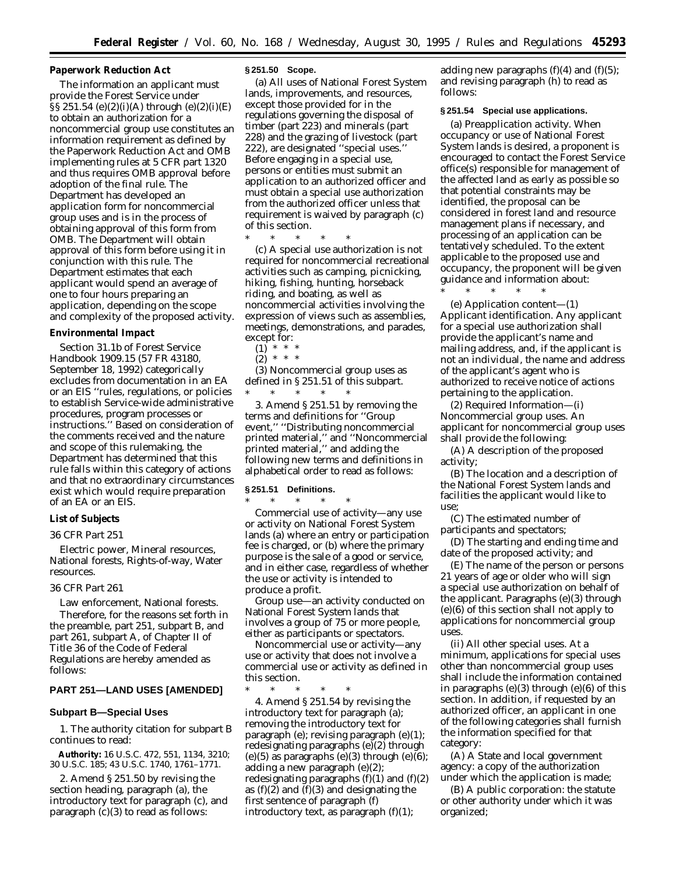# **Paperwork Reduction Act**

The information an applicant must provide the Forest Service under  $\S$ § $251.54$  (e)(2)(i)(A) through (e)(2)(i)(E) to obtain an authorization for a noncommercial group use constitutes an information requirement as defined by the Paperwork Reduction Act and OMB implementing rules at 5 CFR part 1320 and thus requires OMB approval before adoption of the final rule. The Department has developed an application form for noncommercial group uses and is in the process of obtaining approval of this form from OMB. The Department will obtain approval of this form before using it in conjunction with this rule. The Department estimates that each applicant would spend an average of one to four hours preparing an application, depending on the scope and complexity of the proposed activity.

#### **Environmental Impact**

Section 31.1b of Forest Service Handbook 1909.15 (57 FR 43180, September 18, 1992) categorically excludes from documentation in an EA or an EIS ''rules, regulations, or policies to establish Service-wide administrative procedures, program processes or instructions.'' Based on consideration of the comments received and the nature and scope of this rulemaking, the Department has determined that this rule falls within this category of actions and that no extraordinary circumstances exist which would require preparation of an EA or an EIS.

# **List of Subjects**

#### *36 CFR Part 251*

Electric power, Mineral resources, National forests, Rights-of-way, Water resources.

# *36 CFR Part 261*

Law enforcement, National forests. Therefore, for the reasons set forth in the preamble, part 251, subpart B, and part 261, subpart A, of Chapter II of Title 36 of the Code of Federal Regulations are hereby amended as follows:

# **PART 251—LAND USES [AMENDED]**

#### **Subpart B—Special Uses**

1. The authority citation for subpart B continues to read:

**Authority:** 16 U.S.C. 472, 551, 1134, 3210; 30 U.S.C. 185; 43 U.S.C. 1740, 1761–1771.

2. Amend § 251.50 by revising the section heading, paragraph (a), the introductory text for paragraph (c), and paragraph (c)(3) to read as follows:

#### **§ 251.50 Scope.**

(a) All uses of National Forest System lands, improvements, and resources, except those provided for in the regulations governing the disposal of timber (part 223) and minerals (part 228) and the grazing of livestock (part 222), are designated ''special uses.'' Before engaging in a special use, persons or entities must submit an application to an authorized officer and must obtain a special use authorization from the authorized officer unless that requirement is waived by paragraph (c) of this section.

\* \* \* \* \* (c) A special use authorization is not required for noncommercial recreational activities such as camping, picnicking, hiking, fishing, hunting, horseback riding, and boating, as well as noncommercial activities involving the expression of views such as assemblies, meetings, demonstrations, and parades, except for:

 $(1) * *$ 

 $(2) * * * *$ 

(3) Noncommercial group uses as defined in § 251.51 of this subpart. \* \* \* \* \*

3. Amend § 251.51 by removing the terms and definitions for ''Group event,'' ''Distributing noncommercial printed material,'' and ''Noncommercial printed material,'' and adding the following new terms and definitions in alphabetical order to read as follows:

#### **§ 251.51 Definitions.**

\* \* \* \* \* *Commercial use of activity*—any use or activity on National Forest System lands (a) where an entry or participation fee is charged, or (b) where the primary purpose is the sale of a good or service, and in either case, regardless of whether the use or activity is intended to produce a profit.

*Group use*—an activity conducted on National Forest System lands that involves a group of 75 or more people, either as participants or spectators.

*Noncommercial use or activity*—any use or activity that does not involve a commercial use or activity as defined in this section.

\* \* \* \* \* 4. Amend § 251.54 by revising the introductory text for paragraph (a); removing the introductory text for paragraph (e); revising paragraph (e)(1); redesignating paragraphs (e)(2) through (e)(5) as paragraphs (e)(3) through (e) $(6)$ ; adding a new paragraph (e)(2); redesignating paragraphs  $(f)(1)$  and  $(f)(2)$ as  $(f)(2)$  and  $(f)(3)$  and designating the first sentence of paragraph (f) introductory text, as paragraph  $(f)(1)$ ;

adding new paragraphs  $(f)(4)$  and  $(f)(5)$ ; and revising paragraph (h) to read as follows:

### **§ 251.54 Special use applications.**

(a) *Preapplication activity.* When occupancy or use of National Forest System lands is desired, a proponent is encouraged to contact the Forest Service office(s) responsible for management of the affected land as early as possible so that potential constraints may be identified, the proposal can be considered in forest land and resource management plans if necessary, and processing of an application can be tentatively scheduled. To the extent applicable to the proposed use and occupancy, the proponent will be given guidance and information about: \* \* \* \* \*

(e) *Application content*—(1) *Applicant identification.* Any applicant for a special use authorization shall provide the applicant's name and mailing address, and, if the applicant is not an individual, the name and address of the applicant's agent who is authorized to receive notice of actions pertaining to the application.

(2) *Required Information*—(i) *Noncommercial group uses.* An applicant for noncommercial group uses shall provide the following:

(A) A description of the proposed activity;

(B) The location and a description of the National Forest System lands and facilities the applicant would like to use;

(C) The estimated number of participants and spectators;

(D) The starting and ending time and date of the proposed activity; and

(E) The name of the person or persons 21 years of age or older who will sign a special use authorization on behalf of the applicant. Paragraphs (e)(3) through (e)(6) of this section shall not apply to applications for noncommercial group uses.

(ii) *All other special uses.* At a minimum, applications for special uses other than noncommercial group uses shall include the information contained in paragraphs  $(e)(3)$  through  $(e)(6)$  of this section. In addition, if requested by an authorized officer, an applicant in one of the following categories shall furnish the information specified for that category:

(A) A State and local government agency: a copy of the authorization under which the application is made;

(B) A public corporation: the statute or other authority under which it was organized;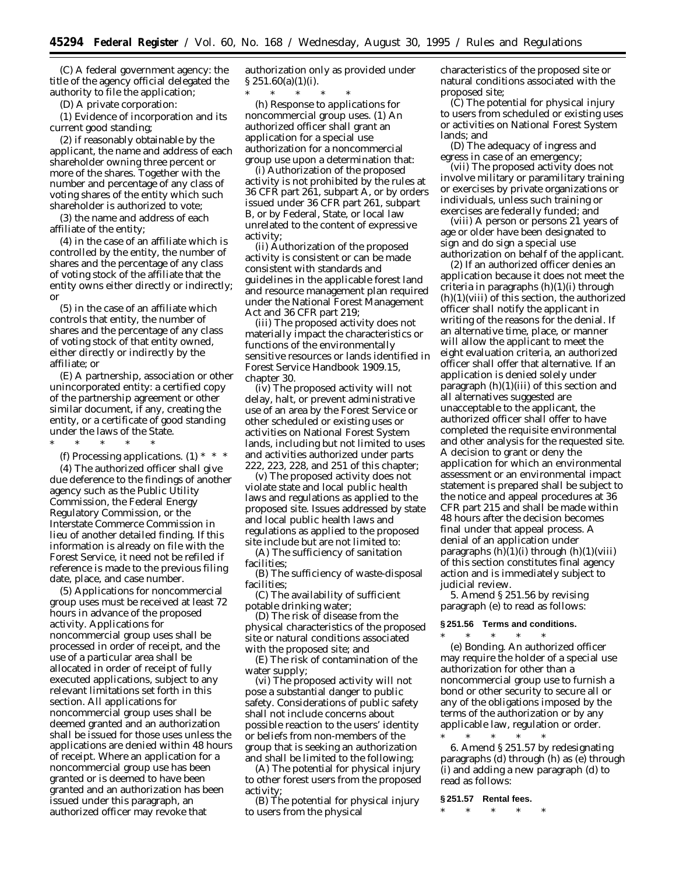(C) A federal government agency: the title of the agency official delegated the authority to file the application;

(D) A private corporation:

(*1*) Evidence of incorporation and its current good standing;

(*2*) if reasonably obtainable by the applicant, the name and address of each shareholder owning three percent or more of the shares. Together with the number and percentage of any class of voting shares of the entity which such shareholder is authorized to vote;

(*3*) the name and address of each affiliate of the entity;

(*4*) in the case of an affiliate which is controlled by the entity, the number of shares and the percentage of any class of voting stock of the affiliate that the entity owns either directly or indirectly; or

(*5*) in the case of an affiliate which controls that entity, the number of shares and the percentage of any class of voting stock of that entity owned, either directly or indirectly by the affiliate; or

(E) A partnership, association or other unincorporated entity: a certified copy of the partnership agreement or other similar document, if any, creating the entity, or a certificate of good standing under the laws of the State.

\* \* \* \* \*

(f) *Processing applications.* (1) \* \* \* (4) The authorized officer shall give due deference to the findings of another agency such as the Public Utility Commission, the Federal Energy Regulatory Commission, or the Interstate Commerce Commission in lieu of another detailed finding. If this information is already on file with the Forest Service, it need not be refiled if reference is made to the previous filing date, place, and case number.

(5) Applications for noncommercial group uses must be received at least 72 hours in advance of the proposed activity. Applications for noncommercial group uses shall be processed in order of receipt, and the use of a particular area shall be allocated in order of receipt of fully executed applications, subject to any relevant limitations set forth in this section. All applications for noncommercial group uses shall be deemed granted and an authorization shall be issued for those uses unless the applications are denied within 48 hours of receipt. Where an application for a noncommercial group use has been granted or is deemed to have been granted and an authorization has been issued under this paragraph, an authorized officer may revoke that

authorization only as provided under  $\S 251.60(a)(1)(i)$ .

\* \* \* \* \* (h) *Response to applications for noncommercial group uses.* (1) An authorized officer shall grant an application for a special use authorization for a noncommercial group use upon a determination that:

(i) Authorization of the proposed activity is not prohibited by the rules at 36 CFR part 261, subpart A, or by orders issued under 36 CFR part 261, subpart B, or by Federal, State, or local law unrelated to the content of expressive activity;

(ii) Authorization of the proposed activity is consistent or can be made consistent with standards and guidelines in the applicable forest land and resource management plan required under the National Forest Management Act and 36 CFR part 219;

(iii) The proposed activity does not materially impact the characteristics or functions of the environmentally sensitive resources or lands identified in Forest Service Handbook 1909.15, chapter 30.

(iv) The proposed activity will not delay, halt, or prevent administrative use of an area by the Forest Service or other scheduled or existing uses or activities on National Forest System lands, including but not limited to uses and activities authorized under parts 222, 223, 228, and 251 of this chapter;

(v) The proposed activity does not violate state and local public health laws and regulations as applied to the proposed site. Issues addressed by state and local public health laws and regulations as applied to the proposed site include but are not limited to:

(A) The sufficiency of sanitation facilities;

(B) The sufficiency of waste-disposal facilities;

(C) The availability of sufficient potable drinking water;

(D) The risk of disease from the physical characteristics of the proposed site or natural conditions associated with the proposed site; and

(E) The risk of contamination of the water supply;

(vi) The proposed activity will not pose a substantial danger to public safety. Considerations of public safety shall not include concerns about possible reaction to the users' identity or beliefs from non-members of the group that is seeking an authorization and shall be limited to the following;

(A) The potential for physical injury to other forest users from the proposed activity;

(B) The potential for physical injury to users from the physical

characteristics of the proposed site or natural conditions associated with the proposed site;

(C) The potential for physical injury to users from scheduled or existing uses or activities on National Forest System lands; and

(D) The adequacy of ingress and egress in case of an emergency;

(vii) The proposed activity does not involve military or paramilitary training or exercises by private organizations or individuals, unless such training or exercises are federally funded; and

(viii) A person or persons 21 years of age or older have been designated to sign and do sign a special use authorization on behalf of the applicant.

(2) If an authorized officer denies an application because it does not meet the criteria in paragraphs (h)(1)(i) through  $(h)(1)(viii)$  of this section, the authorized officer shall notify the applicant in writing of the reasons for the denial. If an alternative time, place, or manner will allow the applicant to meet the eight evaluation criteria, an authorized officer shall offer that alternative. If an application is denied solely under paragraph  $(h)(1)(iii)$  of this section and all alternatives suggested are unacceptable to the applicant, the authorized officer shall offer to have completed the requisite environmental and other analysis for the requested site. A decision to grant or deny the application for which an environmental assessment or an environmental impact statement is prepared shall be subject to the notice and appeal procedures at 36 CFR part 215 and shall be made within 48 hours after the decision becomes final under that appeal process. A denial of an application under paragraphs  $(h)(1)(i)$  through  $(h)(1)(viii)$ of this section constitutes final agency action and is immediately subject to judicial review.

5. Amend § 251.56 by revising paragraph (e) to read as follows:

# **§ 251.56 Terms and conditions.**

\* \* \* \* \*

(e) *Bonding.* An authorized officer may require the holder of a special use authorization for other than a noncommercial group use to furnish a bond or other security to secure all or any of the obligations imposed by the terms of the authorization or by any applicable law, regulation or order.

\* \* \* \* \* 6. Amend § 251.57 by redesignating paragraphs (d) through (h) as (e) through (i) and adding a new paragraph (d) to read as follows:

### **§ 251.57 Rental fees.**

\* \* \* \* \*